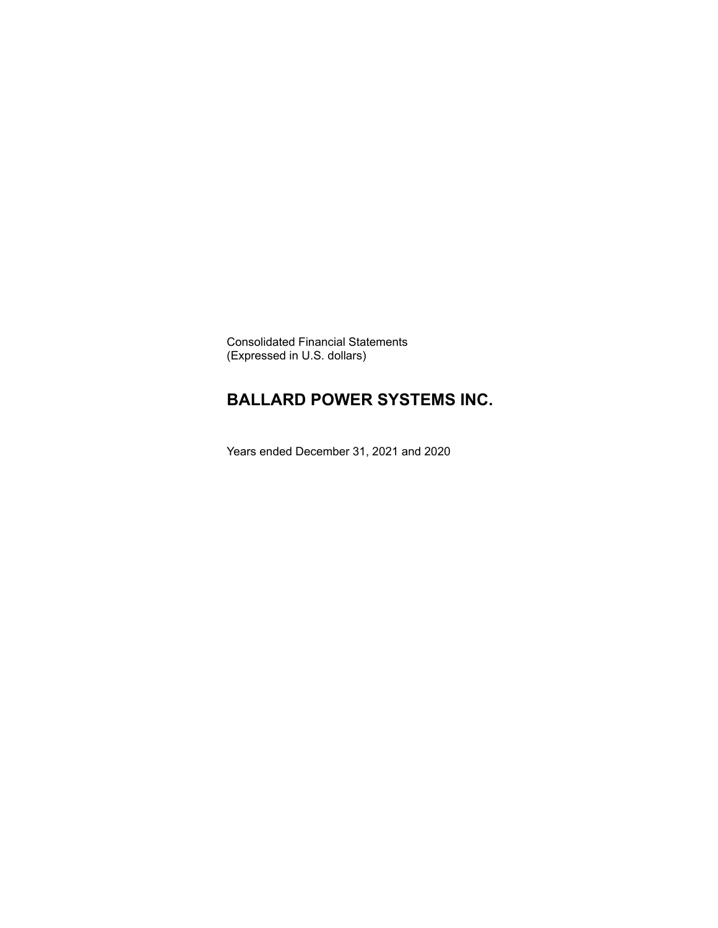Consolidated Financial Statements (Expressed in U.S. dollars)

# **BALLARD POWER SYSTEMS INC.**

Years ended December 31, 2021 and 2020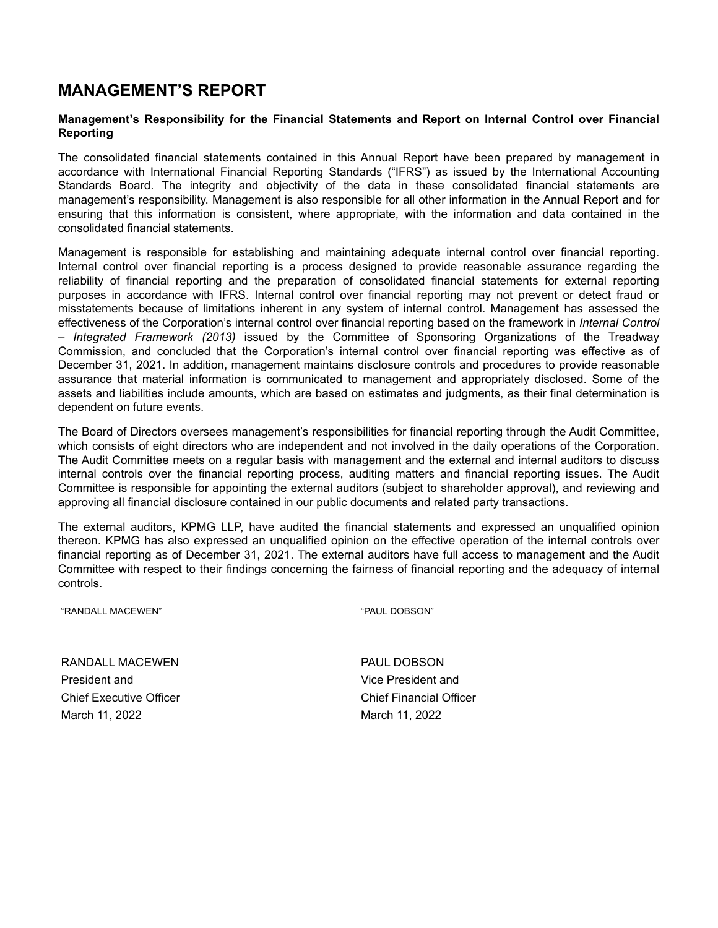# **MANAGEMENT'S REPORT**

## **Management's Responsibility for the Financial Statements and Report on Internal Control over Financial Reporting**

The consolidated financial statements contained in this Annual Report have been prepared by management in accordance with International Financial Reporting Standards ("IFRS") as issued by the International Accounting Standards Board. The integrity and objectivity of the data in these consolidated financial statements are management's responsibility. Management is also responsible for all other information in the Annual Report and for ensuring that this information is consistent, where appropriate, with the information and data contained in the consolidated financial statements.

Management is responsible for establishing and maintaining adequate internal control over financial reporting. Internal control over financial reporting is a process designed to provide reasonable assurance regarding the reliability of financial reporting and the preparation of consolidated financial statements for external reporting purposes in accordance with IFRS. Internal control over financial reporting may not prevent or detect fraud or misstatements because of limitations inherent in any system of internal control. Management has assessed the effectiveness of the Corporation's internal control over financial reporting based on the framework in *Internal Control – Integrated Framework (2013)* issued by the Committee of Sponsoring Organizations of the Treadway Commission, and concluded that the Corporation's internal control over financial reporting was effective as of December 31, 2021. In addition, management maintains disclosure controls and procedures to provide reasonable assurance that material information is communicated to management and appropriately disclosed. Some of the assets and liabilities include amounts, which are based on estimates and judgments, as their final determination is dependent on future events.

The Board of Directors oversees management's responsibilities for financial reporting through the Audit Committee, which consists of eight directors who are independent and not involved in the daily operations of the Corporation. The Audit Committee meets on a regular basis with management and the external and internal auditors to discuss internal controls over the financial reporting process, auditing matters and financial reporting issues. The Audit Committee is responsible for appointing the external auditors (subject to shareholder approval), and reviewing and approving all financial disclosure contained in our public documents and related party transactions.

The external auditors, KPMG LLP, have audited the financial statements and expressed an unqualified opinion thereon. KPMG has also expressed an unqualified opinion on the effective operation of the internal controls over financial reporting as of December 31, 2021. The external auditors have full access to management and the Audit Committee with respect to their findings concerning the fairness of financial reporting and the adequacy of internal controls.

"RANDALL MACEWEN" "PAUL DOBSON"

RANDALL MACEWEN **EXAMPLE 2018 12:30 PAUL DOBSON** President and Vice President and Chief Executive Officer Chief Financial Officer March 11, 2022 **March 11, 2022**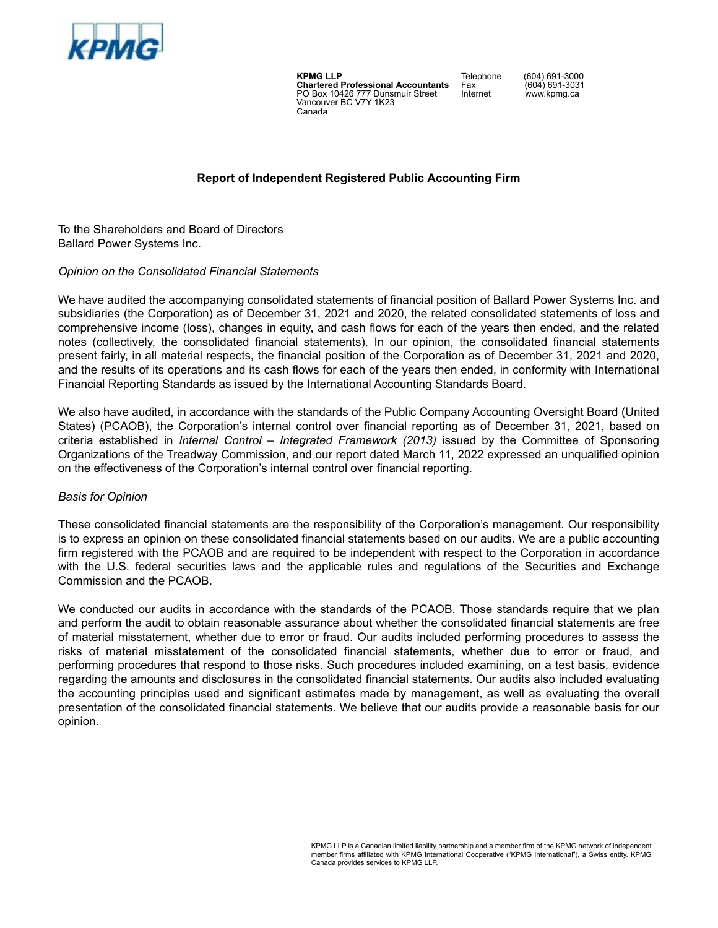

**KPMG LLP Chartered Professional Accountants** PO Box 10426 777 Dunsmuir Street Vancouver BC V7Y 1K23 Canada

Telephone (604) 691-3000<br>Eax (604) 691-3031 Fax (604) 691-3031<br>Internet www.kpmg.ca www.kpmg.ca

# **Report of Independent Registered Public Accounting Firm**

To the Shareholders and Board of Directors Ballard Power Systems Inc.

#### *Opinion on the Consolidated Financial Statements*

We have audited the accompanying consolidated statements of financial position of Ballard Power Systems Inc. and subsidiaries (the Corporation) as of December 31, 2021 and 2020, the related consolidated statements of loss and comprehensive income (loss), changes in equity, and cash flows for each of the years then ended, and the related notes (collectively, the consolidated financial statements). In our opinion, the consolidated financial statements present fairly, in all material respects, the financial position of the Corporation as of December 31, 2021 and 2020, and the results of its operations and its cash flows for each of the years then ended, in conformity with International Financial Reporting Standards as issued by the International Accounting Standards Board.

We also have audited, in accordance with the standards of the Public Company Accounting Oversight Board (United States) (PCAOB), the Corporation's internal control over financial reporting as of December 31, 2021, based on criteria established in *Internal Control – Integrated Framework (2013)* issued by the Committee of Sponsoring Organizations of the Treadway Commission, and our report dated March 11, 2022 expressed an unqualified opinion on the effectiveness of the Corporation's internal control over financial reporting.

#### *Basis for Opinion*

These consolidated financial statements are the responsibility of the Corporation's management. Our responsibility is to express an opinion on these consolidated financial statements based on our audits. We are a public accounting firm registered with the PCAOB and are required to be independent with respect to the Corporation in accordance with the U.S. federal securities laws and the applicable rules and regulations of the Securities and Exchange Commission and the PCAOB.

We conducted our audits in accordance with the standards of the PCAOB. Those standards require that we plan and perform the audit to obtain reasonable assurance about whether the consolidated financial statements are free of material misstatement, whether due to error or fraud. Our audits included performing procedures to assess the risks of material misstatement of the consolidated financial statements, whether due to error or fraud, and performing procedures that respond to those risks. Such procedures included examining, on a test basis, evidence regarding the amounts and disclosures in the consolidated financial statements. Our audits also included evaluating the accounting principles used and significant estimates made by management, as well as evaluating the overall presentation of the consolidated financial statements. We believe that our audits provide a reasonable basis for our opinion.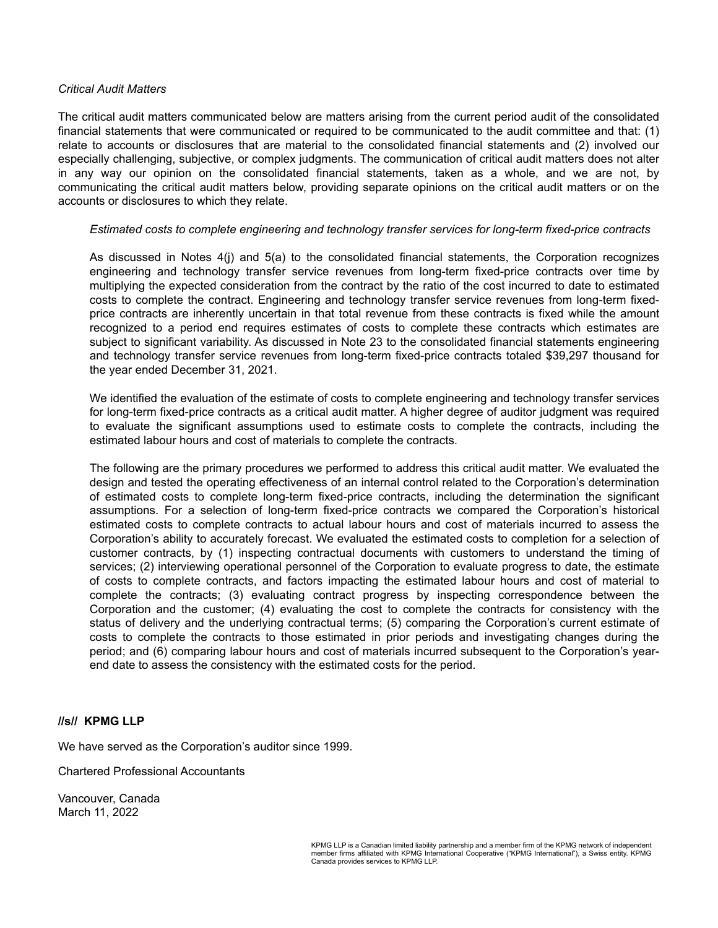#### *Critical Audit Matters*

The critical audit matters communicated below are matters arising from the current period audit of the consolidated financial statements that were communicated or required to be communicated to the audit committee and that: (1) relate to accounts or disclosures that are material to the consolidated financial statements and (2) involved our especially challenging, subjective, or complex judgments. The communication of critical audit matters does not alter in any way our opinion on the consolidated financial statements, taken as a whole, and we are not, by communicating the critical audit matters below, providing separate opinions on the critical audit matters or on the accounts or disclosures to which they relate.

#### *Estimated costs to complete engineering and technology transfer services for long-term fixed-price contracts*

As discussed in Notes 4(j) and 5(a) to the consolidated financial statements, the Corporation recognizes engineering and technology transfer service revenues from long-term fixed-price contracts over time by multiplying the expected consideration from the contract by the ratio of the cost incurred to date to estimated costs to complete the contract. Engineering and technology transfer service revenues from long-term fixedprice contracts are inherently uncertain in that total revenue from these contracts is fixed while the amount recognized to a period end requires estimates of costs to complete these contracts which estimates are subject to significant variability. As discussed in Note 23 to the consolidated financial statements engineering and technology transfer service revenues from long-term fixed-price contracts totaled \$39,297 thousand for the year ended December 31, 2021.

We identified the evaluation of the estimate of costs to complete engineering and technology transfer services for long-term fixed-price contracts as a critical audit matter. A higher degree of auditor judgment was required to evaluate the significant assumptions used to estimate costs to complete the contracts, including the estimated labour hours and cost of materials to complete the contracts.

The following are the primary procedures we performed to address this critical audit matter. We evaluated the design and tested the operating effectiveness of an internal control related to the Corporation's determination of estimated costs to complete long-term fixed-price contracts, including the determination the significant assumptions. For a selection of long-term fixed-price contracts we compared the Corporation's historical estimated costs to complete contracts to actual labour hours and cost of materials incurred to assess the Corporation's ability to accurately forecast. We evaluated the estimated costs to completion for a selection of customer contracts, by (1) inspecting contractual documents with customers to understand the timing of services; (2) interviewing operational personnel of the Corporation to evaluate progress to date, the estimate of costs to complete contracts, and factors impacting the estimated labour hours and cost of material to complete the contracts; (3) evaluating contract progress by inspecting correspondence between the Corporation and the customer; (4) evaluating the cost to complete the contracts for consistency with the status of delivery and the underlying contractual terms; (5) comparing the Corporation's current estimate of costs to complete the contracts to those estimated in prior periods and investigating changes during the period; and (6) comparing labour hours and cost of materials incurred subsequent to the Corporation's yearend date to assess the consistency with the estimated costs for the period.

#### **//s// KPMG LLP**

We have served as the Corporation's auditor since 1999.

Chartered Professional Accountants

Vancouver, Canada March 11, 2022

> KPMG LLP is a Canadian limited liability partnership and a member firm of the KPMG network of independent member firms affiliated with KPMG International Cooperative ("KPMG International"), a Swiss entity. KPMG Canada provides services to KPMG LLP.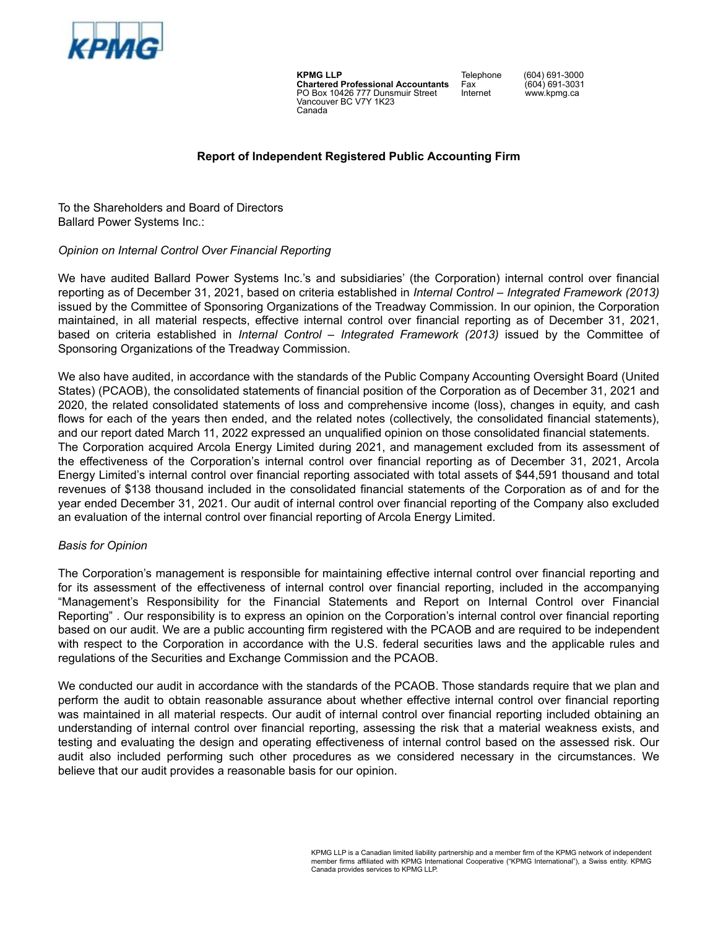

**KPMG LLP Chartered Professional Accountants** PO Box 10426 777 Dunsmuir Street Vancouver BC V7Y 1K23 Canada

Telephone (604) 691-3000<br>Fax (604) 691-3031 Fax (604) 691-3031<br>Internet www.kpmg.ca www.kpmg.ca

## **Report of Independent Registered Public Accounting Firm**

To the Shareholders and Board of Directors Ballard Power Systems Inc.:

#### *Opinion on Internal Control Over Financial Reporting*

We have audited Ballard Power Systems Inc.'s and subsidiaries' (the Corporation) internal control over financial reporting as of December 31, 2021, based on criteria established in *Internal Control – Integrated Framework (2013)* issued by the Committee of Sponsoring Organizations of the Treadway Commission. In our opinion, the Corporation maintained, in all material respects, effective internal control over financial reporting as of December 31, 2021, based on criteria established in *Internal Control – Integrated Framework (2013)* issued by the Committee of Sponsoring Organizations of the Treadway Commission.

We also have audited, in accordance with the standards of the Public Company Accounting Oversight Board (United States) (PCAOB), the consolidated statements of financial position of the Corporation as of December 31, 2021 and 2020, the related consolidated statements of loss and comprehensive income (loss), changes in equity, and cash flows for each of the years then ended, and the related notes (collectively, the consolidated financial statements), and our report dated March 11, 2022 expressed an unqualified opinion on those consolidated financial statements. The Corporation acquired Arcola Energy Limited during 2021, and management excluded from its assessment of the effectiveness of the Corporation's internal control over financial reporting as of December 31, 2021, Arcola Energy Limited's internal control over financial reporting associated with total assets of \$44,591 thousand and total revenues of \$138 thousand included in the consolidated financial statements of the Corporation as of and for the year ended December 31, 2021. Our audit of internal control over financial reporting of the Company also excluded an evaluation of the internal control over financial reporting of Arcola Energy Limited.

#### *Basis for Opinion*

The Corporation's management is responsible for maintaining effective internal control over financial reporting and for its assessment of the effectiveness of internal control over financial reporting, included in the accompanying "Management's Responsibility for the Financial Statements and Report on Internal Control over Financial Reporting" . Our responsibility is to express an opinion on the Corporation's internal control over financial reporting based on our audit. We are a public accounting firm registered with the PCAOB and are required to be independent with respect to the Corporation in accordance with the U.S. federal securities laws and the applicable rules and regulations of the Securities and Exchange Commission and the PCAOB.

We conducted our audit in accordance with the standards of the PCAOB. Those standards require that we plan and perform the audit to obtain reasonable assurance about whether effective internal control over financial reporting was maintained in all material respects. Our audit of internal control over financial reporting included obtaining an understanding of internal control over financial reporting, assessing the risk that a material weakness exists, and testing and evaluating the design and operating effectiveness of internal control based on the assessed risk. Our audit also included performing such other procedures as we considered necessary in the circumstances. We believe that our audit provides a reasonable basis for our opinion.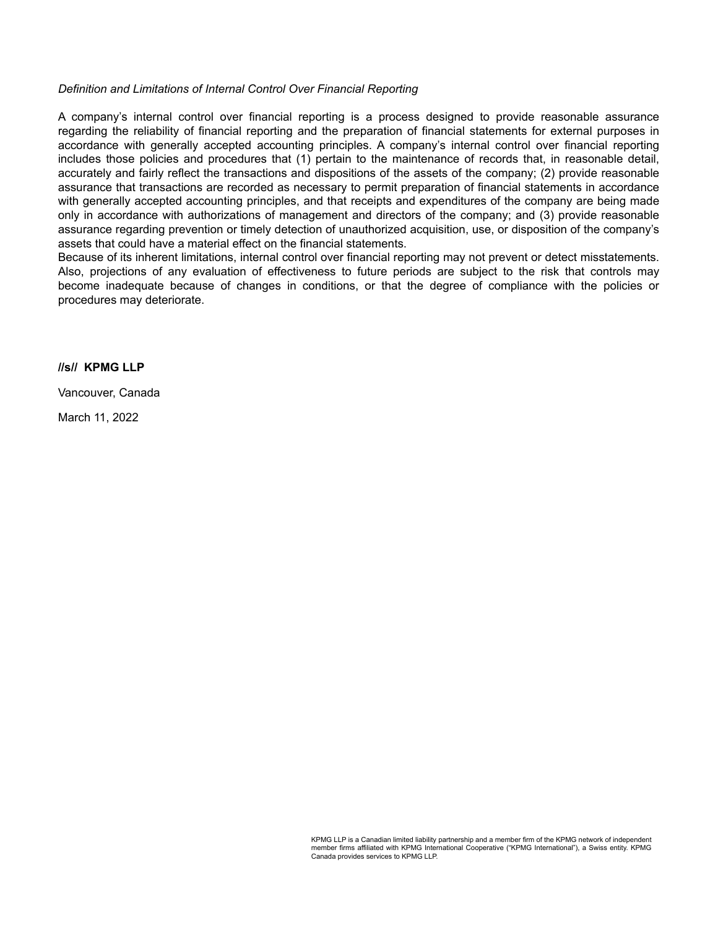## *Definition and Limitations of Internal Control Over Financial Reporting*

A company's internal control over financial reporting is a process designed to provide reasonable assurance regarding the reliability of financial reporting and the preparation of financial statements for external purposes in accordance with generally accepted accounting principles. A company's internal control over financial reporting includes those policies and procedures that (1) pertain to the maintenance of records that, in reasonable detail, accurately and fairly reflect the transactions and dispositions of the assets of the company; (2) provide reasonable assurance that transactions are recorded as necessary to permit preparation of financial statements in accordance with generally accepted accounting principles, and that receipts and expenditures of the company are being made only in accordance with authorizations of management and directors of the company; and (3) provide reasonable assurance regarding prevention or timely detection of unauthorized acquisition, use, or disposition of the company's assets that could have a material effect on the financial statements.

Because of its inherent limitations, internal control over financial reporting may not prevent or detect misstatements. Also, projections of any evaluation of effectiveness to future periods are subject to the risk that controls may become inadequate because of changes in conditions, or that the degree of compliance with the policies or procedures may deteriorate.

**//s// KPMG LLP**

Vancouver, Canada

March 11, 2022

KPMG LLP is a Canadian limited liability partnership and a member firm of the KPMG network of independent member firms affiliated with KPMG International Cooperative ("KPMG International"), a Swiss entity. KPMG Canada provides services to KPMG LLP.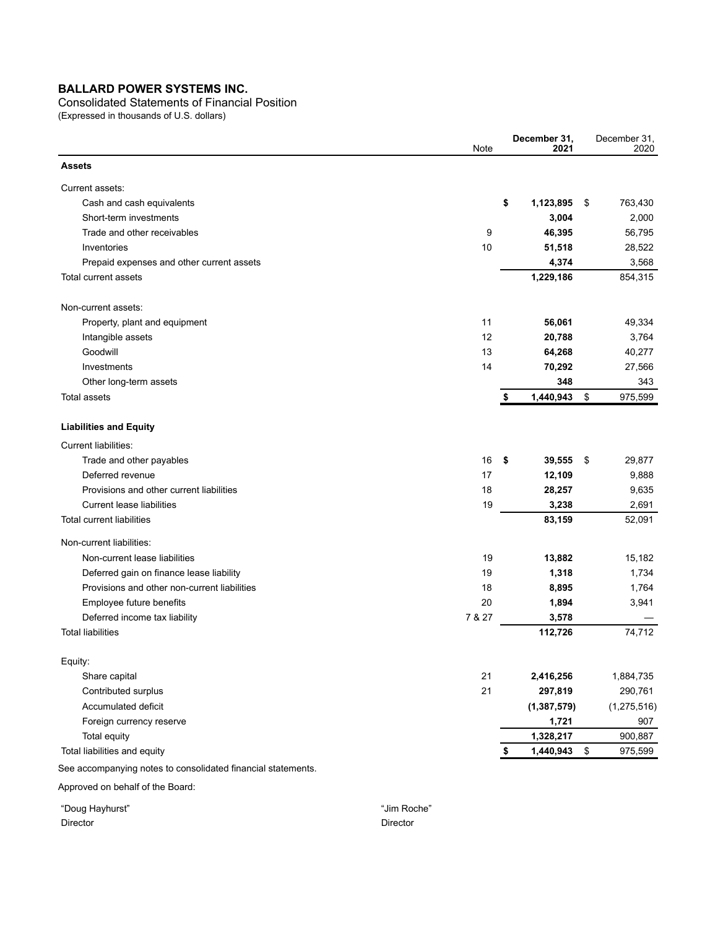# Consolidated Statements of Financial Position

(Expressed in thousands of U.S. dollars)

|                                                              | Note   | December 31,<br>2021 |      | December 31,<br>2020 |
|--------------------------------------------------------------|--------|----------------------|------|----------------------|
| <b>Assets</b>                                                |        |                      |      |                      |
| Current assets:                                              |        |                      |      |                      |
| Cash and cash equivalents                                    |        | \$<br>1,123,895      | \$   | 763,430              |
| Short-term investments                                       |        | 3,004                |      | 2,000                |
| Trade and other receivables                                  | 9      | 46,395               |      | 56,795               |
| Inventories                                                  | 10     | 51,518               |      | 28,522               |
| Prepaid expenses and other current assets                    |        | 4,374                |      | 3,568                |
| <b>Total current assets</b>                                  |        | 1,229,186            |      | 854,315              |
| Non-current assets:                                          |        |                      |      |                      |
| Property, plant and equipment                                | 11     | 56,061               |      | 49,334               |
| Intangible assets                                            | 12     | 20,788               |      | 3,764                |
| Goodwill                                                     | 13     | 64,268               |      | 40,277               |
| Investments                                                  | 14     | 70,292               |      | 27,566               |
| Other long-term assets                                       |        | 348                  |      | 343                  |
| Total assets                                                 |        | \$<br>1,440,943      | \$   | 975,599              |
| <b>Liabilities and Equity</b>                                |        |                      |      |                      |
| Current liabilities:                                         |        |                      |      |                      |
| Trade and other payables                                     | 16     | \$<br>39,555         | -\$  | 29,877               |
| Deferred revenue                                             | 17     | 12,109               |      | 9,888                |
| Provisions and other current liabilities                     | 18     | 28,257               |      | 9,635                |
| <b>Current lease liabilities</b>                             | 19     | 3,238                |      | 2,691                |
| <b>Total current liabilities</b>                             |        | 83,159               |      | 52,091               |
| Non-current liabilities:                                     |        |                      |      |                      |
| Non-current lease liabilities                                | 19     | 13,882               |      | 15,182               |
| Deferred gain on finance lease liability                     | 19     | 1,318                |      | 1,734                |
| Provisions and other non-current liabilities                 | 18     | 8,895                |      | 1,764                |
| Employee future benefits                                     | 20     | 1,894                |      | 3,941                |
| Deferred income tax liability                                | 7 & 27 | 3,578                |      |                      |
| <b>Total liabilities</b>                                     |        | 112,726              |      | 74,712               |
| Equity:                                                      |        |                      |      |                      |
| Share capital                                                | 21     | 2,416,256            |      | 1,884,735            |
| Contributed surplus                                          | 21     | 297,819              |      | 290,761              |
| Accumulated deficit                                          |        | (1,387,579)          |      | (1, 275, 516)        |
| Foreign currency reserve                                     |        | 1,721                |      | 907                  |
| Total equity                                                 |        | 1,328,217            |      | 900,887              |
| Total liabilities and equity                                 |        | \$<br>1,440,943      | $\,$ | 975,599              |
| See accompanying notes to consolidated financial statements. |        |                      |      |                      |
|                                                              |        |                      |      |                      |

Approved on behalf of the Board:

"Doug Hayhurst" "Jim Roche" Director Director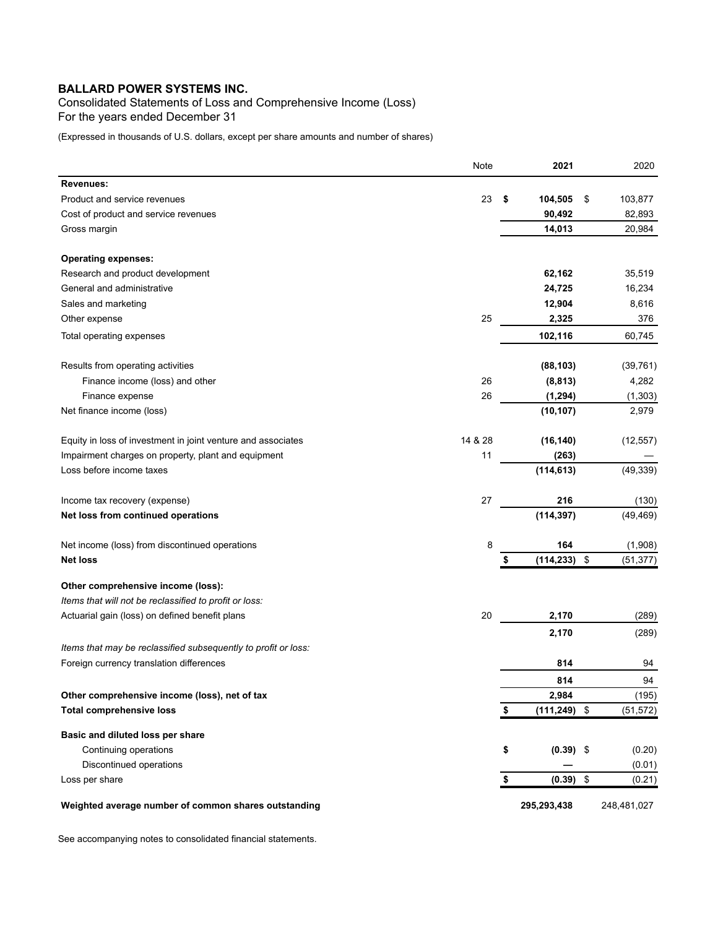# Consolidated Statements of Loss and Comprehensive Income (Loss) For the years ended December 31

(Expressed in thousands of U.S. dollars, except per share amounts and number of shares)

|                                                                                                            | Note    |    | 2021            | 2020          |
|------------------------------------------------------------------------------------------------------------|---------|----|-----------------|---------------|
| Revenues:                                                                                                  |         |    |                 |               |
| Product and service revenues                                                                               | 23      | \$ | 104,505         | \$<br>103,877 |
| Cost of product and service revenues                                                                       |         |    | 90,492          | 82,893        |
| Gross margin                                                                                               |         |    | 14,013          | 20,984        |
| <b>Operating expenses:</b>                                                                                 |         |    |                 |               |
| Research and product development                                                                           |         |    | 62,162          | 35,519        |
| General and administrative                                                                                 |         |    | 24,725          | 16,234        |
| Sales and marketing                                                                                        |         |    | 12,904          | 8,616         |
| Other expense                                                                                              | 25      |    | 2,325           | 376           |
| Total operating expenses                                                                                   |         |    | 102,116         | 60,745        |
| Results from operating activities                                                                          |         |    | (88, 103)       | (39, 761)     |
| Finance income (loss) and other                                                                            | 26      |    | (8, 813)        | 4,282         |
| Finance expense                                                                                            | 26      |    | (1, 294)        | (1, 303)      |
| Net finance income (loss)                                                                                  |         |    | (10, 107)       | 2,979         |
| Equity in loss of investment in joint venture and associates                                               | 14 & 28 |    | (16, 140)       | (12, 557)     |
| Impairment charges on property, plant and equipment                                                        | 11      |    | (263)           |               |
| Loss before income taxes                                                                                   |         |    | (114, 613)      | (49, 339)     |
| Income tax recovery (expense)                                                                              | 27      |    | 216             | (130)         |
| Net loss from continued operations                                                                         |         |    | (114, 397)      | (49, 469)     |
| Net income (loss) from discontinued operations                                                             | 8       |    | 164             | (1,908)       |
| <b>Net loss</b>                                                                                            |         | S  | $(114, 233)$ \$ | (51, 377)     |
| Other comprehensive income (loss):                                                                         |         |    |                 |               |
| Items that will not be reclassified to profit or loss:                                                     |         |    |                 |               |
| Actuarial gain (loss) on defined benefit plans                                                             | 20      |    | 2,170           | (289)         |
|                                                                                                            |         |    | 2,170           | (289)         |
| Items that may be reclassified subsequently to profit or loss:<br>Foreign currency translation differences |         |    | 814             | 94            |
|                                                                                                            |         |    | 814             | 94            |
| Other comprehensive income (loss), net of tax                                                              |         |    | 2,984           | (195)         |
| <b>Total comprehensive loss</b>                                                                            |         | \$ | $(111, 249)$ \$ | (51, 572)     |
| Basic and diluted loss per share                                                                           |         |    |                 |               |
| Continuing operations                                                                                      |         | \$ | $(0.39)$ \$     | (0.20)        |
| Discontinued operations                                                                                    |         |    |                 | (0.01)        |
| Loss per share                                                                                             |         | \$ | $(0.39)$ \$     | (0.21)        |
| Weighted average number of common shares outstanding                                                       |         |    | 295,293,438     | 248,481,027   |

See accompanying notes to consolidated financial statements.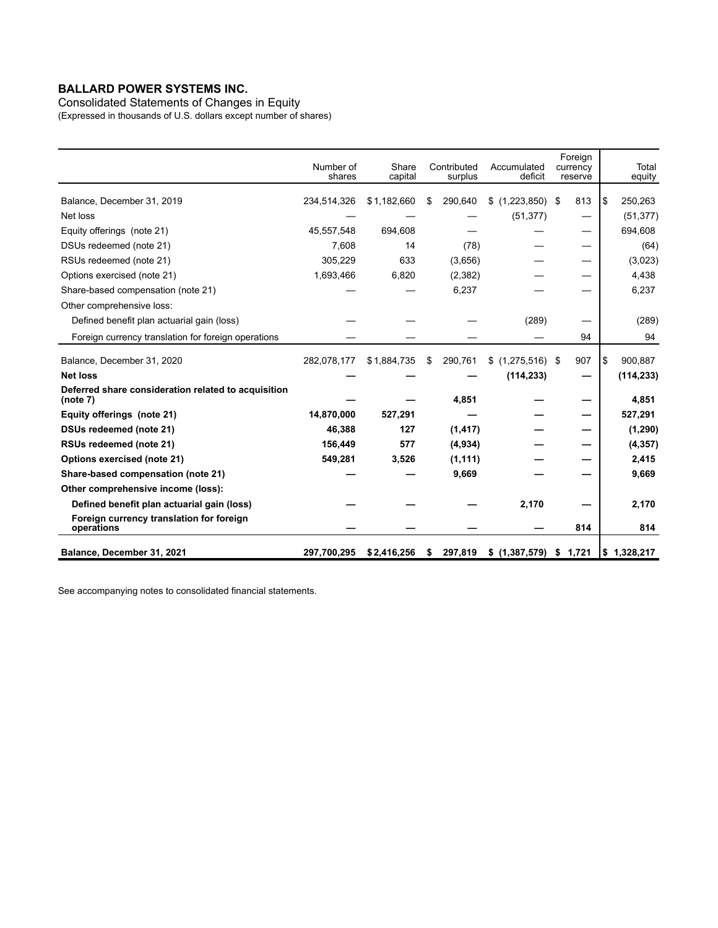Consolidated Statements of Changes in Equity (Expressed in thousands of U.S. dollars except number of shares)

|                                                                 | Number of<br>shares | Share<br>capital |    | Contributed<br>surplus | Accumulated<br>deficit | Foreign<br>currency<br>reserve |    | Total<br>equity |
|-----------------------------------------------------------------|---------------------|------------------|----|------------------------|------------------------|--------------------------------|----|-----------------|
| Balance, December 31, 2019                                      | 234,514,326         | \$1,182,660      | S  | 290,640                | $$(1,223,850)$ \,      | 813                            | \$ | 250,263         |
| Net loss                                                        |                     |                  |    |                        | (51, 377)              |                                |    | (51, 377)       |
| Equity offerings (note 21)                                      | 45,557,548          | 694,608          |    |                        |                        |                                |    | 694,608         |
| DSUs redeemed (note 21)                                         | 7,608               | 14               |    | (78)                   |                        |                                |    | (64)            |
| RSUs redeemed (note 21)                                         | 305,229             | 633              |    | (3,656)                |                        |                                |    | (3,023)         |
| Options exercised (note 21)                                     | 1,693,466           | 6.820            |    | (2,382)                |                        |                                |    | 4,438           |
| Share-based compensation (note 21)                              |                     |                  |    | 6,237                  |                        |                                |    | 6,237           |
| Other comprehensive loss:                                       |                     |                  |    |                        |                        |                                |    |                 |
| Defined benefit plan actuarial gain (loss)                      |                     |                  |    |                        | (289)                  |                                |    | (289)           |
| Foreign currency translation for foreign operations             |                     |                  |    |                        |                        | 94                             |    | 94              |
| Balance, December 31, 2020                                      | 282,078,177         | \$1,884,735      | \$ | 290,761                | $$(1,275,516)$ \,      | 907                            | S  | 900,887         |
| <b>Net loss</b>                                                 |                     |                  |    |                        | (114, 233)             |                                |    | (114, 233)      |
| Deferred share consideration related to acquisition<br>(note 7) |                     |                  |    | 4,851                  |                        |                                |    | 4.851           |
| Equity offerings (note 21)                                      | 14,870,000          | 527,291          |    |                        |                        |                                |    | 527,291         |
| DSUs redeemed (note 21)                                         | 46,388              | 127              |    | (1, 417)               |                        |                                |    | (1, 290)        |
| RSUs redeemed (note 21)                                         | 156,449             | 577              |    | (4, 934)               |                        |                                |    | (4, 357)        |
| <b>Options exercised (note 21)</b>                              | 549,281             | 3,526            |    | (1, 111)               |                        |                                |    | 2,415           |
| Share-based compensation (note 21)                              |                     |                  |    | 9,669                  |                        |                                |    | 9,669           |
| Other comprehensive income (loss):                              |                     |                  |    |                        |                        |                                |    |                 |
| Defined benefit plan actuarial gain (loss)                      |                     |                  |    |                        | 2,170                  |                                |    | 2,170           |
| Foreign currency translation for foreign<br>operations          |                     |                  |    |                        |                        | 814                            |    | 814             |
| Balance, December 31, 2021                                      | 297,700,295         | \$2,416,256      | \$ | 297,819                | \$(1,387,579) \$1,721  |                                |    | \$1,328,217     |

See accompanying notes to consolidated financial statements.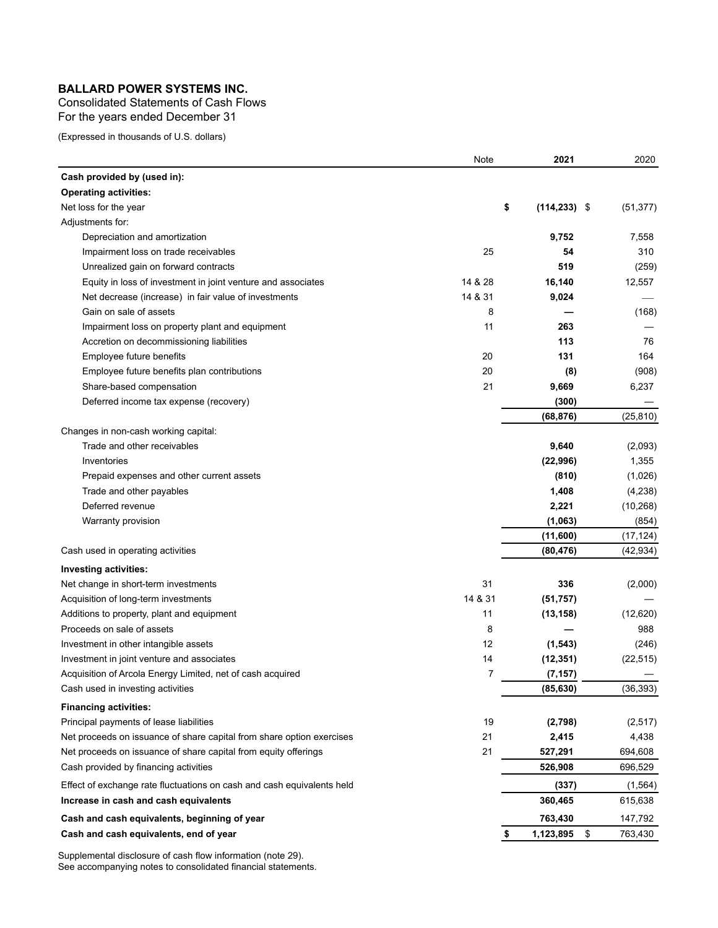## Consolidated Statements of Cash Flows For the years ended December 31

(Expressed in thousands of U.S. dollars)

|                                                                        | Note           | 2021            | 2020      |
|------------------------------------------------------------------------|----------------|-----------------|-----------|
| Cash provided by (used in):                                            |                |                 |           |
| <b>Operating activities:</b>                                           |                |                 |           |
| Net loss for the year                                                  | \$             | $(114, 233)$ \$ | (51, 377) |
| Adjustments for:                                                       |                |                 |           |
| Depreciation and amortization                                          |                | 9,752           | 7,558     |
| Impairment loss on trade receivables                                   | 25             | 54              | 310       |
| Unrealized gain on forward contracts                                   |                | 519             | (259)     |
| Equity in loss of investment in joint venture and associates           | 14 & 28        | 16,140          | 12,557    |
| Net decrease (increase) in fair value of investments                   | 14 & 31        | 9,024           |           |
| Gain on sale of assets                                                 | 8              |                 | (168)     |
| Impairment loss on property plant and equipment                        | 11             | 263             |           |
| Accretion on decommissioning liabilities                               |                | 113             | 76        |
| Employee future benefits                                               | 20             | 131             | 164       |
| Employee future benefits plan contributions                            | 20             | (8)             | (908)     |
| Share-based compensation                                               | 21             | 9,669           | 6,237     |
| Deferred income tax expense (recovery)                                 |                | (300)           |           |
|                                                                        |                | (68, 876)       | (25, 810) |
| Changes in non-cash working capital:                                   |                |                 |           |
| Trade and other receivables                                            |                | 9,640           | (2,093)   |
| Inventories                                                            |                | (22, 996)       | 1,355     |
| Prepaid expenses and other current assets                              |                | (810)           | (1,026)   |
| Trade and other payables                                               |                | 1,408           | (4,238)   |
| Deferred revenue                                                       |                | 2,221           | (10, 268) |
| Warranty provision                                                     |                | (1,063)         | (854)     |
|                                                                        |                | (11,600)        | (17, 124) |
| Cash used in operating activities                                      |                | (80, 476)       | (42, 934) |
| <b>Investing activities:</b>                                           |                |                 |           |
| Net change in short-term investments                                   | 31             | 336             | (2,000)   |
| Acquisition of long-term investments                                   | 14 & 31        | (51, 757)       |           |
| Additions to property, plant and equipment                             | 11             | (13, 158)       | (12,620)  |
| Proceeds on sale of assets                                             | 8              |                 | 988       |
| Investment in other intangible assets                                  | 12             | (1, 543)        | (246)     |
| Investment in joint venture and associates                             | 14             | (12, 351)       | (22, 515) |
| Acquisition of Arcola Energy Limited, net of cash acquired             | $\overline{7}$ | (7, 157)        |           |
| Cash used in investing activities                                      |                | (85, 630)       | (36, 393) |
| <b>Financing activities:</b>                                           |                |                 |           |
| Principal payments of lease liabilities                                | 19             | (2,798)         | (2,517)   |
| Net proceeds on issuance of share capital from share option exercises  | 21             | 2,415           | 4,438     |
| Net proceeds on issuance of share capital from equity offerings        | 21             | 527,291         | 694,608   |
| Cash provided by financing activities                                  |                | 526,908         | 696,529   |
| Effect of exchange rate fluctuations on cash and cash equivalents held |                | (337)           | (1, 564)  |
| Increase in cash and cash equivalents                                  |                | 360,465         | 615,638   |
| Cash and cash equivalents, beginning of year                           |                | 763,430         | 147,792   |
| Cash and cash equivalents, end of year                                 | \$             | 1,123,895<br>\$ | 763,430   |
|                                                                        |                |                 |           |

Supplemental disclosure of cash flow information (note 29). See accompanying notes to consolidated financial statements.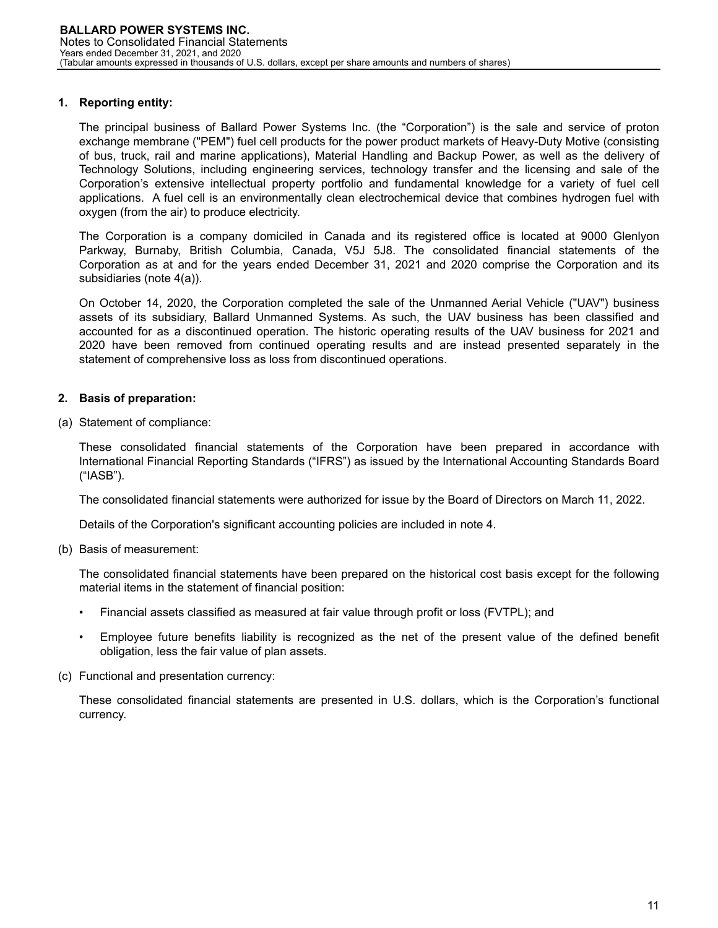# **1. Reporting entity:**

The principal business of Ballard Power Systems Inc. (the "Corporation") is the sale and service of proton exchange membrane ("PEM") fuel cell products for the power product markets of Heavy-Duty Motive (consisting of bus, truck, rail and marine applications), Material Handling and Backup Power, as well as the delivery of Technology Solutions, including engineering services, technology transfer and the licensing and sale of the Corporation's extensive intellectual property portfolio and fundamental knowledge for a variety of fuel cell applications. A fuel cell is an environmentally clean electrochemical device that combines hydrogen fuel with oxygen (from the air) to produce electricity.

The Corporation is a company domiciled in Canada and its registered office is located at 9000 Glenlyon Parkway, Burnaby, British Columbia, Canada, V5J 5J8. The consolidated financial statements of the Corporation as at and for the years ended December 31, 2021 and 2020 comprise the Corporation and its subsidiaries (note 4(a)).

On October 14, 2020, the Corporation completed the sale of the Unmanned Aerial Vehicle ("UAV") business assets of its subsidiary, Ballard Unmanned Systems. As such, the UAV business has been classified and accounted for as a discontinued operation. The historic operating results of the UAV business for 2021 and 2020 have been removed from continued operating results and are instead presented separately in the statement of comprehensive loss as loss from discontinued operations.

# **2. Basis of preparation:**

(a) Statement of compliance:

These consolidated financial statements of the Corporation have been prepared in accordance with International Financial Reporting Standards ("IFRS") as issued by the International Accounting Standards Board ("IASB").

The consolidated financial statements were authorized for issue by the Board of Directors on March 11, 2022.

Details of the Corporation's significant accounting policies are included in note 4.

(b) Basis of measurement:

The consolidated financial statements have been prepared on the historical cost basis except for the following material items in the statement of financial position:

- Financial assets classified as measured at fair value through profit or loss (FVTPL); and
- Employee future benefits liability is recognized as the net of the present value of the defined benefit obligation, less the fair value of plan assets.
- (c) Functional and presentation currency:

These consolidated financial statements are presented in U.S. dollars, which is the Corporation's functional currency.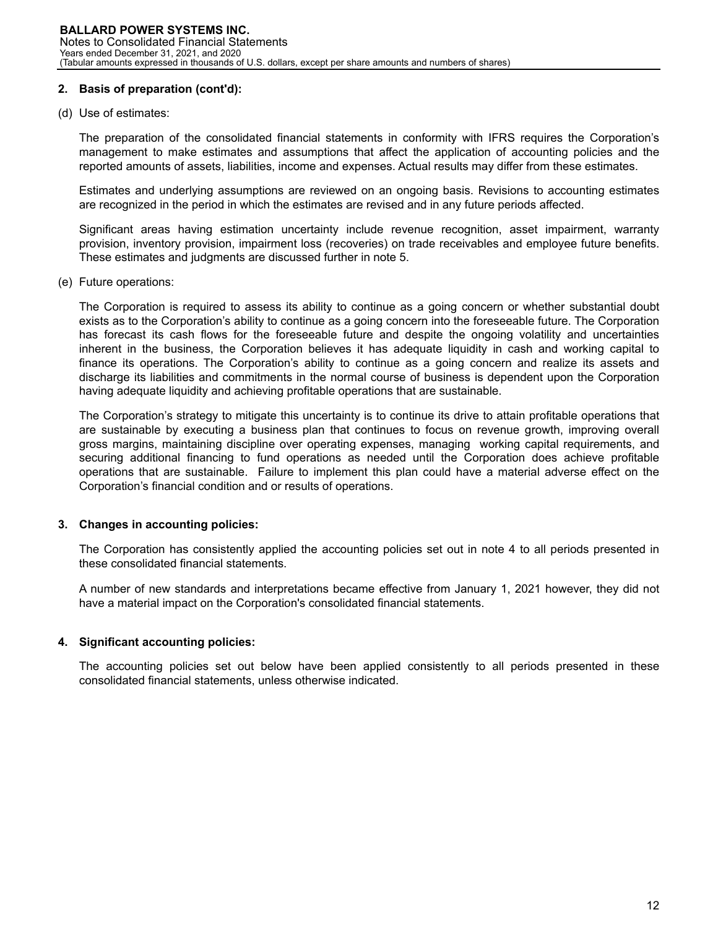## **2. Basis of preparation (cont'd):**

(d) Use of estimates:

The preparation of the consolidated financial statements in conformity with IFRS requires the Corporation's management to make estimates and assumptions that affect the application of accounting policies and the reported amounts of assets, liabilities, income and expenses. Actual results may differ from these estimates.

Estimates and underlying assumptions are reviewed on an ongoing basis. Revisions to accounting estimates are recognized in the period in which the estimates are revised and in any future periods affected.

Significant areas having estimation uncertainty include revenue recognition, asset impairment, warranty provision, inventory provision, impairment loss (recoveries) on trade receivables and employee future benefits. These estimates and judgments are discussed further in note 5.

(e) Future operations:

The Corporation is required to assess its ability to continue as a going concern or whether substantial doubt exists as to the Corporation's ability to continue as a going concern into the foreseeable future. The Corporation has forecast its cash flows for the foreseeable future and despite the ongoing volatility and uncertainties inherent in the business, the Corporation believes it has adequate liquidity in cash and working capital to finance its operations. The Corporation's ability to continue as a going concern and realize its assets and discharge its liabilities and commitments in the normal course of business is dependent upon the Corporation having adequate liquidity and achieving profitable operations that are sustainable.

The Corporation's strategy to mitigate this uncertainty is to continue its drive to attain profitable operations that are sustainable by executing a business plan that continues to focus on revenue growth, improving overall gross margins, maintaining discipline over operating expenses, managing working capital requirements, and securing additional financing to fund operations as needed until the Corporation does achieve profitable operations that are sustainable. Failure to implement this plan could have a material adverse effect on the Corporation's financial condition and or results of operations.

#### **3. Changes in accounting policies:**

The Corporation has consistently applied the accounting policies set out in note 4 to all periods presented in these consolidated financial statements.

A number of new standards and interpretations became effective from January 1, 2021 however, they did not have a material impact on the Corporation's consolidated financial statements.

#### **4. Significant accounting policies:**

The accounting policies set out below have been applied consistently to all periods presented in these consolidated financial statements, unless otherwise indicated.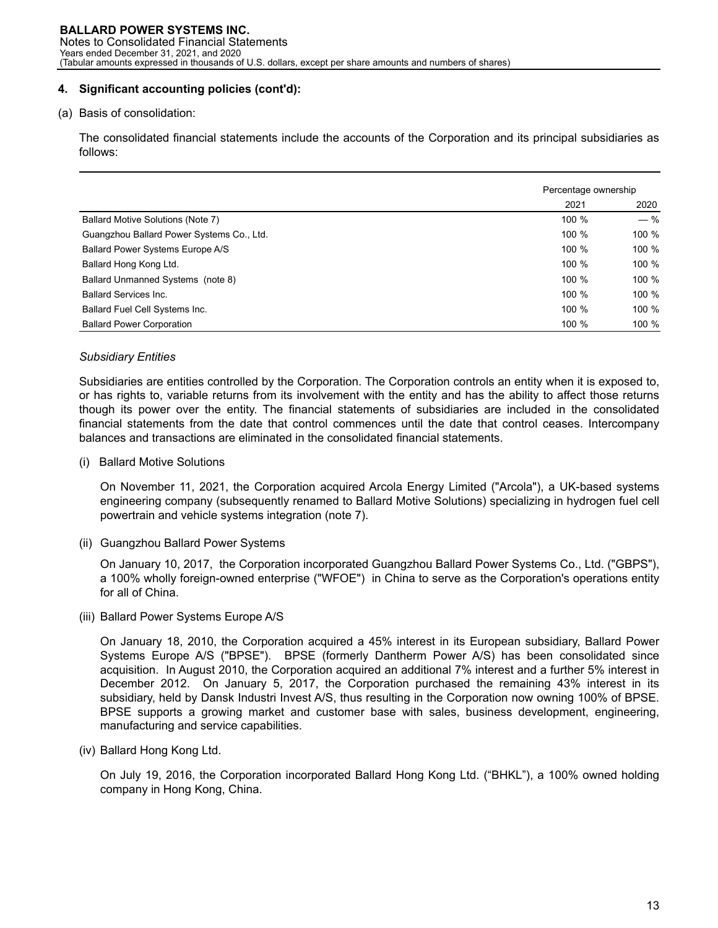#### (a) Basis of consolidation:

The consolidated financial statements include the accounts of the Corporation and its principal subsidiaries as follows:

|                                           |          | Percentage ownership |  |  |
|-------------------------------------------|----------|----------------------|--|--|
|                                           | 2021     | 2020                 |  |  |
| Ballard Motive Solutions (Note 7)         | 100 %    | $-$ %                |  |  |
| Guangzhou Ballard Power Systems Co., Ltd. | 100 $%$  | 100 %                |  |  |
| Ballard Power Systems Europe A/S          | $100 \%$ | 100 %                |  |  |
| Ballard Hong Kong Ltd.                    | 100 %    | 100 %                |  |  |
| Ballard Unmanned Systems (note 8)         | 100 $%$  | 100 %                |  |  |
| <b>Ballard Services Inc.</b>              | $100 \%$ | 100 %                |  |  |
| Ballard Fuel Cell Systems Inc.            | $100 \%$ | 100 %                |  |  |
| <b>Ballard Power Corporation</b>          | 100 $%$  | 100 %                |  |  |

## *Subsidiary Entities*

Subsidiaries are entities controlled by the Corporation. The Corporation controls an entity when it is exposed to, or has rights to, variable returns from its involvement with the entity and has the ability to affect those returns though its power over the entity. The financial statements of subsidiaries are included in the consolidated financial statements from the date that control commences until the date that control ceases. Intercompany balances and transactions are eliminated in the consolidated financial statements.

(i) Ballard Motive Solutions

On November 11, 2021, the Corporation acquired Arcola Energy Limited ("Arcola"), a UK-based systems engineering company (subsequently renamed to Ballard Motive Solutions) specializing in hydrogen fuel cell powertrain and vehicle systems integration (note 7).

(ii) Guangzhou Ballard Power Systems

On January 10, 2017, the Corporation incorporated Guangzhou Ballard Power Systems Co., Ltd. ("GBPS"), a 100% wholly foreign-owned enterprise ("WFOE") in China to serve as the Corporation's operations entity for all of China.

(iii) Ballard Power Systems Europe A/S

On January 18, 2010, the Corporation acquired a 45% interest in its European subsidiary, Ballard Power Systems Europe A/S ("BPSE"). BPSE (formerly Dantherm Power A/S) has been consolidated since acquisition. In August 2010, the Corporation acquired an additional 7% interest and a further 5% interest in December 2012. On January 5, 2017, the Corporation purchased the remaining 43% interest in its subsidiary, held by Dansk Industri Invest A/S, thus resulting in the Corporation now owning 100% of BPSE. BPSE supports a growing market and customer base with sales, business development, engineering, manufacturing and service capabilities.

(iv) Ballard Hong Kong Ltd.

On July 19, 2016, the Corporation incorporated Ballard Hong Kong Ltd. ("BHKL"), a 100% owned holding company in Hong Kong, China.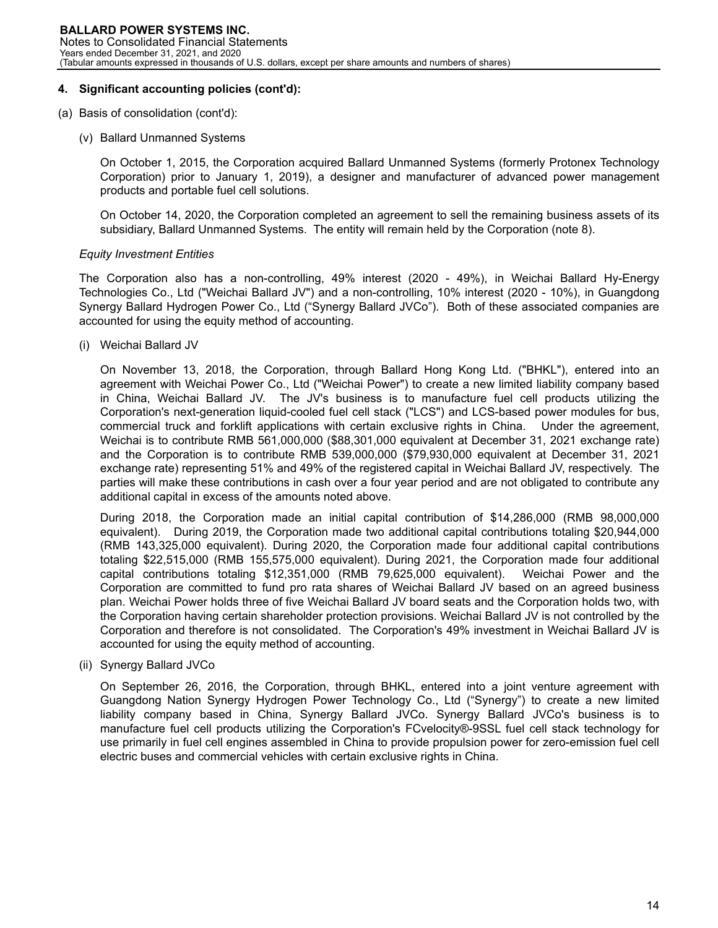- (a) Basis of consolidation (cont'd):
	- (v) Ballard Unmanned Systems

On October 1, 2015, the Corporation acquired Ballard Unmanned Systems (formerly Protonex Technology Corporation) prior to January 1, 2019), a designer and manufacturer of advanced power management products and portable fuel cell solutions.

On October 14, 2020, the Corporation completed an agreement to sell the remaining business assets of its subsidiary, Ballard Unmanned Systems. The entity will remain held by the Corporation (note 8).

#### *Equity Investment Entities*

The Corporation also has a non-controlling, 49% interest (2020 - 49%), in Weichai Ballard Hy-Energy Technologies Co., Ltd ("Weichai Ballard JV") and a non-controlling, 10% interest (2020 - 10%), in Guangdong Synergy Ballard Hydrogen Power Co., Ltd ("Synergy Ballard JVCo"). Both of these associated companies are accounted for using the equity method of accounting.

(i) Weichai Ballard JV

On November 13, 2018, the Corporation, through Ballard Hong Kong Ltd. ("BHKL"), entered into an agreement with Weichai Power Co., Ltd ("Weichai Power") to create a new limited liability company based in China, Weichai Ballard JV. The JV's business is to manufacture fuel cell products utilizing the Corporation's next-generation liquid-cooled fuel cell stack ("LCS") and LCS-based power modules for bus, commercial truck and forklift applications with certain exclusive rights in China. Under the agreement, Weichai is to contribute RMB 561,000,000 (\$88,301,000 equivalent at December 31, 2021 exchange rate) and the Corporation is to contribute RMB 539,000,000 (\$79,930,000 equivalent at December 31, 2021 exchange rate) representing 51% and 49% of the registered capital in Weichai Ballard JV, respectively. The parties will make these contributions in cash over a four year period and are not obligated to contribute any additional capital in excess of the amounts noted above.

During 2018, the Corporation made an initial capital contribution of \$14,286,000 (RMB 98,000,000 equivalent). During 2019, the Corporation made two additional capital contributions totaling \$20,944,000 (RMB 143,325,000 equivalent). During 2020, the Corporation made four additional capital contributions totaling \$22,515,000 (RMB 155,575,000 equivalent). During 2021, the Corporation made four additional capital contributions totaling \$12,351,000 (RMB 79,625,000 equivalent). Weichai Power and the Corporation are committed to fund pro rata shares of Weichai Ballard JV based on an agreed business plan. Weichai Power holds three of five Weichai Ballard JV board seats and the Corporation holds two, with the Corporation having certain shareholder protection provisions. Weichai Ballard JV is not controlled by the Corporation and therefore is not consolidated. The Corporation's 49% investment in Weichai Ballard JV is accounted for using the equity method of accounting.

(ii) Synergy Ballard JVCo

On September 26, 2016, the Corporation, through BHKL, entered into a joint venture agreement with Guangdong Nation Synergy Hydrogen Power Technology Co., Ltd ("Synergy") to create a new limited liability company based in China, Synergy Ballard JVCo. Synergy Ballard JVCo's business is to manufacture fuel cell products utilizing the Corporation's FCvelocity®-9SSL fuel cell stack technology for use primarily in fuel cell engines assembled in China to provide propulsion power for zero-emission fuel cell electric buses and commercial vehicles with certain exclusive rights in China.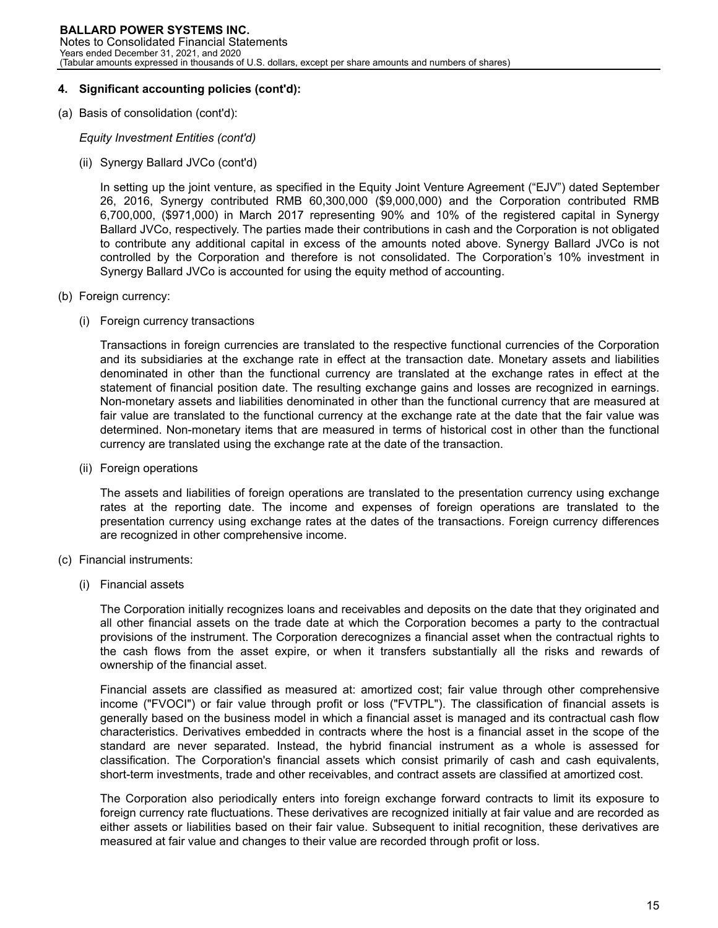(a) Basis of consolidation (cont'd):

*Equity Investment Entities (cont'd)*

(ii) Synergy Ballard JVCo (cont'd)

In setting up the joint venture, as specified in the Equity Joint Venture Agreement ("EJV") dated September 26, 2016, Synergy contributed RMB 60,300,000 (\$9,000,000) and the Corporation contributed RMB 6,700,000, (\$971,000) in March 2017 representing 90% and 10% of the registered capital in Synergy Ballard JVCo, respectively. The parties made their contributions in cash and the Corporation is not obligated to contribute any additional capital in excess of the amounts noted above. Synergy Ballard JVCo is not controlled by the Corporation and therefore is not consolidated. The Corporation's 10% investment in Synergy Ballard JVCo is accounted for using the equity method of accounting.

- (b) Foreign currency:
	- (i) Foreign currency transactions

Transactions in foreign currencies are translated to the respective functional currencies of the Corporation and its subsidiaries at the exchange rate in effect at the transaction date. Monetary assets and liabilities denominated in other than the functional currency are translated at the exchange rates in effect at the statement of financial position date. The resulting exchange gains and losses are recognized in earnings. Non-monetary assets and liabilities denominated in other than the functional currency that are measured at fair value are translated to the functional currency at the exchange rate at the date that the fair value was determined. Non-monetary items that are measured in terms of historical cost in other than the functional currency are translated using the exchange rate at the date of the transaction.

(ii) Foreign operations

The assets and liabilities of foreign operations are translated to the presentation currency using exchange rates at the reporting date. The income and expenses of foreign operations are translated to the presentation currency using exchange rates at the dates of the transactions. Foreign currency differences are recognized in other comprehensive income.

- (c) Financial instruments:
	- (i) Financial assets

The Corporation initially recognizes loans and receivables and deposits on the date that they originated and all other financial assets on the trade date at which the Corporation becomes a party to the contractual provisions of the instrument. The Corporation derecognizes a financial asset when the contractual rights to the cash flows from the asset expire, or when it transfers substantially all the risks and rewards of ownership of the financial asset.

Financial assets are classified as measured at: amortized cost; fair value through other comprehensive income ("FVOCI") or fair value through profit or loss ("FVTPL"). The classification of financial assets is generally based on the business model in which a financial asset is managed and its contractual cash flow characteristics. Derivatives embedded in contracts where the host is a financial asset in the scope of the standard are never separated. Instead, the hybrid financial instrument as a whole is assessed for classification. The Corporation's financial assets which consist primarily of cash and cash equivalents, short-term investments, trade and other receivables, and contract assets are classified at amortized cost.

The Corporation also periodically enters into foreign exchange forward contracts to limit its exposure to foreign currency rate fluctuations. These derivatives are recognized initially at fair value and are recorded as either assets or liabilities based on their fair value. Subsequent to initial recognition, these derivatives are measured at fair value and changes to their value are recorded through profit or loss.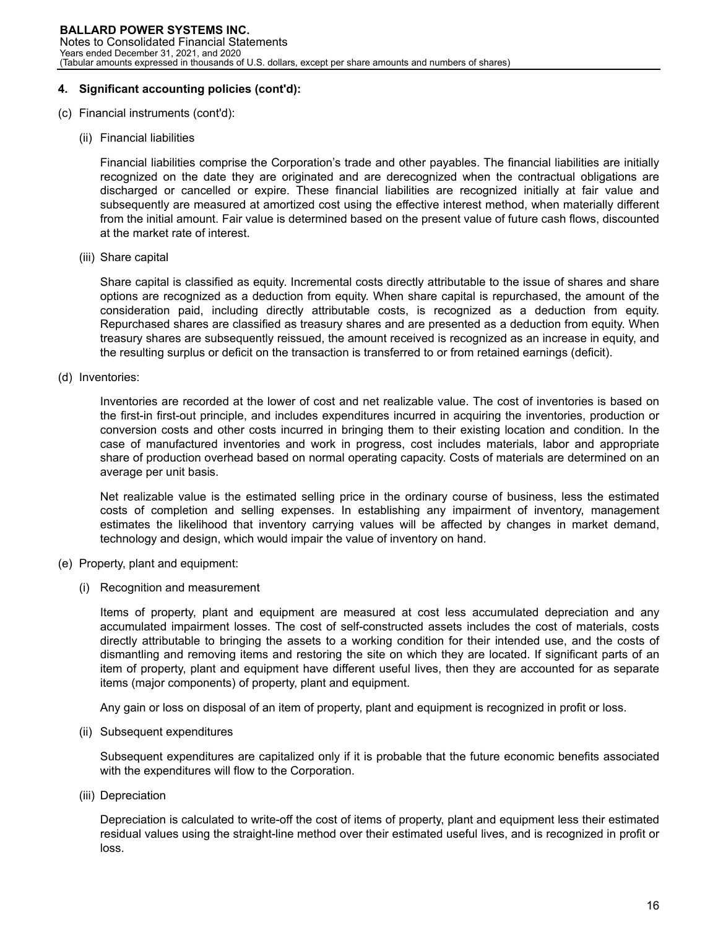- (c) Financial instruments (cont'd):
	- (ii) Financial liabilities

Financial liabilities comprise the Corporation's trade and other payables. The financial liabilities are initially recognized on the date they are originated and are derecognized when the contractual obligations are discharged or cancelled or expire. These financial liabilities are recognized initially at fair value and subsequently are measured at amortized cost using the effective interest method, when materially different from the initial amount. Fair value is determined based on the present value of future cash flows, discounted at the market rate of interest.

(iii) Share capital

Share capital is classified as equity. Incremental costs directly attributable to the issue of shares and share options are recognized as a deduction from equity. When share capital is repurchased, the amount of the consideration paid, including directly attributable costs, is recognized as a deduction from equity. Repurchased shares are classified as treasury shares and are presented as a deduction from equity. When treasury shares are subsequently reissued, the amount received is recognized as an increase in equity, and the resulting surplus or deficit on the transaction is transferred to or from retained earnings (deficit).

(d) Inventories:

Inventories are recorded at the lower of cost and net realizable value. The cost of inventories is based on the first-in first-out principle, and includes expenditures incurred in acquiring the inventories, production or conversion costs and other costs incurred in bringing them to their existing location and condition. In the case of manufactured inventories and work in progress, cost includes materials, labor and appropriate share of production overhead based on normal operating capacity. Costs of materials are determined on an average per unit basis.

Net realizable value is the estimated selling price in the ordinary course of business, less the estimated costs of completion and selling expenses. In establishing any impairment of inventory, management estimates the likelihood that inventory carrying values will be affected by changes in market demand, technology and design, which would impair the value of inventory on hand.

- (e) Property, plant and equipment:
	- (i) Recognition and measurement

Items of property, plant and equipment are measured at cost less accumulated depreciation and any accumulated impairment losses. The cost of self-constructed assets includes the cost of materials, costs directly attributable to bringing the assets to a working condition for their intended use, and the costs of dismantling and removing items and restoring the site on which they are located. If significant parts of an item of property, plant and equipment have different useful lives, then they are accounted for as separate items (major components) of property, plant and equipment.

Any gain or loss on disposal of an item of property, plant and equipment is recognized in profit or loss.

(ii) Subsequent expenditures

Subsequent expenditures are capitalized only if it is probable that the future economic benefits associated with the expenditures will flow to the Corporation.

(iii) Depreciation

Depreciation is calculated to write-off the cost of items of property, plant and equipment less their estimated residual values using the straight-line method over their estimated useful lives, and is recognized in profit or loss.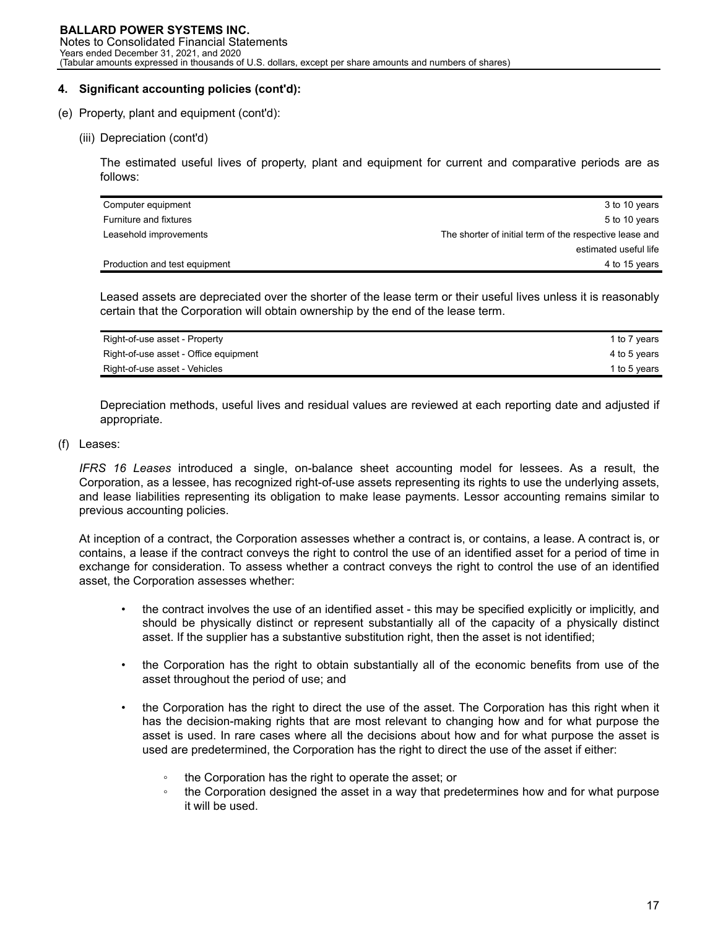- (e) Property, plant and equipment (cont'd):
	- (iii) Depreciation (cont'd)

The estimated useful lives of property, plant and equipment for current and comparative periods are as follows:

| Computer equipment            | 3 to 10 years                                           |
|-------------------------------|---------------------------------------------------------|
| Furniture and fixtures        | 5 to 10 years                                           |
| Leasehold improvements        | The shorter of initial term of the respective lease and |
|                               | estimated useful life                                   |
| Production and test equipment | 4 to 15 years                                           |

Leased assets are depreciated over the shorter of the lease term or their useful lives unless it is reasonably certain that the Corporation will obtain ownership by the end of the lease term.

| Right-of-use asset - Property         | 1 to 7 years |
|---------------------------------------|--------------|
| Right-of-use asset - Office equipment | 4 to 5 years |
| Right-of-use asset - Vehicles         | 1 to 5 years |

Depreciation methods, useful lives and residual values are reviewed at each reporting date and adjusted if appropriate.

#### (f) Leases:

*IFRS 16 Leases* introduced a single, on-balance sheet accounting model for lessees. As a result, the Corporation, as a lessee, has recognized right-of-use assets representing its rights to use the underlying assets, and lease liabilities representing its obligation to make lease payments. Lessor accounting remains similar to previous accounting policies.

At inception of a contract, the Corporation assesses whether a contract is, or contains, a lease. A contract is, or contains, a lease if the contract conveys the right to control the use of an identified asset for a period of time in exchange for consideration. To assess whether a contract conveys the right to control the use of an identified asset, the Corporation assesses whether:

- the contract involves the use of an identified asset this may be specified explicitly or implicitly, and should be physically distinct or represent substantially all of the capacity of a physically distinct asset. If the supplier has a substantive substitution right, then the asset is not identified;
- the Corporation has the right to obtain substantially all of the economic benefits from use of the asset throughout the period of use; and
- the Corporation has the right to direct the use of the asset. The Corporation has this right when it has the decision-making rights that are most relevant to changing how and for what purpose the asset is used. In rare cases where all the decisions about how and for what purpose the asset is used are predetermined, the Corporation has the right to direct the use of the asset if either:
	- the Corporation has the right to operate the asset; or
	- the Corporation designed the asset in a way that predetermines how and for what purpose it will be used.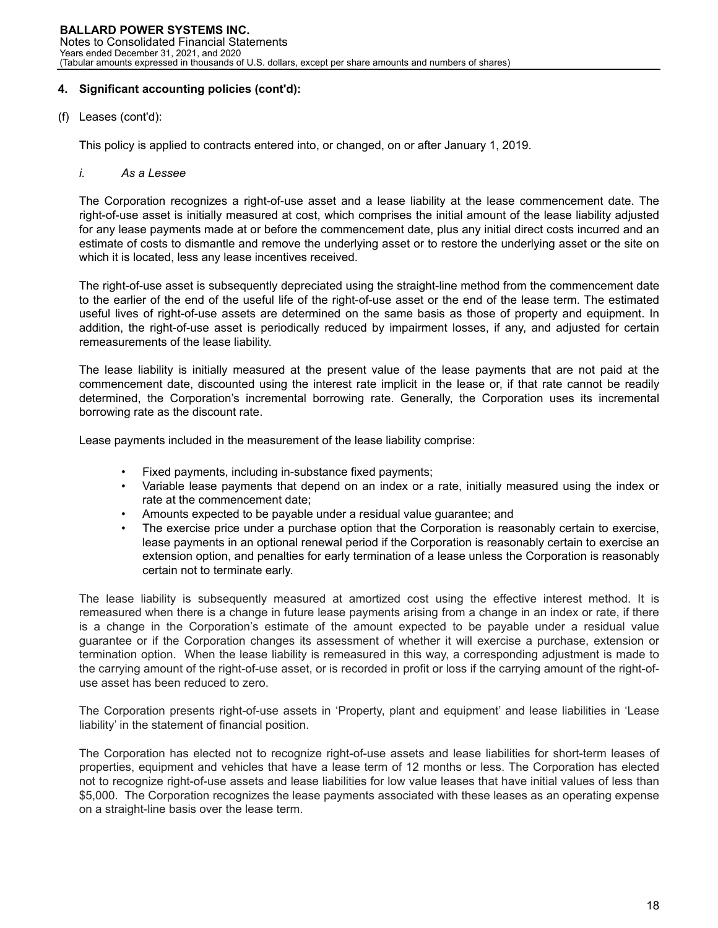## (f) Leases (cont'd):

This policy is applied to contracts entered into, or changed, on or after January 1, 2019.

## *i. As a Lessee*

The Corporation recognizes a right-of-use asset and a lease liability at the lease commencement date. The right-of-use asset is initially measured at cost, which comprises the initial amount of the lease liability adjusted for any lease payments made at or before the commencement date, plus any initial direct costs incurred and an estimate of costs to dismantle and remove the underlying asset or to restore the underlying asset or the site on which it is located, less any lease incentives received.

The right-of-use asset is subsequently depreciated using the straight-line method from the commencement date to the earlier of the end of the useful life of the right-of-use asset or the end of the lease term. The estimated useful lives of right-of-use assets are determined on the same basis as those of property and equipment. In addition, the right-of-use asset is periodically reduced by impairment losses, if any, and adjusted for certain remeasurements of the lease liability.

The lease liability is initially measured at the present value of the lease payments that are not paid at the commencement date, discounted using the interest rate implicit in the lease or, if that rate cannot be readily determined, the Corporation's incremental borrowing rate. Generally, the Corporation uses its incremental borrowing rate as the discount rate.

Lease payments included in the measurement of the lease liability comprise:

- Fixed payments, including in-substance fixed payments;
- Variable lease payments that depend on an index or a rate, initially measured using the index or rate at the commencement date;
- Amounts expected to be payable under a residual value guarantee; and
- The exercise price under a purchase option that the Corporation is reasonably certain to exercise, lease payments in an optional renewal period if the Corporation is reasonably certain to exercise an extension option, and penalties for early termination of a lease unless the Corporation is reasonably certain not to terminate early.

The lease liability is subsequently measured at amortized cost using the effective interest method. It is remeasured when there is a change in future lease payments arising from a change in an index or rate, if there is a change in the Corporation's estimate of the amount expected to be payable under a residual value guarantee or if the Corporation changes its assessment of whether it will exercise a purchase, extension or termination option. When the lease liability is remeasured in this way, a corresponding adjustment is made to the carrying amount of the right-of-use asset, or is recorded in profit or loss if the carrying amount of the right-ofuse asset has been reduced to zero.

The Corporation presents right-of-use assets in 'Property, plant and equipment' and lease liabilities in 'Lease liability' in the statement of financial position.

The Corporation has elected not to recognize right-of-use assets and lease liabilities for short-term leases of properties, equipment and vehicles that have a lease term of 12 months or less. The Corporation has elected not to recognize right-of-use assets and lease liabilities for low value leases that have initial values of less than \$5,000. The Corporation recognizes the lease payments associated with these leases as an operating expense on a straight-line basis over the lease term.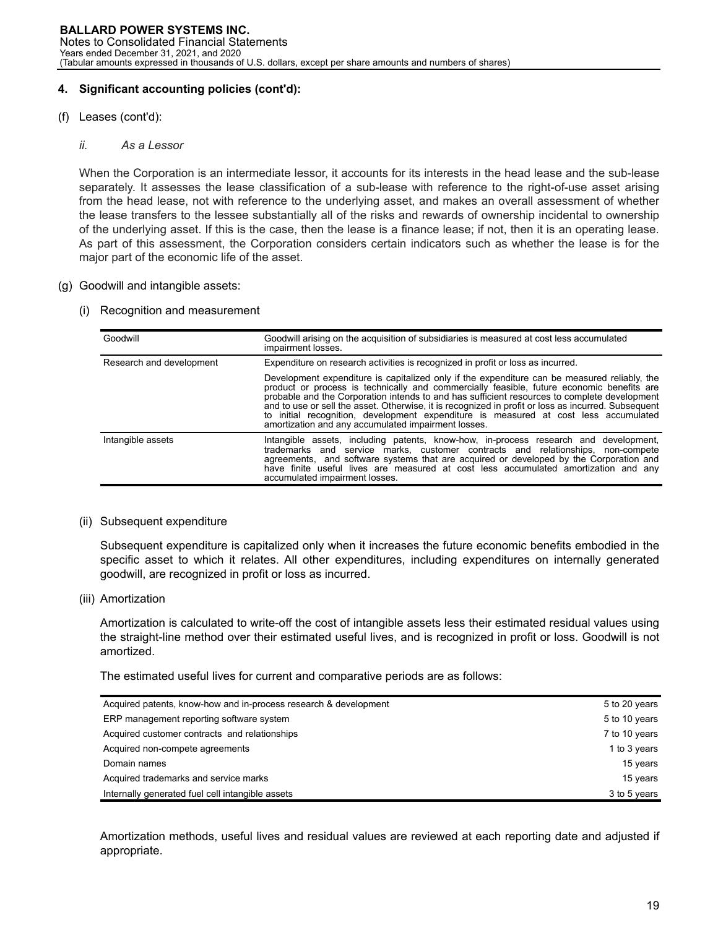- (f) Leases (cont'd):
	- *ii. As a Lessor*

When the Corporation is an intermediate lessor, it accounts for its interests in the head lease and the sub-lease separately. It assesses the lease classification of a sub-lease with reference to the right-of-use asset arising from the head lease, not with reference to the underlying asset, and makes an overall assessment of whether the lease transfers to the lessee substantially all of the risks and rewards of ownership incidental to ownership of the underlying asset. If this is the case, then the lease is a finance lease; if not, then it is an operating lease. As part of this assessment, the Corporation considers certain indicators such as whether the lease is for the major part of the economic life of the asset.

- (g) Goodwill and intangible assets:
	- (i) Recognition and measurement

| Goodwill                 | Goodwill arising on the acquisition of subsidiaries is measured at cost less accumulated<br>impairment losses.                                                                                                                                                                                                                                                                                                                                                                                                                                  |
|--------------------------|-------------------------------------------------------------------------------------------------------------------------------------------------------------------------------------------------------------------------------------------------------------------------------------------------------------------------------------------------------------------------------------------------------------------------------------------------------------------------------------------------------------------------------------------------|
| Research and development | Expenditure on research activities is recognized in profit or loss as incurred.                                                                                                                                                                                                                                                                                                                                                                                                                                                                 |
|                          | Development expenditure is capitalized only if the expenditure can be measured reliably, the<br>product or process is technically and commercially feasible, future economic benefits are<br>probable and the Corporation intends to and has sufficient resources to complete development<br>and to use or sell the asset. Otherwise, it is recognized in profit or loss as incurred. Subsequent<br>to initial recognition, development expenditure is measured at cost less accumulated<br>amortization and any accumulated impairment losses. |
| Intangible assets        | Intangible assets, including patents, know-how, in-process research and development,<br>trademarks and service marks, customer contracts and relationships, non-compete<br>agreements, and software systems that are acquired or developed by the Corporation and<br>have finite useful lives are measured at cost less accumulated amortization and any<br>accumulated impairment losses.                                                                                                                                                      |

#### (ii) Subsequent expenditure

Subsequent expenditure is capitalized only when it increases the future economic benefits embodied in the specific asset to which it relates. All other expenditures, including expenditures on internally generated goodwill, are recognized in profit or loss as incurred.

(iii) Amortization

Amortization is calculated to write-off the cost of intangible assets less their estimated residual values using the straight-line method over their estimated useful lives, and is recognized in profit or loss. Goodwill is not amortized.

The estimated useful lives for current and comparative periods are as follows:

| Acquired patents, know-how and in-process research & development | 5 to 20 years |
|------------------------------------------------------------------|---------------|
| ERP management reporting software system                         | 5 to 10 years |
| Acquired customer contracts and relationships                    | 7 to 10 years |
| Acquired non-compete agreements                                  | 1 to 3 years  |
| Domain names                                                     | 15 years      |
| Acquired trademarks and service marks                            | 15 years      |
| Internally generated fuel cell intangible assets                 | 3 to 5 years  |
|                                                                  |               |

Amortization methods, useful lives and residual values are reviewed at each reporting date and adjusted if appropriate.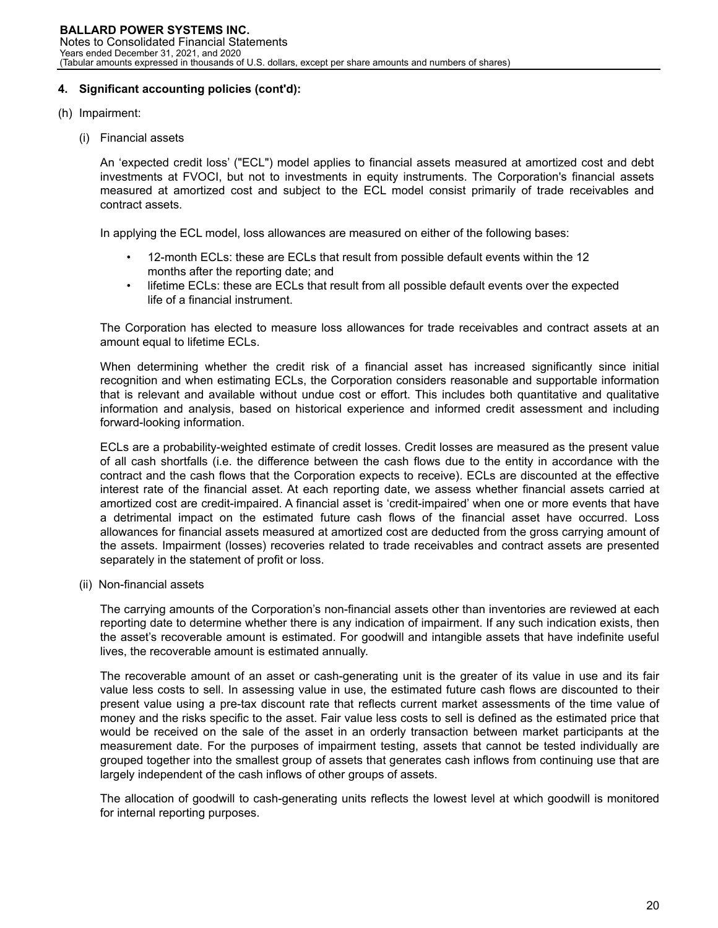- (h) Impairment:
	- (i) Financial assets

An 'expected credit loss' ("ECL") model applies to financial assets measured at amortized cost and debt investments at FVOCI, but not to investments in equity instruments. The Corporation's financial assets measured at amortized cost and subject to the ECL model consist primarily of trade receivables and contract assets.

In applying the ECL model, loss allowances are measured on either of the following bases:

- 12-month ECLs: these are ECLs that result from possible default events within the 12 months after the reporting date; and
- lifetime ECLs: these are ECLs that result from all possible default events over the expected life of a financial instrument.

The Corporation has elected to measure loss allowances for trade receivables and contract assets at an amount equal to lifetime ECLs.

When determining whether the credit risk of a financial asset has increased significantly since initial recognition and when estimating ECLs, the Corporation considers reasonable and supportable information that is relevant and available without undue cost or effort. This includes both quantitative and qualitative information and analysis, based on historical experience and informed credit assessment and including forward-looking information.

ECLs are a probability-weighted estimate of credit losses. Credit losses are measured as the present value of all cash shortfalls (i.e. the difference between the cash flows due to the entity in accordance with the contract and the cash flows that the Corporation expects to receive). ECLs are discounted at the effective interest rate of the financial asset. At each reporting date, we assess whether financial assets carried at amortized cost are credit-impaired. A financial asset is 'credit-impaired' when one or more events that have a detrimental impact on the estimated future cash flows of the financial asset have occurred. Loss allowances for financial assets measured at amortized cost are deducted from the gross carrying amount of the assets. Impairment (losses) recoveries related to trade receivables and contract assets are presented separately in the statement of profit or loss.

(ii) Non-financial assets

The carrying amounts of the Corporation's non-financial assets other than inventories are reviewed at each reporting date to determine whether there is any indication of impairment. If any such indication exists, then the asset's recoverable amount is estimated. For goodwill and intangible assets that have indefinite useful lives, the recoverable amount is estimated annually.

The recoverable amount of an asset or cash-generating unit is the greater of its value in use and its fair value less costs to sell. In assessing value in use, the estimated future cash flows are discounted to their present value using a pre-tax discount rate that reflects current market assessments of the time value of money and the risks specific to the asset. Fair value less costs to sell is defined as the estimated price that would be received on the sale of the asset in an orderly transaction between market participants at the measurement date. For the purposes of impairment testing, assets that cannot be tested individually are grouped together into the smallest group of assets that generates cash inflows from continuing use that are largely independent of the cash inflows of other groups of assets.

The allocation of goodwill to cash-generating units reflects the lowest level at which goodwill is monitored for internal reporting purposes.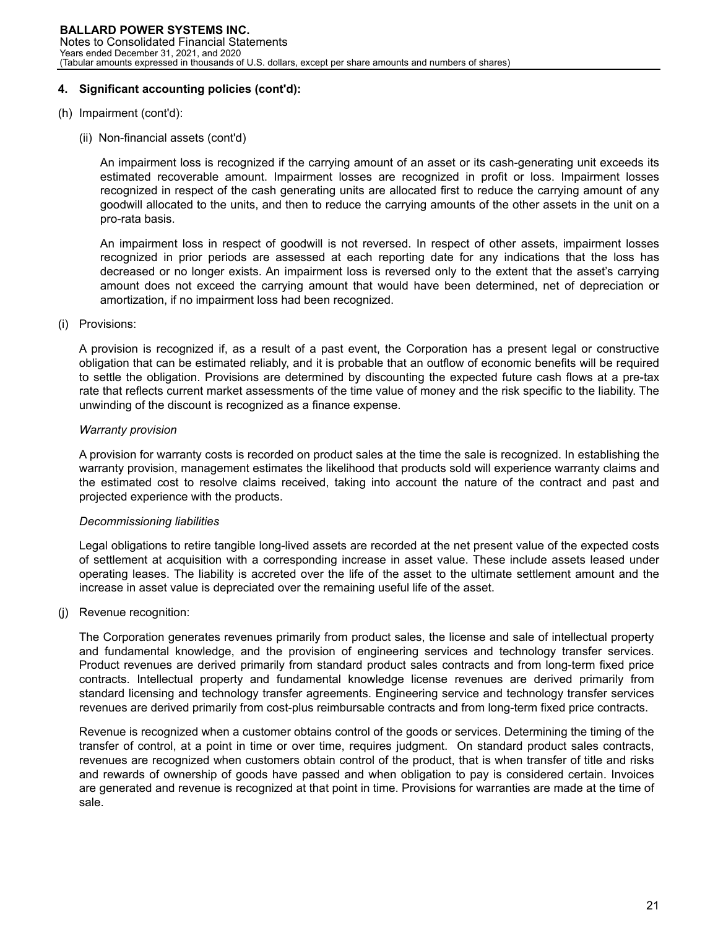- (h) Impairment (cont'd):
	- (ii) Non-financial assets (cont'd)

An impairment loss is recognized if the carrying amount of an asset or its cash-generating unit exceeds its estimated recoverable amount. Impairment losses are recognized in profit or loss. Impairment losses recognized in respect of the cash generating units are allocated first to reduce the carrying amount of any goodwill allocated to the units, and then to reduce the carrying amounts of the other assets in the unit on a pro-rata basis.

An impairment loss in respect of goodwill is not reversed. In respect of other assets, impairment losses recognized in prior periods are assessed at each reporting date for any indications that the loss has decreased or no longer exists. An impairment loss is reversed only to the extent that the asset's carrying amount does not exceed the carrying amount that would have been determined, net of depreciation or amortization, if no impairment loss had been recognized.

(i) Provisions:

A provision is recognized if, as a result of a past event, the Corporation has a present legal or constructive obligation that can be estimated reliably, and it is probable that an outflow of economic benefits will be required to settle the obligation. Provisions are determined by discounting the expected future cash flows at a pre-tax rate that reflects current market assessments of the time value of money and the risk specific to the liability. The unwinding of the discount is recognized as a finance expense.

#### *Warranty provision*

A provision for warranty costs is recorded on product sales at the time the sale is recognized. In establishing the warranty provision, management estimates the likelihood that products sold will experience warranty claims and the estimated cost to resolve claims received, taking into account the nature of the contract and past and projected experience with the products.

#### *Decommissioning liabilities*

Legal obligations to retire tangible long-lived assets are recorded at the net present value of the expected costs of settlement at acquisition with a corresponding increase in asset value. These include assets leased under operating leases. The liability is accreted over the life of the asset to the ultimate settlement amount and the increase in asset value is depreciated over the remaining useful life of the asset.

#### (j) Revenue recognition:

The Corporation generates revenues primarily from product sales, the license and sale of intellectual property and fundamental knowledge, and the provision of engineering services and technology transfer services. Product revenues are derived primarily from standard product sales contracts and from long-term fixed price contracts. Intellectual property and fundamental knowledge license revenues are derived primarily from standard licensing and technology transfer agreements. Engineering service and technology transfer services revenues are derived primarily from cost-plus reimbursable contracts and from long-term fixed price contracts.

Revenue is recognized when a customer obtains control of the goods or services. Determining the timing of the transfer of control, at a point in time or over time, requires judgment. On standard product sales contracts, revenues are recognized when customers obtain control of the product, that is when transfer of title and risks and rewards of ownership of goods have passed and when obligation to pay is considered certain. Invoices are generated and revenue is recognized at that point in time. Provisions for warranties are made at the time of sale.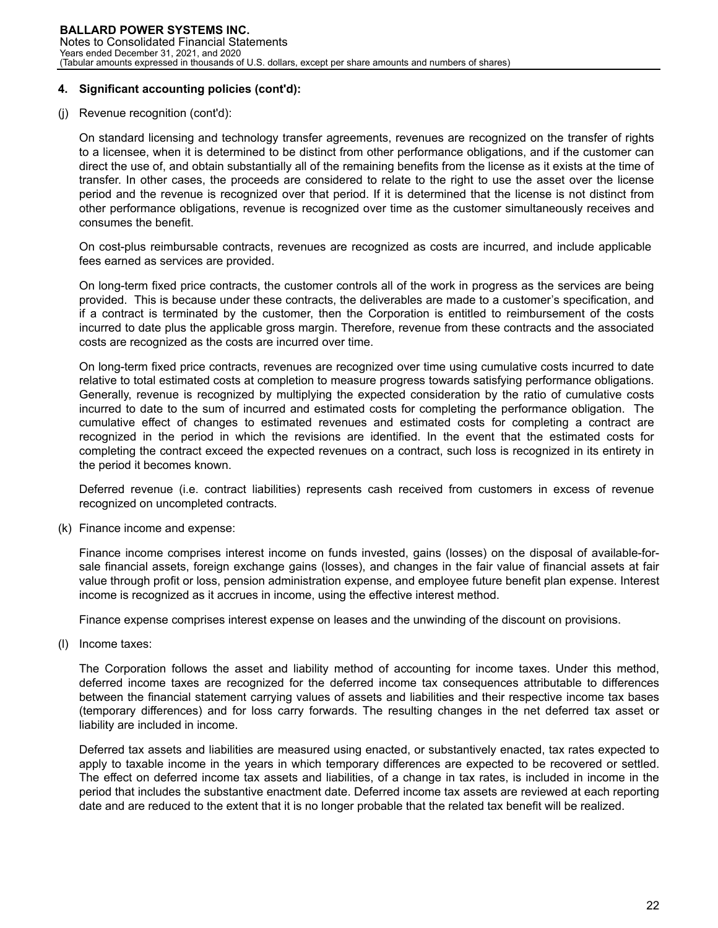#### (j) Revenue recognition (cont'd):

On standard licensing and technology transfer agreements, revenues are recognized on the transfer of rights to a licensee, when it is determined to be distinct from other performance obligations, and if the customer can direct the use of, and obtain substantially all of the remaining benefits from the license as it exists at the time of transfer. In other cases, the proceeds are considered to relate to the right to use the asset over the license period and the revenue is recognized over that period. If it is determined that the license is not distinct from other performance obligations, revenue is recognized over time as the customer simultaneously receives and consumes the benefit.

On cost-plus reimbursable contracts, revenues are recognized as costs are incurred, and include applicable fees earned as services are provided.

On long-term fixed price contracts, the customer controls all of the work in progress as the services are being provided. This is because under these contracts, the deliverables are made to a customer's specification, and if a contract is terminated by the customer, then the Corporation is entitled to reimbursement of the costs incurred to date plus the applicable gross margin. Therefore, revenue from these contracts and the associated costs are recognized as the costs are incurred over time.

On long-term fixed price contracts, revenues are recognized over time using cumulative costs incurred to date relative to total estimated costs at completion to measure progress towards satisfying performance obligations. Generally, revenue is recognized by multiplying the expected consideration by the ratio of cumulative costs incurred to date to the sum of incurred and estimated costs for completing the performance obligation. The cumulative effect of changes to estimated revenues and estimated costs for completing a contract are recognized in the period in which the revisions are identified. In the event that the estimated costs for completing the contract exceed the expected revenues on a contract, such loss is recognized in its entirety in the period it becomes known.

Deferred revenue (i.e. contract liabilities) represents cash received from customers in excess of revenue recognized on uncompleted contracts.

(k) Finance income and expense:

Finance income comprises interest income on funds invested, gains (losses) on the disposal of available-forsale financial assets, foreign exchange gains (losses), and changes in the fair value of financial assets at fair value through profit or loss, pension administration expense, and employee future benefit plan expense. Interest income is recognized as it accrues in income, using the effective interest method.

Finance expense comprises interest expense on leases and the unwinding of the discount on provisions.

(l) Income taxes:

The Corporation follows the asset and liability method of accounting for income taxes. Under this method, deferred income taxes are recognized for the deferred income tax consequences attributable to differences between the financial statement carrying values of assets and liabilities and their respective income tax bases (temporary differences) and for loss carry forwards. The resulting changes in the net deferred tax asset or liability are included in income.

Deferred tax assets and liabilities are measured using enacted, or substantively enacted, tax rates expected to apply to taxable income in the years in which temporary differences are expected to be recovered or settled. The effect on deferred income tax assets and liabilities, of a change in tax rates, is included in income in the period that includes the substantive enactment date. Deferred income tax assets are reviewed at each reporting date and are reduced to the extent that it is no longer probable that the related tax benefit will be realized.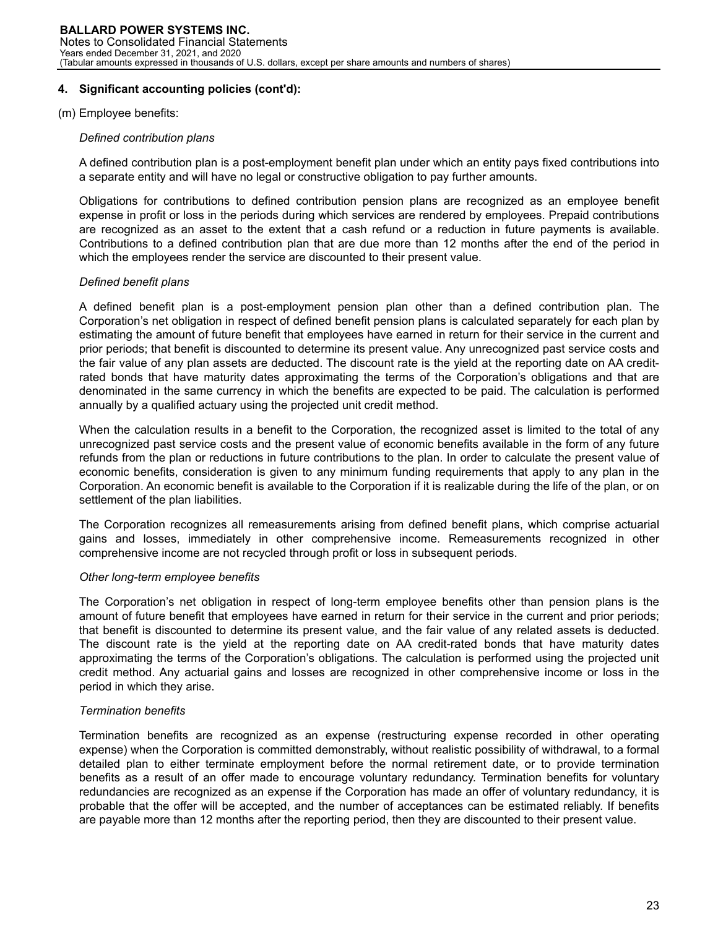## (m) Employee benefits:

## *Defined contribution plans*

A defined contribution plan is a post-employment benefit plan under which an entity pays fixed contributions into a separate entity and will have no legal or constructive obligation to pay further amounts.

Obligations for contributions to defined contribution pension plans are recognized as an employee benefit expense in profit or loss in the periods during which services are rendered by employees. Prepaid contributions are recognized as an asset to the extent that a cash refund or a reduction in future payments is available. Contributions to a defined contribution plan that are due more than 12 months after the end of the period in which the employees render the service are discounted to their present value.

## *Defined benefit plans*

A defined benefit plan is a post-employment pension plan other than a defined contribution plan. The Corporation's net obligation in respect of defined benefit pension plans is calculated separately for each plan by estimating the amount of future benefit that employees have earned in return for their service in the current and prior periods; that benefit is discounted to determine its present value. Any unrecognized past service costs and the fair value of any plan assets are deducted. The discount rate is the yield at the reporting date on AA creditrated bonds that have maturity dates approximating the terms of the Corporation's obligations and that are denominated in the same currency in which the benefits are expected to be paid. The calculation is performed annually by a qualified actuary using the projected unit credit method.

When the calculation results in a benefit to the Corporation, the recognized asset is limited to the total of any unrecognized past service costs and the present value of economic benefits available in the form of any future refunds from the plan or reductions in future contributions to the plan. In order to calculate the present value of economic benefits, consideration is given to any minimum funding requirements that apply to any plan in the Corporation. An economic benefit is available to the Corporation if it is realizable during the life of the plan, or on settlement of the plan liabilities.

The Corporation recognizes all remeasurements arising from defined benefit plans, which comprise actuarial gains and losses, immediately in other comprehensive income. Remeasurements recognized in other comprehensive income are not recycled through profit or loss in subsequent periods.

# *Other long-term employee benefits*

The Corporation's net obligation in respect of long-term employee benefits other than pension plans is the amount of future benefit that employees have earned in return for their service in the current and prior periods; that benefit is discounted to determine its present value, and the fair value of any related assets is deducted. The discount rate is the yield at the reporting date on AA credit-rated bonds that have maturity dates approximating the terms of the Corporation's obligations. The calculation is performed using the projected unit credit method. Any actuarial gains and losses are recognized in other comprehensive income or loss in the period in which they arise.

# *Termination benefits*

Termination benefits are recognized as an expense (restructuring expense recorded in other operating expense) when the Corporation is committed demonstrably, without realistic possibility of withdrawal, to a formal detailed plan to either terminate employment before the normal retirement date, or to provide termination benefits as a result of an offer made to encourage voluntary redundancy. Termination benefits for voluntary redundancies are recognized as an expense if the Corporation has made an offer of voluntary redundancy, it is probable that the offer will be accepted, and the number of acceptances can be estimated reliably. If benefits are payable more than 12 months after the reporting period, then they are discounted to their present value.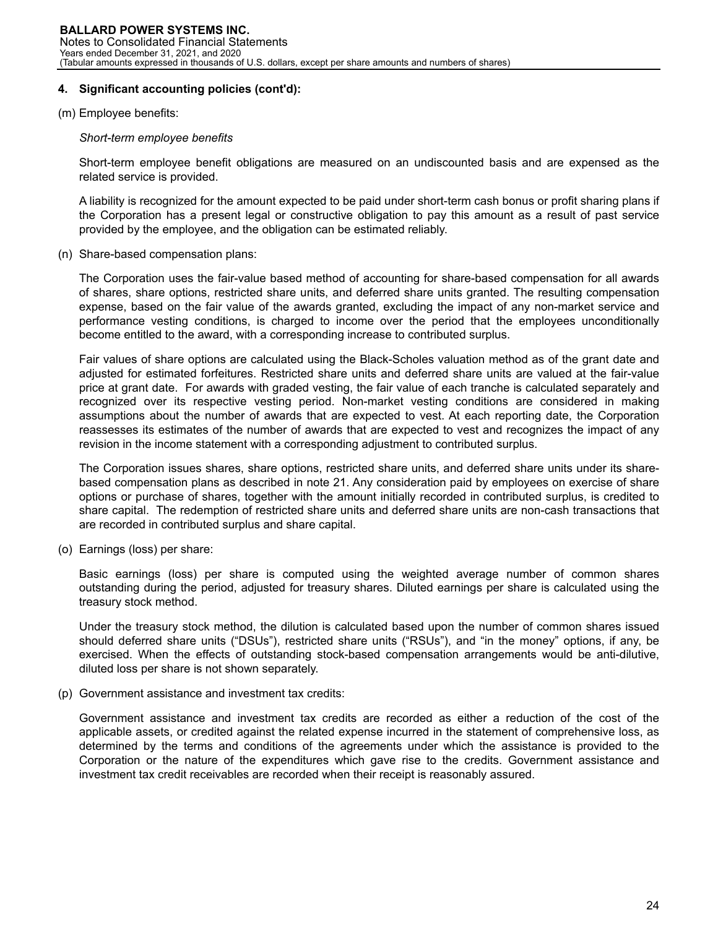(m) Employee benefits:

## *Short-term employee benefits*

Short-term employee benefit obligations are measured on an undiscounted basis and are expensed as the related service is provided.

A liability is recognized for the amount expected to be paid under short-term cash bonus or profit sharing plans if the Corporation has a present legal or constructive obligation to pay this amount as a result of past service provided by the employee, and the obligation can be estimated reliably.

(n) Share-based compensation plans:

The Corporation uses the fair-value based method of accounting for share-based compensation for all awards of shares, share options, restricted share units, and deferred share units granted. The resulting compensation expense, based on the fair value of the awards granted, excluding the impact of any non-market service and performance vesting conditions, is charged to income over the period that the employees unconditionally become entitled to the award, with a corresponding increase to contributed surplus.

Fair values of share options are calculated using the Black-Scholes valuation method as of the grant date and adjusted for estimated forfeitures. Restricted share units and deferred share units are valued at the fair-value price at grant date. For awards with graded vesting, the fair value of each tranche is calculated separately and recognized over its respective vesting period. Non-market vesting conditions are considered in making assumptions about the number of awards that are expected to vest. At each reporting date, the Corporation reassesses its estimates of the number of awards that are expected to vest and recognizes the impact of any revision in the income statement with a corresponding adjustment to contributed surplus.

The Corporation issues shares, share options, restricted share units, and deferred share units under its sharebased compensation plans as described in note 21. Any consideration paid by employees on exercise of share options or purchase of shares, together with the amount initially recorded in contributed surplus, is credited to share capital. The redemption of restricted share units and deferred share units are non-cash transactions that are recorded in contributed surplus and share capital.

(o) Earnings (loss) per share:

Basic earnings (loss) per share is computed using the weighted average number of common shares outstanding during the period, adjusted for treasury shares. Diluted earnings per share is calculated using the treasury stock method.

Under the treasury stock method, the dilution is calculated based upon the number of common shares issued should deferred share units ("DSUs"), restricted share units ("RSUs"), and "in the money" options, if any, be exercised. When the effects of outstanding stock-based compensation arrangements would be anti-dilutive, diluted loss per share is not shown separately.

(p) Government assistance and investment tax credits:

Government assistance and investment tax credits are recorded as either a reduction of the cost of the applicable assets, or credited against the related expense incurred in the statement of comprehensive loss, as determined by the terms and conditions of the agreements under which the assistance is provided to the Corporation or the nature of the expenditures which gave rise to the credits. Government assistance and investment tax credit receivables are recorded when their receipt is reasonably assured.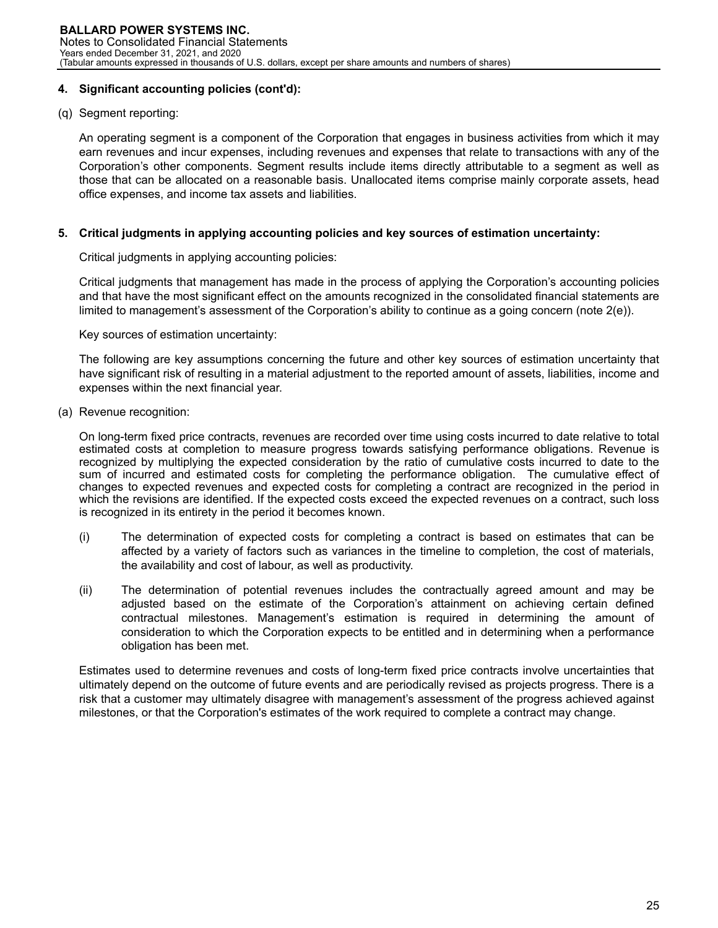## (q) Segment reporting:

An operating segment is a component of the Corporation that engages in business activities from which it may earn revenues and incur expenses, including revenues and expenses that relate to transactions with any of the Corporation's other components. Segment results include items directly attributable to a segment as well as those that can be allocated on a reasonable basis. Unallocated items comprise mainly corporate assets, head office expenses, and income tax assets and liabilities.

#### **5. Critical judgments in applying accounting policies and key sources of estimation uncertainty:**

Critical judgments in applying accounting policies:

Critical judgments that management has made in the process of applying the Corporation's accounting policies and that have the most significant effect on the amounts recognized in the consolidated financial statements are limited to management's assessment of the Corporation's ability to continue as a going concern (note 2(e)).

Key sources of estimation uncertainty:

The following are key assumptions concerning the future and other key sources of estimation uncertainty that have significant risk of resulting in a material adjustment to the reported amount of assets, liabilities, income and expenses within the next financial year.

(a) Revenue recognition:

On long-term fixed price contracts, revenues are recorded over time using costs incurred to date relative to total estimated costs at completion to measure progress towards satisfying performance obligations. Revenue is recognized by multiplying the expected consideration by the ratio of cumulative costs incurred to date to the sum of incurred and estimated costs for completing the performance obligation. The cumulative effect of changes to expected revenues and expected costs for completing a contract are recognized in the period in which the revisions are identified. If the expected costs exceed the expected revenues on a contract, such loss is recognized in its entirety in the period it becomes known.

- (i) The determination of expected costs for completing a contract is based on estimates that can be affected by a variety of factors such as variances in the timeline to completion, the cost of materials, the availability and cost of labour, as well as productivity.
- (ii) The determination of potential revenues includes the contractually agreed amount and may be adjusted based on the estimate of the Corporation's attainment on achieving certain defined contractual milestones. Management's estimation is required in determining the amount of consideration to which the Corporation expects to be entitled and in determining when a performance obligation has been met.

Estimates used to determine revenues and costs of long-term fixed price contracts involve uncertainties that ultimately depend on the outcome of future events and are periodically revised as projects progress. There is a risk that a customer may ultimately disagree with management's assessment of the progress achieved against milestones, or that the Corporation's estimates of the work required to complete a contract may change.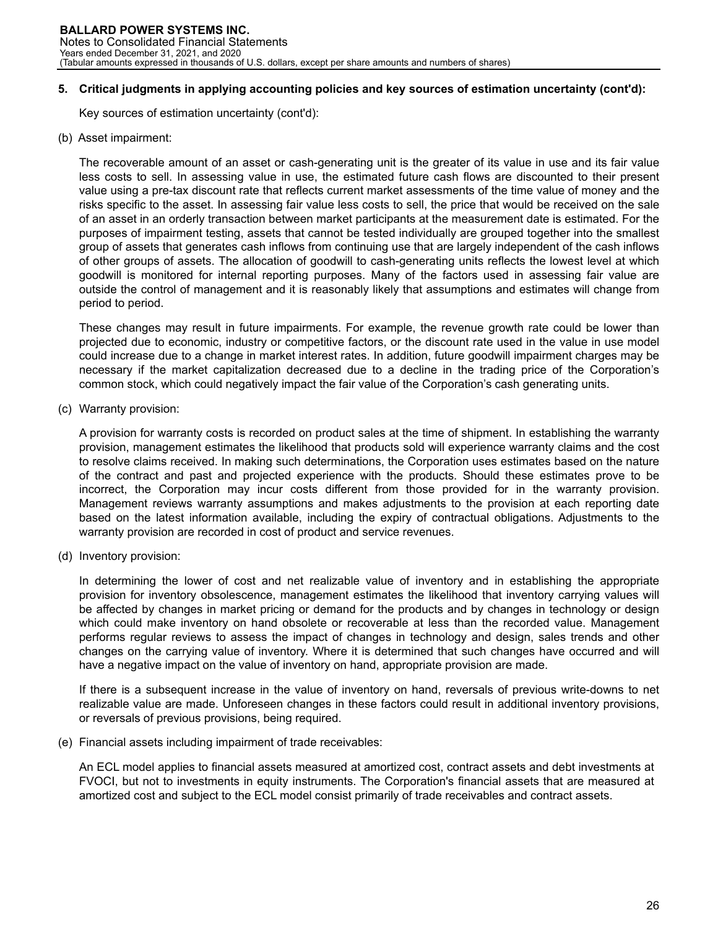# **5. Critical judgments in applying accounting policies and key sources of estimation uncertainty (cont'd):**

Key sources of estimation uncertainty (cont'd):

(b) Asset impairment:

The recoverable amount of an asset or cash-generating unit is the greater of its value in use and its fair value less costs to sell. In assessing value in use, the estimated future cash flows are discounted to their present value using a pre-tax discount rate that reflects current market assessments of the time value of money and the risks specific to the asset. In assessing fair value less costs to sell, the price that would be received on the sale of an asset in an orderly transaction between market participants at the measurement date is estimated. For the purposes of impairment testing, assets that cannot be tested individually are grouped together into the smallest group of assets that generates cash inflows from continuing use that are largely independent of the cash inflows of other groups of assets. The allocation of goodwill to cash-generating units reflects the lowest level at which goodwill is monitored for internal reporting purposes. Many of the factors used in assessing fair value are outside the control of management and it is reasonably likely that assumptions and estimates will change from period to period.

These changes may result in future impairments. For example, the revenue growth rate could be lower than projected due to economic, industry or competitive factors, or the discount rate used in the value in use model could increase due to a change in market interest rates. In addition, future goodwill impairment charges may be necessary if the market capitalization decreased due to a decline in the trading price of the Corporation's common stock, which could negatively impact the fair value of the Corporation's cash generating units.

(c) Warranty provision:

A provision for warranty costs is recorded on product sales at the time of shipment. In establishing the warranty provision, management estimates the likelihood that products sold will experience warranty claims and the cost to resolve claims received. In making such determinations, the Corporation uses estimates based on the nature of the contract and past and projected experience with the products. Should these estimates prove to be incorrect, the Corporation may incur costs different from those provided for in the warranty provision. Management reviews warranty assumptions and makes adjustments to the provision at each reporting date based on the latest information available, including the expiry of contractual obligations. Adjustments to the warranty provision are recorded in cost of product and service revenues.

(d) Inventory provision:

In determining the lower of cost and net realizable value of inventory and in establishing the appropriate provision for inventory obsolescence, management estimates the likelihood that inventory carrying values will be affected by changes in market pricing or demand for the products and by changes in technology or design which could make inventory on hand obsolete or recoverable at less than the recorded value. Management performs regular reviews to assess the impact of changes in technology and design, sales trends and other changes on the carrying value of inventory. Where it is determined that such changes have occurred and will have a negative impact on the value of inventory on hand, appropriate provision are made.

If there is a subsequent increase in the value of inventory on hand, reversals of previous write-downs to net realizable value are made. Unforeseen changes in these factors could result in additional inventory provisions, or reversals of previous provisions, being required.

(e) Financial assets including impairment of trade receivables:

An ECL model applies to financial assets measured at amortized cost, contract assets and debt investments at FVOCI, but not to investments in equity instruments. The Corporation's financial assets that are measured at amortized cost and subject to the ECL model consist primarily of trade receivables and contract assets.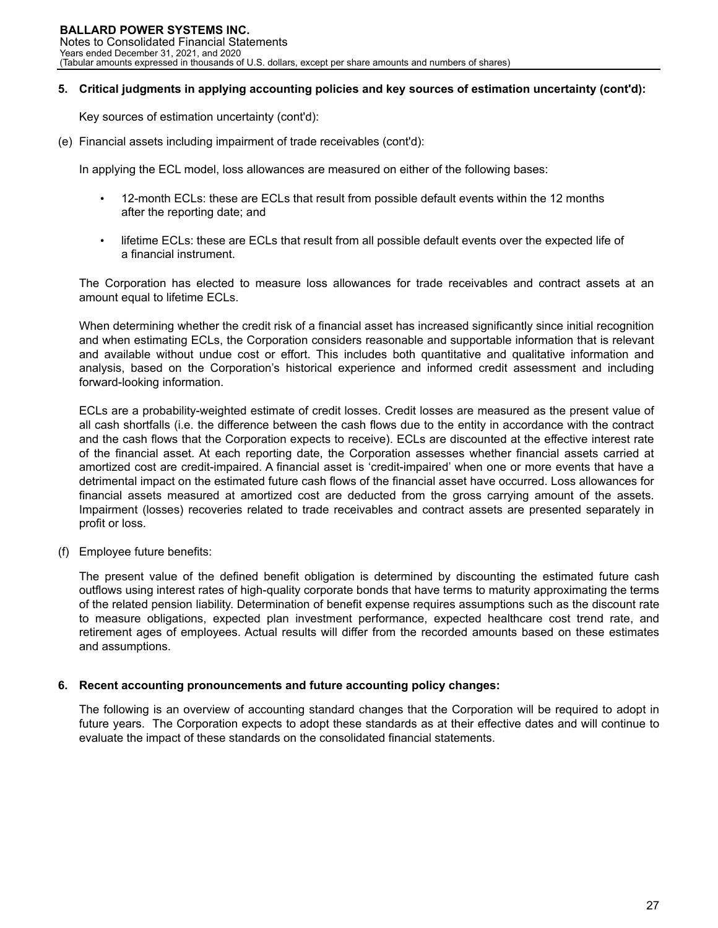## **5. Critical judgments in applying accounting policies and key sources of estimation uncertainty (cont'd):**

Key sources of estimation uncertainty (cont'd):

(e) Financial assets including impairment of trade receivables (cont'd):

In applying the ECL model, loss allowances are measured on either of the following bases:

- 12-month ECLs: these are ECLs that result from possible default events within the 12 months after the reporting date; and
- lifetime ECLs: these are ECLs that result from all possible default events over the expected life of a financial instrument.

The Corporation has elected to measure loss allowances for trade receivables and contract assets at an amount equal to lifetime ECLs.

When determining whether the credit risk of a financial asset has increased significantly since initial recognition and when estimating ECLs, the Corporation considers reasonable and supportable information that is relevant and available without undue cost or effort. This includes both quantitative and qualitative information and analysis, based on the Corporation's historical experience and informed credit assessment and including forward-looking information.

ECLs are a probability-weighted estimate of credit losses. Credit losses are measured as the present value of all cash shortfalls (i.e. the difference between the cash flows due to the entity in accordance with the contract and the cash flows that the Corporation expects to receive). ECLs are discounted at the effective interest rate of the financial asset. At each reporting date, the Corporation assesses whether financial assets carried at amortized cost are credit-impaired. A financial asset is 'credit-impaired' when one or more events that have a detrimental impact on the estimated future cash flows of the financial asset have occurred. Loss allowances for financial assets measured at amortized cost are deducted from the gross carrying amount of the assets. Impairment (losses) recoveries related to trade receivables and contract assets are presented separately in profit or loss.

(f) Employee future benefits:

The present value of the defined benefit obligation is determined by discounting the estimated future cash outflows using interest rates of high-quality corporate bonds that have terms to maturity approximating the terms of the related pension liability. Determination of benefit expense requires assumptions such as the discount rate to measure obligations, expected plan investment performance, expected healthcare cost trend rate, and retirement ages of employees. Actual results will differ from the recorded amounts based on these estimates and assumptions.

# **6. Recent accounting pronouncements and future accounting policy changes:**

The following is an overview of accounting standard changes that the Corporation will be required to adopt in future years. The Corporation expects to adopt these standards as at their effective dates and will continue to evaluate the impact of these standards on the consolidated financial statements.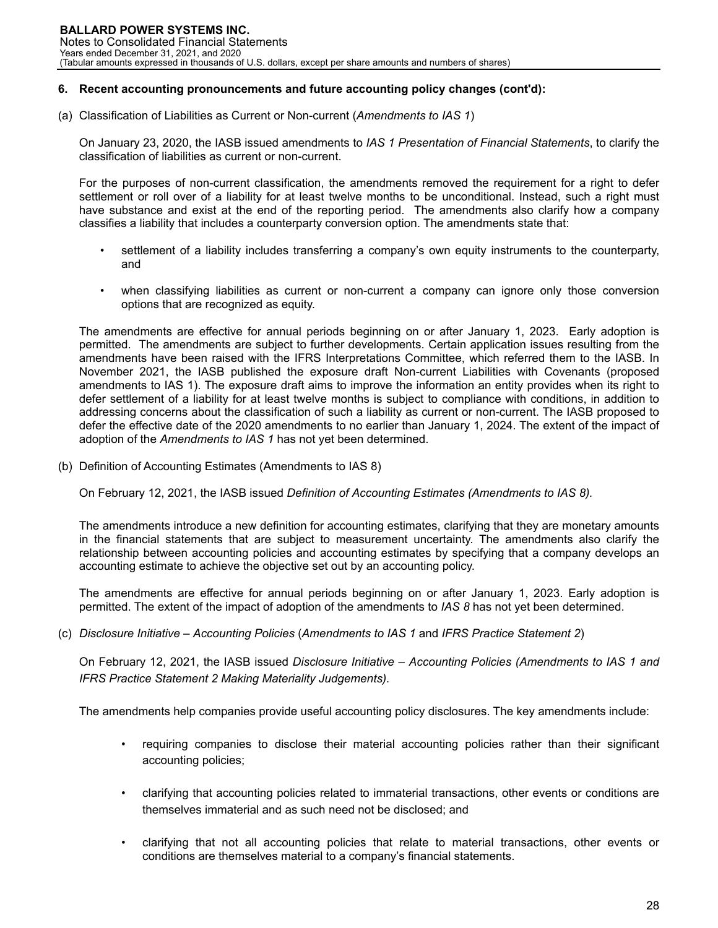## **6. Recent accounting pronouncements and future accounting policy changes (cont'd):**

(a) Classification of Liabilities as Current or Non-current (*Amendments to IAS 1*)

On January 23, 2020, the IASB issued amendments to *IAS 1 Presentation of Financial Statements*, to clarify the classification of liabilities as current or non-current.

For the purposes of non-current classification, the amendments removed the requirement for a right to defer settlement or roll over of a liability for at least twelve months to be unconditional. Instead, such a right must have substance and exist at the end of the reporting period. The amendments also clarify how a company classifies a liability that includes a counterparty conversion option. The amendments state that:

- settlement of a liability includes transferring a company's own equity instruments to the counterparty, and
- when classifying liabilities as current or non-current a company can ignore only those conversion options that are recognized as equity.

The amendments are effective for annual periods beginning on or after January 1, 2023. Early adoption is permitted. The amendments are subject to further developments. Certain application issues resulting from the amendments have been raised with the IFRS Interpretations Committee, which referred them to the IASB. In November 2021, the IASB published the exposure draft Non-current Liabilities with Covenants (proposed amendments to IAS 1). The exposure draft aims to improve the information an entity provides when its right to defer settlement of a liability for at least twelve months is subject to compliance with conditions, in addition to addressing concerns about the classification of such a liability as current or non-current. The IASB proposed to defer the effective date of the 2020 amendments to no earlier than January 1, 2024. The extent of the impact of adoption of the *Amendments to IAS 1* has not yet been determined.

(b) Definition of Accounting Estimates (Amendments to IAS 8)

On February 12, 2021, the IASB issued *Definition of Accounting Estimates (Amendments to IAS 8).*

The amendments introduce a new definition for accounting estimates, clarifying that they are monetary amounts in the financial statements that are subject to measurement uncertainty. The amendments also clarify the relationship between accounting policies and accounting estimates by specifying that a company develops an accounting estimate to achieve the objective set out by an accounting policy.

The amendments are effective for annual periods beginning on or after January 1, 2023. Early adoption is permitted. The extent of the impact of adoption of the amendments to *IAS 8* has not yet been determined.

(c) *Disclosure Initiative – Accounting Policies* (*Amendments to IAS 1* and *IFRS Practice Statement 2*)

On February 12, 2021, the IASB issued *Disclosure Initiative – Accounting Policies (Amendments to IAS 1 and IFRS Practice Statement 2 Making Materiality Judgements).*

The amendments help companies provide useful accounting policy disclosures. The key amendments include:

- requiring companies to disclose their material accounting policies rather than their significant accounting policies;
- clarifying that accounting policies related to immaterial transactions, other events or conditions are themselves immaterial and as such need not be disclosed; and
- clarifying that not all accounting policies that relate to material transactions, other events or conditions are themselves material to a company's financial statements.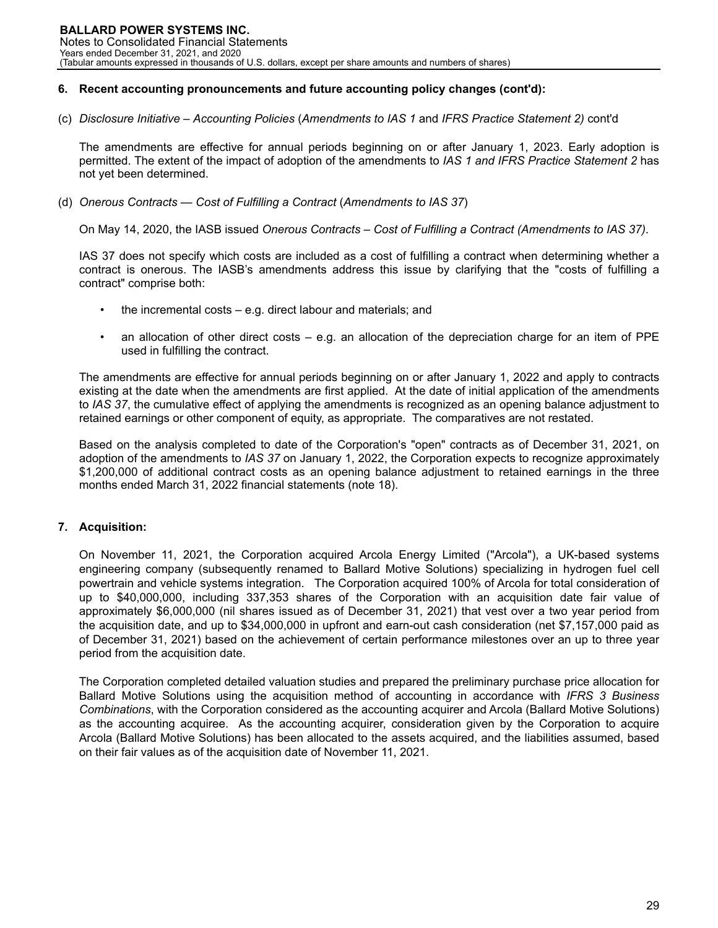## **6. Recent accounting pronouncements and future accounting policy changes (cont'd):**

(c) *Disclosure Initiative – Accounting Policies* (*Amendments to IAS 1* and *IFRS Practice Statement 2)* cont'd

The amendments are effective for annual periods beginning on or after January 1, 2023. Early adoption is permitted. The extent of the impact of adoption of the amendments to *IAS 1 and IFRS Practice Statement 2* has not yet been determined.

(d) *Onerous Contracts — Cost of Fulfilling a Contract* (*Amendments to IAS 37*)

On May 14, 2020, the IASB issued *Onerous Contracts – Cost of Fulfilling a Contract (Amendments to IAS 37)*.

IAS 37 does not specify which costs are included as a cost of fulfilling a contract when determining whether a contract is onerous. The IASB's amendments address this issue by clarifying that the "costs of fulfilling a contract" comprise both:

- the incremental costs e.g. direct labour and materials; and
- an allocation of other direct costs  $-$  e.g. an allocation of the depreciation charge for an item of PPE used in fulfilling the contract.

The amendments are effective for annual periods beginning on or after January 1, 2022 and apply to contracts existing at the date when the amendments are first applied. At the date of initial application of the amendments to *IAS 37*, the cumulative effect of applying the amendments is recognized as an opening balance adjustment to retained earnings or other component of equity, as appropriate. The comparatives are not restated.

Based on the analysis completed to date of the Corporation's "open" contracts as of December 31, 2021, on adoption of the amendments to *IAS 37* on January 1, 2022, the Corporation expects to recognize approximately \$1,200,000 of additional contract costs as an opening balance adjustment to retained earnings in the three months ended March 31, 2022 financial statements (note 18).

# **7. Acquisition:**

On November 11, 2021, the Corporation acquired Arcola Energy Limited ("Arcola"), a UK-based systems engineering company (subsequently renamed to Ballard Motive Solutions) specializing in hydrogen fuel cell powertrain and vehicle systems integration. The Corporation acquired 100% of Arcola for total consideration of up to \$40,000,000, including 337,353 shares of the Corporation with an acquisition date fair value of approximately \$6,000,000 (nil shares issued as of December 31, 2021) that vest over a two year period from the acquisition date, and up to \$34,000,000 in upfront and earn-out cash consideration (net \$7,157,000 paid as of December 31, 2021) based on the achievement of certain performance milestones over an up to three year period from the acquisition date.

The Corporation completed detailed valuation studies and prepared the preliminary purchase price allocation for Ballard Motive Solutions using the acquisition method of accounting in accordance with *IFRS 3 Business Combinations*, with the Corporation considered as the accounting acquirer and Arcola (Ballard Motive Solutions) as the accounting acquiree. As the accounting acquirer, consideration given by the Corporation to acquire Arcola (Ballard Motive Solutions) has been allocated to the assets acquired, and the liabilities assumed, based on their fair values as of the acquisition date of November 11, 2021.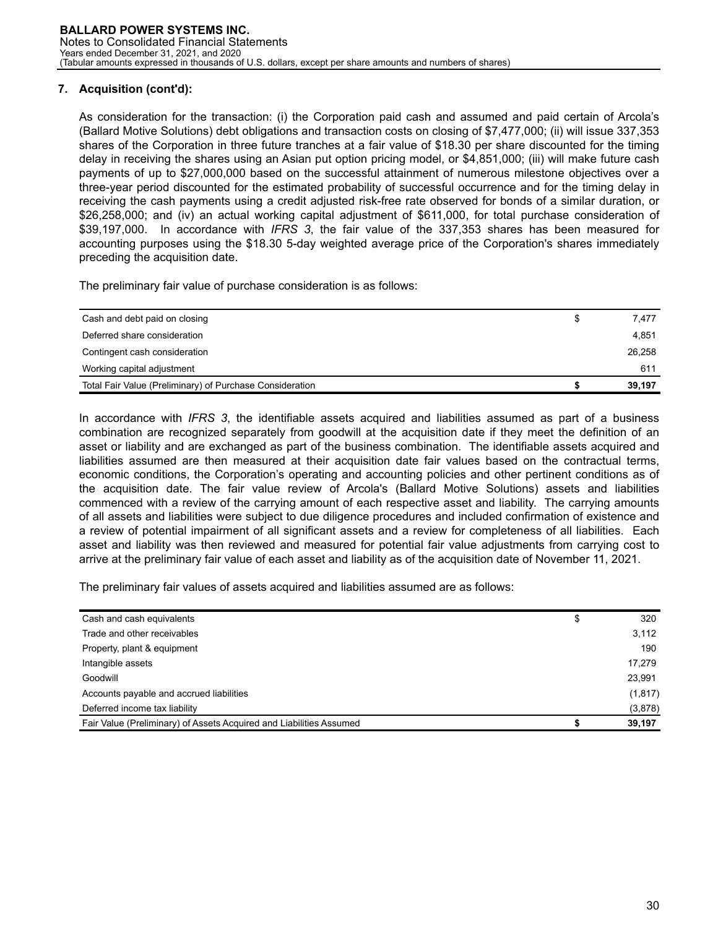# **7. Acquisition (cont'd):**

As consideration for the transaction: (i) the Corporation paid cash and assumed and paid certain of Arcola's (Ballard Motive Solutions) debt obligations and transaction costs on closing of \$7,477,000; (ii) will issue 337,353 shares of the Corporation in three future tranches at a fair value of \$18.30 per share discounted for the timing delay in receiving the shares using an Asian put option pricing model, or \$4,851,000; (iii) will make future cash payments of up to \$27,000,000 based on the successful attainment of numerous milestone objectives over a three-year period discounted for the estimated probability of successful occurrence and for the timing delay in receiving the cash payments using a credit adjusted risk-free rate observed for bonds of a similar duration, or \$26,258,000; and (iv) an actual working capital adjustment of \$611,000, for total purchase consideration of \$39,197,000. In accordance with *IFRS 3*, the fair value of the 337,353 shares has been measured for accounting purposes using the \$18.30 5-day weighted average price of the Corporation's shares immediately preceding the acquisition date.

The preliminary fair value of purchase consideration is as follows:

| Cash and debt paid on closing                            | \$<br>7,477 |
|----------------------------------------------------------|-------------|
| Deferred share consideration                             | 4,851       |
| Contingent cash consideration                            | 26,258      |
| Working capital adjustment                               | 611         |
| Total Fair Value (Preliminary) of Purchase Consideration | 39,197      |

In accordance with *IFRS 3*, the identifiable assets acquired and liabilities assumed as part of a business combination are recognized separately from goodwill at the acquisition date if they meet the definition of an asset or liability and are exchanged as part of the business combination. The identifiable assets acquired and liabilities assumed are then measured at their acquisition date fair values based on the contractual terms, economic conditions, the Corporation's operating and accounting policies and other pertinent conditions as of the acquisition date. The fair value review of Arcola's (Ballard Motive Solutions) assets and liabilities commenced with a review of the carrying amount of each respective asset and liability. The carrying amounts of all assets and liabilities were subject to due diligence procedures and included confirmation of existence and a review of potential impairment of all significant assets and a review for completeness of all liabilities. Each asset and liability was then reviewed and measured for potential fair value adjustments from carrying cost to arrive at the preliminary fair value of each asset and liability as of the acquisition date of November 11, 2021.

The preliminary fair values of assets acquired and liabilities assumed are as follows:

| Cash and cash equivalents                                           | \$<br>320 |
|---------------------------------------------------------------------|-----------|
|                                                                     |           |
| Trade and other receivables                                         | 3,112     |
| Property, plant & equipment                                         | 190       |
| Intangible assets                                                   | 17,279    |
| Goodwill                                                            | 23,991    |
| Accounts payable and accrued liabilities                            | (1, 817)  |
| Deferred income tax liability                                       | (3,878)   |
| Fair Value (Preliminary) of Assets Acquired and Liabilities Assumed | 39,197    |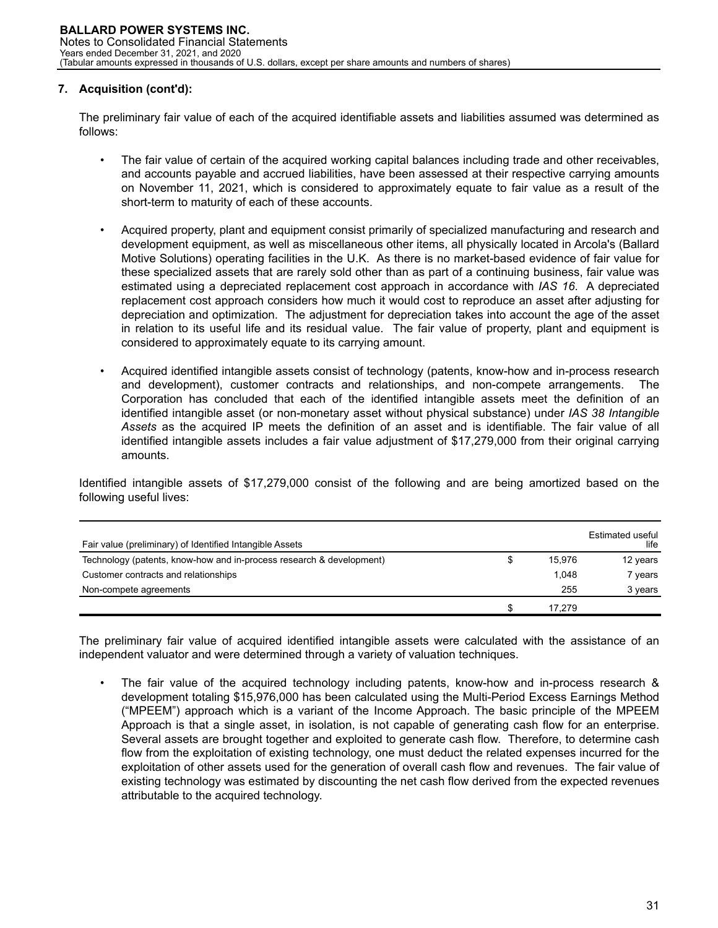# **7. Acquisition (cont'd):**

The preliminary fair value of each of the acquired identifiable assets and liabilities assumed was determined as follows:

- The fair value of certain of the acquired working capital balances including trade and other receivables, and accounts payable and accrued liabilities, have been assessed at their respective carrying amounts on November 11, 2021, which is considered to approximately equate to fair value as a result of the short-term to maturity of each of these accounts.
- Acquired property, plant and equipment consist primarily of specialized manufacturing and research and development equipment, as well as miscellaneous other items, all physically located in Arcola's (Ballard Motive Solutions) operating facilities in the U.K. As there is no market-based evidence of fair value for these specialized assets that are rarely sold other than as part of a continuing business, fair value was estimated using a depreciated replacement cost approach in accordance with *IAS 16*. A depreciated replacement cost approach considers how much it would cost to reproduce an asset after adjusting for depreciation and optimization. The adjustment for depreciation takes into account the age of the asset in relation to its useful life and its residual value. The fair value of property, plant and equipment is considered to approximately equate to its carrying amount.
- Acquired identified intangible assets consist of technology (patents, know-how and in-process research and development), customer contracts and relationships, and non-compete arrangements. The Corporation has concluded that each of the identified intangible assets meet the definition of an identified intangible asset (or non-monetary asset without physical substance) under *IAS 38 Intangible Assets* as the acquired IP meets the definition of an asset and is identifiable. The fair value of all identified intangible assets includes a fair value adjustment of \$17,279,000 from their original carrying amounts.

Identified intangible assets of \$17,279,000 consist of the following and are being amortized based on the following useful lives:

| Fair value (preliminary) of Identified Intangible Assets             |        | Estimated useful<br>life |
|----------------------------------------------------------------------|--------|--------------------------|
| Technology (patents, know-how and in-process research & development) | 15.976 | 12 years                 |
| Customer contracts and relationships                                 | 1.048  | 7 years                  |
| Non-compete agreements                                               | 255    | 3 years                  |
|                                                                      | 17.279 |                          |

The preliminary fair value of acquired identified intangible assets were calculated with the assistance of an independent valuator and were determined through a variety of valuation techniques.

• The fair value of the acquired technology including patents, know-how and in-process research & development totaling \$15,976,000 has been calculated using the Multi-Period Excess Earnings Method ("MPEEM") approach which is a variant of the Income Approach. The basic principle of the MPEEM Approach is that a single asset, in isolation, is not capable of generating cash flow for an enterprise. Several assets are brought together and exploited to generate cash flow. Therefore, to determine cash flow from the exploitation of existing technology, one must deduct the related expenses incurred for the exploitation of other assets used for the generation of overall cash flow and revenues. The fair value of existing technology was estimated by discounting the net cash flow derived from the expected revenues attributable to the acquired technology.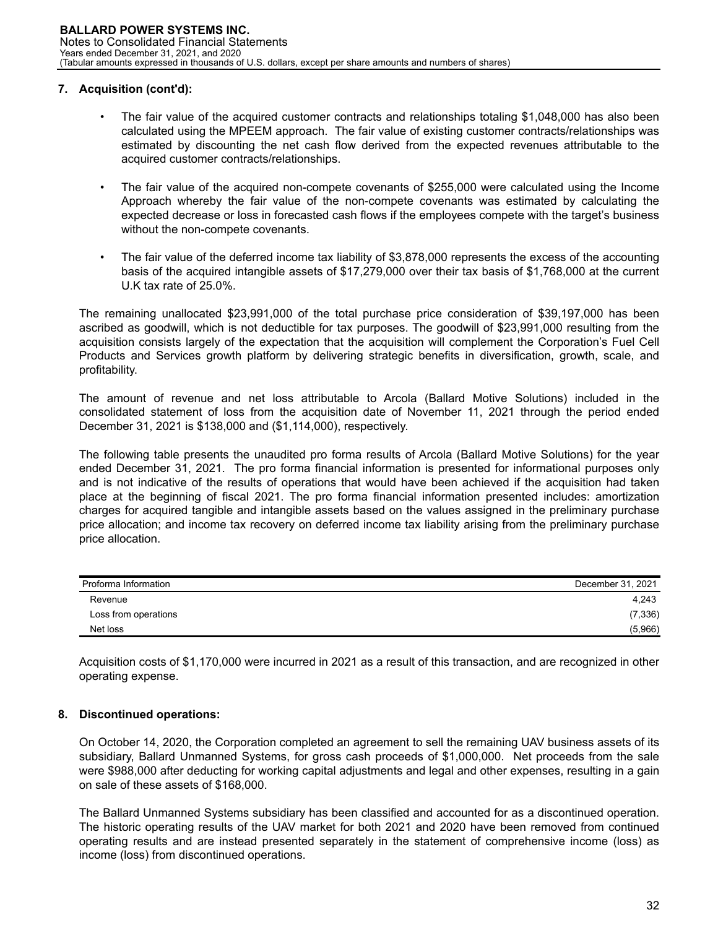## **7. Acquisition (cont'd):**

- The fair value of the acquired customer contracts and relationships totaling \$1,048,000 has also been calculated using the MPEEM approach. The fair value of existing customer contracts/relationships was estimated by discounting the net cash flow derived from the expected revenues attributable to the acquired customer contracts/relationships.
- The fair value of the acquired non-compete covenants of \$255,000 were calculated using the Income Approach whereby the fair value of the non-compete covenants was estimated by calculating the expected decrease or loss in forecasted cash flows if the employees compete with the target's business without the non-compete covenants.
- The fair value of the deferred income tax liability of \$3,878,000 represents the excess of the accounting basis of the acquired intangible assets of \$17,279,000 over their tax basis of \$1,768,000 at the current U.K tax rate of 25.0%.

The remaining unallocated \$23,991,000 of the total purchase price consideration of \$39,197,000 has been ascribed as goodwill, which is not deductible for tax purposes. The goodwill of \$23,991,000 resulting from the acquisition consists largely of the expectation that the acquisition will complement the Corporation's Fuel Cell Products and Services growth platform by delivering strategic benefits in diversification, growth, scale, and profitability.

The amount of revenue and net loss attributable to Arcola (Ballard Motive Solutions) included in the consolidated statement of loss from the acquisition date of November 11, 2021 through the period ended December 31, 2021 is \$138,000 and (\$1,114,000), respectively.

The following table presents the unaudited pro forma results of Arcola (Ballard Motive Solutions) for the year ended December 31, 2021. The pro forma financial information is presented for informational purposes only and is not indicative of the results of operations that would have been achieved if the acquisition had taken place at the beginning of fiscal 2021. The pro forma financial information presented includes: amortization charges for acquired tangible and intangible assets based on the values assigned in the preliminary purchase price allocation; and income tax recovery on deferred income tax liability arising from the preliminary purchase price allocation.

| Proforma Information | December 31, 2021 |
|----------------------|-------------------|
| Revenue              | 4.243             |
| Loss from operations | (7, 336)          |
| Net loss             | (5,966)           |

Acquisition costs of \$1,170,000 were incurred in 2021 as a result of this transaction, and are recognized in other operating expense.

#### **8. Discontinued operations:**

On October 14, 2020, the Corporation completed an agreement to sell the remaining UAV business assets of its subsidiary, Ballard Unmanned Systems, for gross cash proceeds of \$1,000,000. Net proceeds from the sale were \$988,000 after deducting for working capital adjustments and legal and other expenses, resulting in a gain on sale of these assets of \$168,000.

The Ballard Unmanned Systems subsidiary has been classified and accounted for as a discontinued operation. The historic operating results of the UAV market for both 2021 and 2020 have been removed from continued operating results and are instead presented separately in the statement of comprehensive income (loss) as income (loss) from discontinued operations.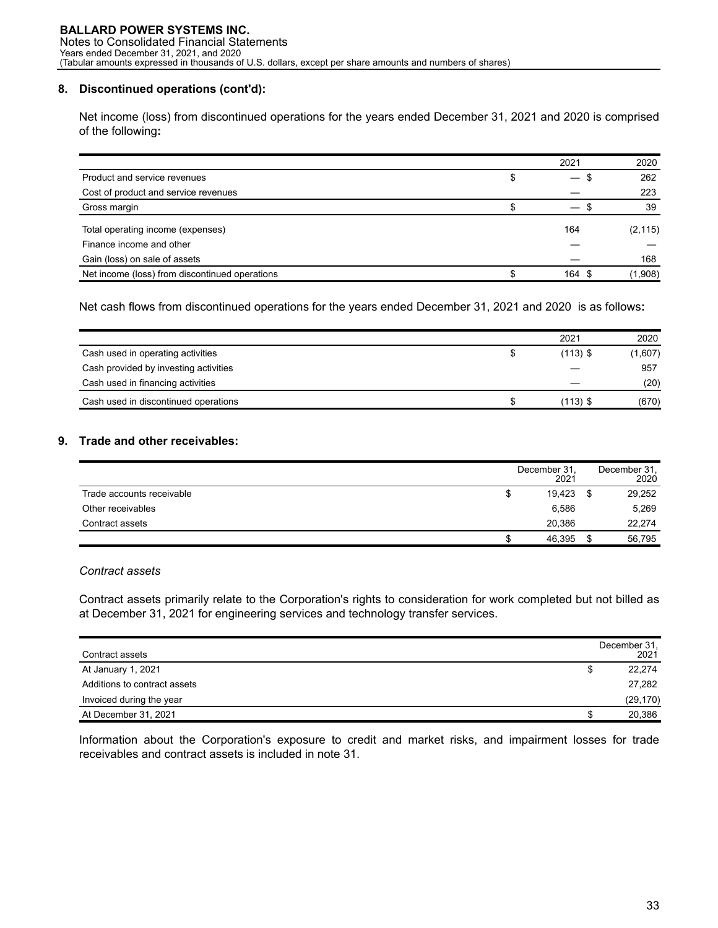## **8. Discontinued operations (cont'd):**

Net income (loss) from discontinued operations for the years ended December 31, 2021 and 2020 is comprised of the following**:**

|                                                | 2021                                | 2020     |
|------------------------------------------------|-------------------------------------|----------|
| Product and service revenues                   | \$<br>$\overline{\phantom{0}}$<br>ง | 262      |
| Cost of product and service revenues           |                                     | 223      |
| Gross margin                                   |                                     | 39       |
| Total operating income (expenses)              | 164                                 | (2, 115) |
| Finance income and other                       |                                     |          |
| Gain (loss) on sale of assets                  |                                     | 168      |
| Net income (loss) from discontinued operations | 164 \$                              | (1,908)  |

Net cash flows from discontinued operations for the years ended December 31, 2021 and 2020 is as follows**:**

|                                       |   | 2021       | 2020    |
|---------------------------------------|---|------------|---------|
| Cash used in operating activities     | S | $(113)$ \$ | (1,607) |
| Cash provided by investing activities |   |            | 957     |
| Cash used in financing activities     |   |            | (20)    |
| Cash used in discontinued operations  |   | $(113)$ \$ | (670)   |

## **9. Trade and other receivables:**

|                           |   | December 31,<br>2021 |     | December 31,<br>2020 |
|---------------------------|---|----------------------|-----|----------------------|
| Trade accounts receivable | S | 19.423               | -\$ | 29,252               |
| Other receivables         |   | 6,586                |     | 5,269                |
| Contract assets           |   | 20.386               |     | 22,274               |
|                           |   | 46.395               |     | 56,795               |

#### *Contract assets*

Contract assets primarily relate to the Corporation's rights to consideration for work completed but not billed as at December 31, 2021 for engineering services and technology transfer services.

| Contract assets              |   | December 31,<br>2021 |
|------------------------------|---|----------------------|
| At January 1, 2021           | S | 22,274               |
| Additions to contract assets |   | 27,282               |
| Invoiced during the year     |   | (29, 170)            |
| At December 31, 2021         |   | 20,386               |

Information about the Corporation's exposure to credit and market risks, and impairment losses for trade receivables and contract assets is included in note 31.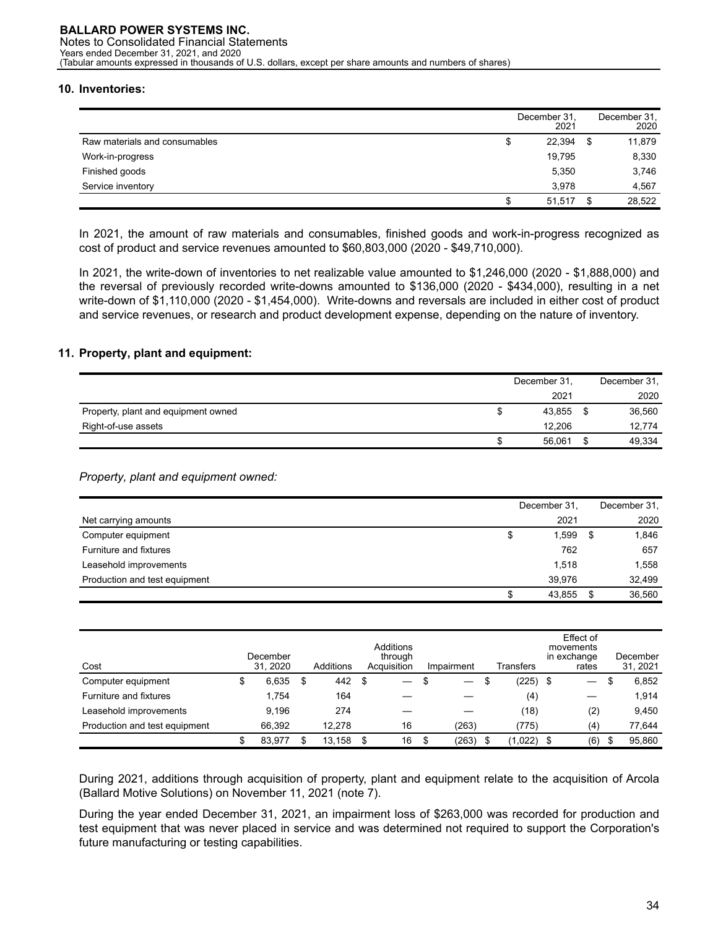## **10. Inventories:**

|                               | December 31,<br>2021 |      | December 31,<br>2020 |
|-------------------------------|----------------------|------|----------------------|
| Raw materials and consumables | \$<br>22,394         | - \$ | 11,879               |
| Work-in-progress              | 19,795               |      | 8,330                |
| Finished goods                | 5,350                |      | 3,746                |
| Service inventory             | 3.978                |      | 4,567                |
|                               | 51.517               |      | 28.522               |

In 2021, the amount of raw materials and consumables, finished goods and work-in-progress recognized as cost of product and service revenues amounted to \$60,803,000 (2020 - \$49,710,000).

In 2021, the write-down of inventories to net realizable value amounted to \$1,246,000 (2020 - \$1,888,000) and the reversal of previously recorded write-downs amounted to \$136,000 (2020 - \$434,000), resulting in a net write-down of \$1,110,000 (2020 - \$1,454,000). Write-downs and reversals are included in either cost of product and service revenues, or research and product development expense, depending on the nature of inventory.

#### **11. Property, plant and equipment:**

|                                     |   | December 31, | December 31. |
|-------------------------------------|---|--------------|--------------|
|                                     |   | 2021         | 2020         |
| Property, plant and equipment owned | S | 43.855       | 36,560       |
| Right-of-use assets                 |   | 12.206       | 12.774       |
|                                     |   | 56.061       | 49,334       |

*Property, plant and equipment owned:*

|                               | December 31. | December 31, |             |
|-------------------------------|--------------|--------------|-------------|
| Net carrying amounts          |              | 2021         | 2020        |
| Computer equipment            | \$           | 1,599        | \$<br>1,846 |
| Furniture and fixtures        |              | 762          | 657         |
| Leasehold improvements        |              | 1.518        | 1,558       |
| Production and test equipment |              | 39.976       | 32,499      |
|                               |              | 43,855       | 36,560      |

| Cost                          | December<br>31, 2020 |     | Additions |      | Additions<br>through<br>Acquisition | Impairment | Transfers   |     | Effect of<br>movements<br>in exchange<br>rates |   | December<br>31, 2021 |
|-------------------------------|----------------------|-----|-----------|------|-------------------------------------|------------|-------------|-----|------------------------------------------------|---|----------------------|
| Computer equipment            | \$<br>6,635          | \$. | 442       | - \$ | $\overline{\phantom{0}}$            | \$         | \$<br>(225) | -\$ |                                                | Œ | 6,852                |
| <b>Furniture and fixtures</b> | 1.754                |     | 164       |      |                                     |            | (4)         |     |                                                |   | 1,914                |
| Leasehold improvements        | 9.196                |     | 274       |      |                                     |            | (18)        |     | (2)                                            |   | 9,450                |
| Production and test equipment | 66,392               |     | 12.278    |      | 16                                  | (263)      | (775)       |     | (4)                                            |   | 77,644               |
|                               | 83,977               |     | 13,158    |      | 16                                  | (263)      | .022)       |     | (6)                                            |   | 95,860               |

During 2021, additions through acquisition of property, plant and equipment relate to the acquisition of Arcola (Ballard Motive Solutions) on November 11, 2021 (note 7).

During the year ended December 31, 2021, an impairment loss of \$263,000 was recorded for production and test equipment that was never placed in service and was determined not required to support the Corporation's future manufacturing or testing capabilities.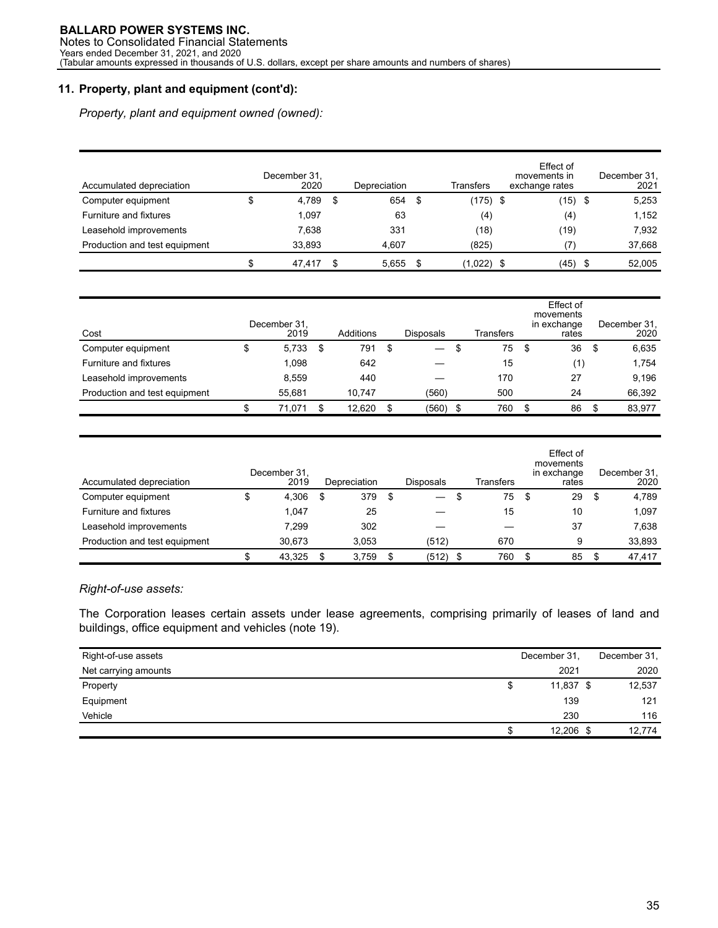# **11. Property, plant and equipment (cont'd):**

*Property, plant and equipment owned (owned):*

| Accumulated depreciation      | December 31,<br>2020 |   | Depreciation |      | Transfers |      | Effect of<br>movements in<br>exchange rates |     | December 31,<br>2021 |
|-------------------------------|----------------------|---|--------------|------|-----------|------|---------------------------------------------|-----|----------------------|
| Computer equipment            | \$<br>4,789          | S | 654          | - \$ | (175)     | - \$ | (15)                                        | -\$ | 5,253                |
| Furniture and fixtures        | 1.097                |   | 63           |      | (4)       |      | (4)                                         |     | 1.152                |
| Leasehold improvements        | 7.638                |   | 331          |      | (18)      |      | (19)                                        |     | 7,932                |
| Production and test equipment | 33.893               |   | 4.607        |      | (825)     |      | '7)                                         |     | 37,668               |
|                               | 47.417               |   | 5.655        |      | (1,022)   |      | (45)                                        |     | 52.005               |

| Cost                          |   | December 31.<br>2019 |   | Additions | <b>Disposals</b> |   | Transfers |      | Effect of<br>movements<br>in exchange<br>rates | December 31,<br>2020 |
|-------------------------------|---|----------------------|---|-----------|------------------|---|-----------|------|------------------------------------------------|----------------------|
| Computer equipment            | Φ | 5,733                | S | 791       | \$               | ъ | 75        | - \$ | 36                                             | \$<br>6,635          |
| Furniture and fixtures        |   | 1.098                |   | 642       |                  |   | 15        |      | (1)                                            | 1,754                |
| Leasehold improvements        |   | 8,559                |   | 440       |                  |   | 170       |      | 27                                             | 9,196                |
| Production and test equipment |   | 55.681               |   | 10.747    | (560)            |   | 500       |      | 24                                             | 66,392               |
|                               |   | 71.071               |   | 12,620    | \$<br>(560)      |   | 760       |      | 86                                             | 83,977               |

| Accumulated depreciation      | December 31,<br>2019 |   | Depreciation |      | <b>Disposals</b>         | Transfers |      | Effect of<br>movements<br>in exchange<br>rates | December 31,<br>2020 |
|-------------------------------|----------------------|---|--------------|------|--------------------------|-----------|------|------------------------------------------------|----------------------|
| Computer equipment            | 4,306                | S | 379          | - \$ | $\overline{\phantom{0}}$ | 75        | - \$ | 29                                             | \$<br>4,789          |
| Furniture and fixtures        | 1.047                |   | 25           |      |                          | 15        |      | 10                                             | 1.097                |
| Leasehold improvements        | 7.299                |   | 302          |      |                          |           |      | 37                                             | 7.638                |
| Production and test equipment | 30.673               |   | 3.053        |      | (512)                    | 670       |      | 9                                              | 33.893               |
|                               | 43.325               |   | 3.759        |      | (512)                    | 760       | S    | 85                                             | 47.417               |

*Right-of-use assets:*

The Corporation leases certain assets under lease agreements, comprising primarily of leases of land and buildings, office equipment and vehicles (note 19).

| Right-of-use assets  | December 31,      | December 31, |
|----------------------|-------------------|--------------|
| Net carrying amounts | 2021              | 2020         |
| Property             | \$<br>$11,837$ \$ | 12,537       |
| Equipment            | 139               | 121          |
| Vehicle              | 230               | 116          |
|                      | 12,206 \$         | 12.774       |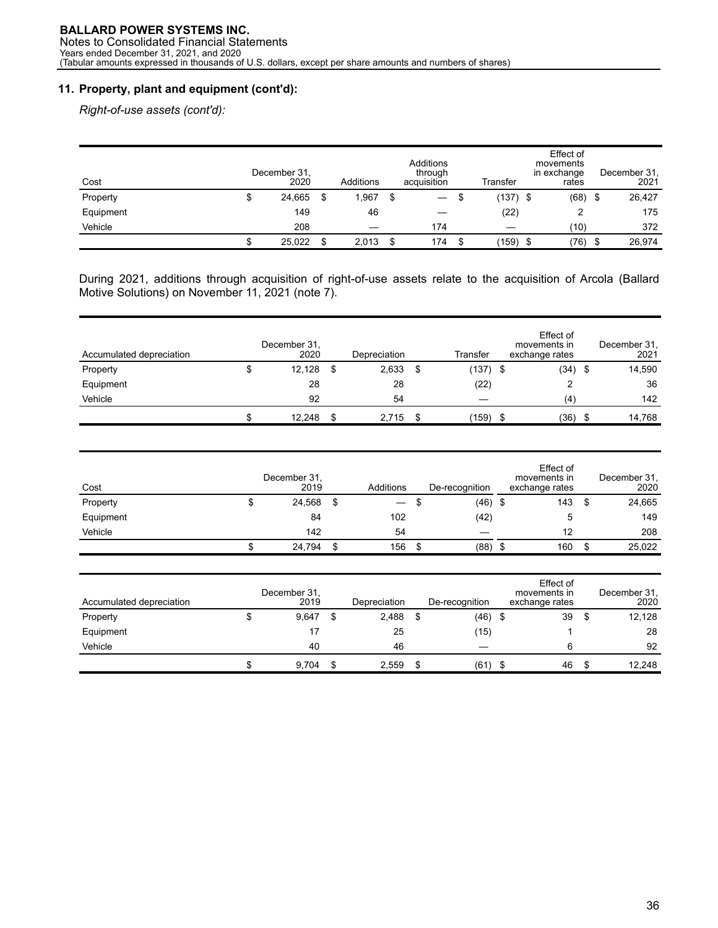# **11. Property, plant and equipment (cont'd):**

*Right-of-use assets (cont'd):*

| Cost      | December 31,<br>2020 |    | Additions | Additions<br>through<br>acquisition |   | Transfer   | Effect of<br>movements<br>in exchange<br>rates |      | December 31,<br>2021 |
|-----------|----------------------|----|-----------|-------------------------------------|---|------------|------------------------------------------------|------|----------------------|
| Property  | \$<br>24,665         | \$ | 1,967     | \$                                  | Œ | $(137)$ \$ | (68)                                           | -\$  | 26,427               |
| Equipment | 149                  |    | 46        |                                     |   | (22)       | 2                                              |      | 175                  |
| Vehicle   | 208                  |    |           | 174                                 |   |            | (10)                                           |      | 372                  |
|           | 25.022               | S  | 2,013     | \$<br>174                           |   | $(159)$ \$ | (76)                                           | - \$ | 26.974               |

During 2021, additions through acquisition of right-of-use assets relate to the acquisition of Arcola (Ballard Motive Solutions) on November 11, 2021 (note 7).

| Accumulated depreciation | December 31,<br>2020 | Depreciation | Transfer |      | Effect of<br>movements in<br>exchange rates |      | December 31,<br>2021 |
|--------------------------|----------------------|--------------|----------|------|---------------------------------------------|------|----------------------|
| Property                 | 12,128               | \$<br>2,633  | (137)    | - \$ | (34)                                        | - \$ | 14,590               |
| Equipment                | 28                   | 28           | (22)     |      |                                             |      | 36                   |
| Vehicle                  | 92                   | 54           |          |      | (4)                                         |      | 142                  |
|                          | 12.248               | 2.715        | (159)    | - \$ | (36)                                        | \$.  | 14.768               |

| Cost      |   | December 31,<br>2019 | Additions                | De-recognition |     | Effect of<br>movements in<br>exchange rates |    | December 31,<br>2020 |
|-----------|---|----------------------|--------------------------|----------------|-----|---------------------------------------------|----|----------------------|
| Property  | Φ | 24,568               | $\overline{\phantom{0}}$ | (46)           | -\$ | 143                                         | \$ | 24,665               |
| Equipment |   | 84                   | 102                      | (42)           |     |                                             |    | 149                  |
| Vehicle   |   | 142                  | 54                       |                |     | 12                                          |    | 208                  |
|           |   | 24,794               | 156                      | (88)           |     | 160                                         | S  | 25.022               |

| Accumulated depreciation |   | December 31,<br>2019 | Depreciation | De-recognition |      | Effect of<br>movements in<br>exchange rates |   | December 31,<br>2020 |
|--------------------------|---|----------------------|--------------|----------------|------|---------------------------------------------|---|----------------------|
| Property                 | ง | 9,647                | 2,488        | (46)           | - \$ | 39                                          | S | 12,128               |
| Equipment                |   | 17                   | 25           | (15)           |      |                                             |   | 28                   |
| Vehicle                  |   | 40                   | 46           |                |      | ี                                           |   | 92                   |
|                          |   | 9.704                | 2.559        | (61)           |      | 46                                          |   | 12.248               |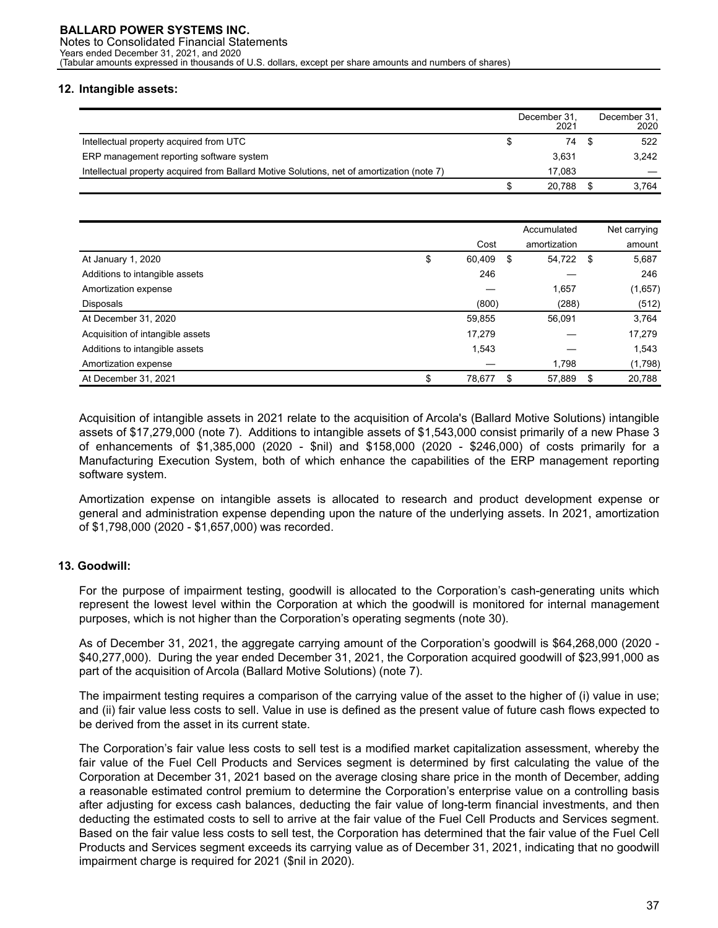## **12. Intangible assets:**

|                                                                                            | December 31.<br>2021 | December 31,<br>2020 |
|--------------------------------------------------------------------------------------------|----------------------|----------------------|
| Intellectual property acquired from UTC                                                    | 74                   | 522                  |
| ERP management reporting software system                                                   | 3.631                | 3.242                |
| Intellectual property acquired from Ballard Motive Solutions, net of amortization (note 7) | 17.083               |                      |
|                                                                                            | 20.788               | 3.764                |

|                                  |              |   | Accumulated  |    | Net carrying |
|----------------------------------|--------------|---|--------------|----|--------------|
|                                  | Cost         |   | amortization |    | amount       |
| At January 1, 2020               | \$<br>60,409 | S | 54,722       | \$ | 5,687        |
| Additions to intangible assets   | 246          |   |              |    | 246          |
| Amortization expense             |              |   | 1,657        |    | (1,657)      |
| <b>Disposals</b>                 | (800)        |   | (288)        |    | (512)        |
| At December 31, 2020             | 59,855       |   | 56,091       |    | 3,764        |
| Acquisition of intangible assets | 17.279       |   |              |    | 17,279       |
| Additions to intangible assets   | 1,543        |   |              |    | 1,543        |
| Amortization expense             |              |   | 1,798        |    | (1,798)      |
| At December 31, 2021             | \$<br>78,677 | S | 57,889       | S  | 20,788       |

Acquisition of intangible assets in 2021 relate to the acquisition of Arcola's (Ballard Motive Solutions) intangible assets of \$17,279,000 (note 7). Additions to intangible assets of \$1,543,000 consist primarily of a new Phase 3 of enhancements of \$1,385,000 (2020 - \$nil) and \$158,000 (2020 - \$246,000) of costs primarily for a Manufacturing Execution System, both of which enhance the capabilities of the ERP management reporting software system.

Amortization expense on intangible assets is allocated to research and product development expense or general and administration expense depending upon the nature of the underlying assets. In 2021, amortization of \$1,798,000 (2020 - \$1,657,000) was recorded.

# **13. Goodwill:**

For the purpose of impairment testing, goodwill is allocated to the Corporation's cash-generating units which represent the lowest level within the Corporation at which the goodwill is monitored for internal management purposes, which is not higher than the Corporation's operating segments (note 30).

As of December 31, 2021, the aggregate carrying amount of the Corporation's goodwill is \$64,268,000 (2020 - \$40,277,000). During the year ended December 31, 2021, the Corporation acquired goodwill of \$23,991,000 as part of the acquisition of Arcola (Ballard Motive Solutions) (note 7).

The impairment testing requires a comparison of the carrying value of the asset to the higher of (i) value in use; and (ii) fair value less costs to sell. Value in use is defined as the present value of future cash flows expected to be derived from the asset in its current state.

The Corporation's fair value less costs to sell test is a modified market capitalization assessment, whereby the fair value of the Fuel Cell Products and Services segment is determined by first calculating the value of the Corporation at December 31, 2021 based on the average closing share price in the month of December, adding a reasonable estimated control premium to determine the Corporation's enterprise value on a controlling basis after adjusting for excess cash balances, deducting the fair value of long-term financial investments, and then deducting the estimated costs to sell to arrive at the fair value of the Fuel Cell Products and Services segment. Based on the fair value less costs to sell test, the Corporation has determined that the fair value of the Fuel Cell Products and Services segment exceeds its carrying value as of December 31, 2021, indicating that no goodwill impairment charge is required for 2021 (\$nil in 2020).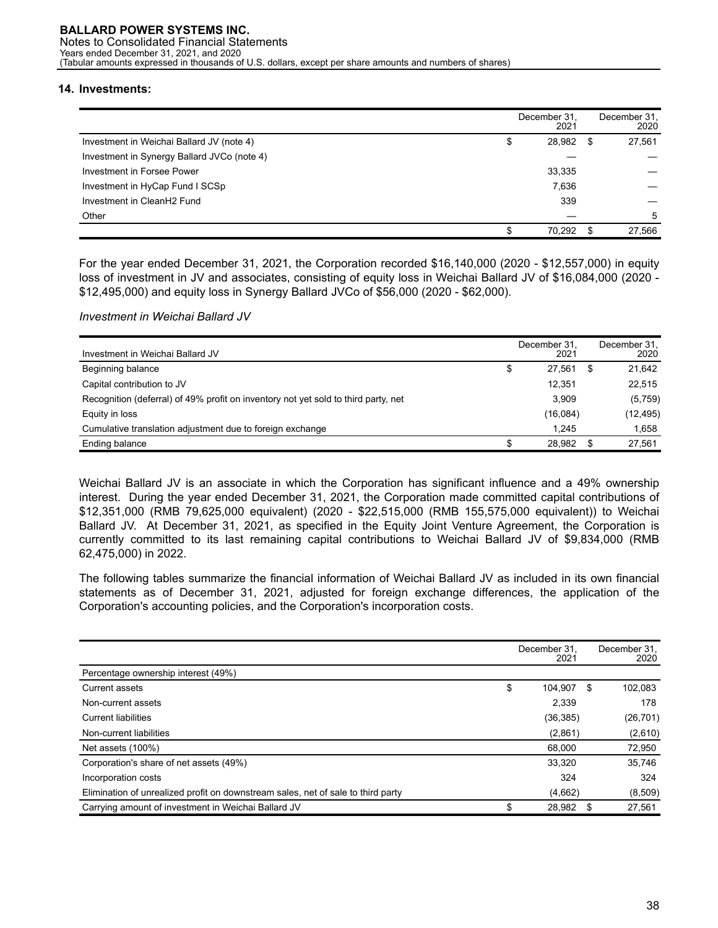#### **14. Investments:**

|                                             | December 31.<br>2021 |      | December 31,<br>2020 |
|---------------------------------------------|----------------------|------|----------------------|
| Investment in Weichai Ballard JV (note 4)   | \$<br>28,982         | - \$ | 27,561               |
| Investment in Synergy Ballard JVCo (note 4) |                      |      |                      |
| Investment in Forsee Power                  | 33,335               |      |                      |
| Investment in HyCap Fund I SCSp             | 7,636                |      |                      |
| Investment in CleanH <sub>2</sub> Fund      | 339                  |      |                      |
| Other                                       |                      |      | -5                   |
|                                             | 70.292               |      | 27.566               |

For the year ended December 31, 2021, the Corporation recorded \$16,140,000 (2020 - \$12,557,000) in equity loss of investment in JV and associates, consisting of equity loss in Weichai Ballard JV of \$16,084,000 (2020 - \$12,495,000) and equity loss in Synergy Ballard JVCo of \$56,000 (2020 - \$62,000).

#### *Investment in Weichai Ballard JV*

| Investment in Weichai Ballard JV                                                   | December 31.<br>2021 |   | December 31.<br>2020 |
|------------------------------------------------------------------------------------|----------------------|---|----------------------|
| Beginning balance                                                                  | 27.561               | S | 21,642               |
| Capital contribution to JV                                                         | 12.351               |   | 22,515               |
| Recognition (deferral) of 49% profit on inventory not yet sold to third party, net | 3.909                |   | (5,759)              |
| Equity in loss                                                                     | (16,084)             |   | (12, 495)            |
| Cumulative translation adjustment due to foreign exchange                          | 1.245                |   | 1,658                |
| Ending balance                                                                     | 28.982               | S | 27,561               |

Weichai Ballard JV is an associate in which the Corporation has significant influence and a 49% ownership interest. During the year ended December 31, 2021, the Corporation made committed capital contributions of \$12,351,000 (RMB 79,625,000 equivalent) (2020 - \$22,515,000 (RMB 155,575,000 equivalent)) to Weichai Ballard JV. At December 31, 2021, as specified in the Equity Joint Venture Agreement, the Corporation is currently committed to its last remaining capital contributions to Weichai Ballard JV of \$9,834,000 (RMB 62,475,000) in 2022.

The following tables summarize the financial information of Weichai Ballard JV as included in its own financial statements as of December 31, 2021, adjusted for foreign exchange differences, the application of the Corporation's accounting policies, and the Corporation's incorporation costs.

|                                                                                  | December 31.<br>2021 |     | December 31,<br>2020 |
|----------------------------------------------------------------------------------|----------------------|-----|----------------------|
| Percentage ownership interest (49%)                                              |                      |     |                      |
| <b>Current assets</b>                                                            | \$<br>104.907        | S   | 102,083              |
| Non-current assets                                                               | 2.339                |     | 178                  |
| <b>Current liabilities</b>                                                       | (36, 385)            |     | (26, 701)            |
| Non-current liabilities                                                          | (2,861)              |     | (2,610)              |
| Net assets (100%)                                                                | 68,000               |     | 72,950               |
| Corporation's share of net assets (49%)                                          | 33.320               |     | 35.746               |
| Incorporation costs                                                              | 324                  |     | 324                  |
| Elimination of unrealized profit on downstream sales, net of sale to third party | (4,662)              |     | (8,509)              |
| Carrying amount of investment in Weichai Ballard JV                              | 28,982               | - 5 | 27,561               |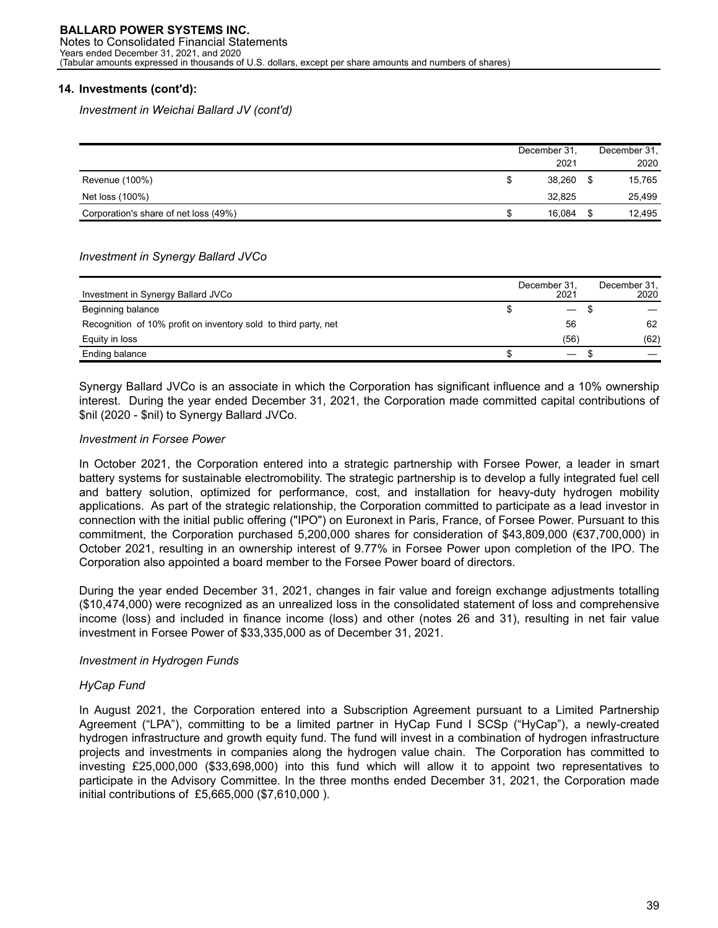## **14. Investments (cont'd):**

*Investment in Weichai Ballard JV (cont'd)*

|                                       |   | December 31. |      | December 31, |
|---------------------------------------|---|--------------|------|--------------|
|                                       |   | 2021         |      | 2020         |
| Revenue (100%)                        | S | 38.260       | - \$ | 15,765       |
| Net loss (100%)                       |   | 32.825       |      | 25.499       |
| Corporation's share of net loss (49%) |   | 16.084       |      | 12.495       |
|                                       |   |              |      |              |

## *Investment in Synergy Ballard JVCo*

| Investment in Synergy Ballard JVCo                              | December 31,<br>2021 | December 31,<br>2020 |
|-----------------------------------------------------------------|----------------------|----------------------|
| Beginning balance                                               |                      |                      |
| Recognition of 10% profit on inventory sold to third party, net | 56                   | 62                   |
| Equity in loss                                                  | (56)                 | (62)                 |
| Ending balance                                                  |                      |                      |

Synergy Ballard JVCo is an associate in which the Corporation has significant influence and a 10% ownership interest. During the year ended December 31, 2021, the Corporation made committed capital contributions of \$nil (2020 - \$nil) to Synergy Ballard JVCo.

#### *Investment in Forsee Power*

In October 2021, the Corporation entered into a strategic partnership with Forsee Power, a leader in smart battery systems for sustainable electromobility. The strategic partnership is to develop a fully integrated fuel cell and battery solution, optimized for performance, cost, and installation for heavy-duty hydrogen mobility applications. As part of the strategic relationship, the Corporation committed to participate as a lead investor in connection with the initial public offering ("IPO") on Euronext in Paris, France, of Forsee Power. Pursuant to this commitment, the Corporation purchased 5,200,000 shares for consideration of \$43,809,000 (€37,700,000) in October 2021, resulting in an ownership interest of 9.77% in Forsee Power upon completion of the IPO. The Corporation also appointed a board member to the Forsee Power board of directors.

During the year ended December 31, 2021, changes in fair value and foreign exchange adjustments totalling (\$10,474,000) were recognized as an unrealized loss in the consolidated statement of loss and comprehensive income (loss) and included in finance income (loss) and other (notes 26 and 31), resulting in net fair value investment in Forsee Power of \$33,335,000 as of December 31, 2021.

#### *Investment in Hydrogen Funds*

#### *HyCap Fund*

In August 2021, the Corporation entered into a Subscription Agreement pursuant to a Limited Partnership Agreement ("LPA"), committing to be a limited partner in HyCap Fund I SCSp ("HyCap"), a newly-created hydrogen infrastructure and growth equity fund. The fund will invest in a combination of hydrogen infrastructure projects and investments in companies along the hydrogen value chain. The Corporation has committed to investing £25,000,000 (\$33,698,000) into this fund which will allow it to appoint two representatives to participate in the Advisory Committee. In the three months ended December 31, 2021, the Corporation made initial contributions of £5,665,000 (\$7,610,000 ).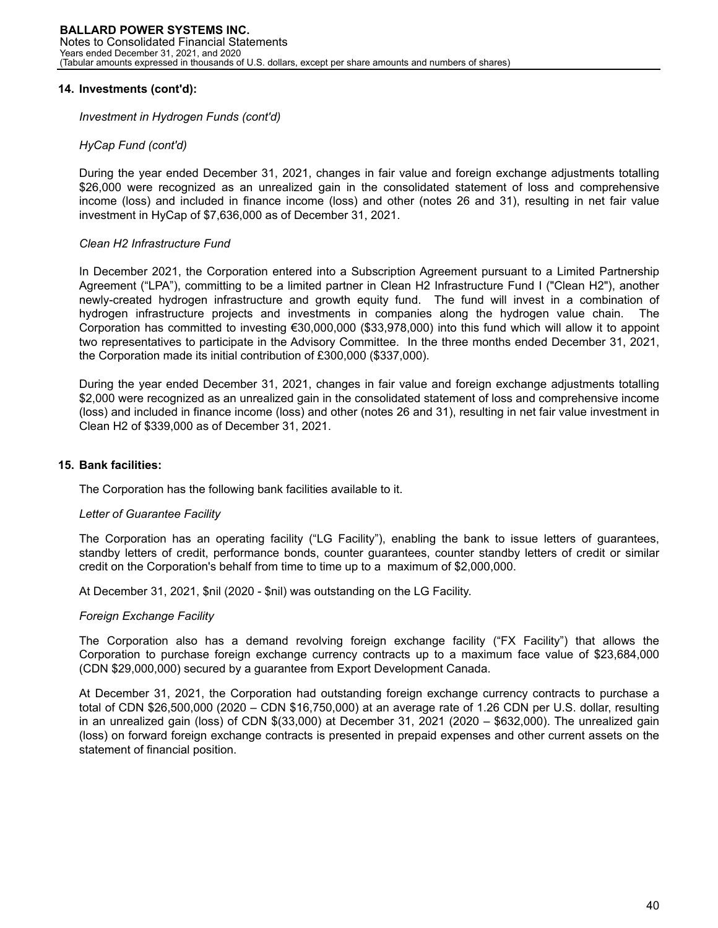## **14. Investments (cont'd):**

*Investment in Hydrogen Funds (cont'd)* 

## *HyCap Fund (cont'd)*

During the year ended December 31, 2021, changes in fair value and foreign exchange adjustments totalling \$26,000 were recognized as an unrealized gain in the consolidated statement of loss and comprehensive income (loss) and included in finance income (loss) and other (notes 26 and 31), resulting in net fair value investment in HyCap of \$7,636,000 as of December 31, 2021.

## *Clean H2 Infrastructure Fund*

In December 2021, the Corporation entered into a Subscription Agreement pursuant to a Limited Partnership Agreement ("LPA"), committing to be a limited partner in Clean H2 Infrastructure Fund I ("Clean H2"), another newly-created hydrogen infrastructure and growth equity fund. The fund will invest in a combination of hydrogen infrastructure projects and investments in companies along the hydrogen value chain. The Corporation has committed to investing €30,000,000 (\$33,978,000) into this fund which will allow it to appoint two representatives to participate in the Advisory Committee. In the three months ended December 31, 2021, the Corporation made its initial contribution of £300,000 (\$337,000).

During the year ended December 31, 2021, changes in fair value and foreign exchange adjustments totalling \$2,000 were recognized as an unrealized gain in the consolidated statement of loss and comprehensive income (loss) and included in finance income (loss) and other (notes 26 and 31), resulting in net fair value investment in Clean H2 of \$339,000 as of December 31, 2021.

## **15. Bank facilities:**

The Corporation has the following bank facilities available to it.

#### *Letter of Guarantee Facility*

The Corporation has an operating facility ("LG Facility"), enabling the bank to issue letters of guarantees, standby letters of credit, performance bonds, counter guarantees, counter standby letters of credit or similar credit on the Corporation's behalf from time to time up to a maximum of \$2,000,000.

At December 31, 2021, \$nil (2020 - \$nil) was outstanding on the LG Facility.

# *Foreign Exchange Facility*

The Corporation also has a demand revolving foreign exchange facility ("FX Facility") that allows the Corporation to purchase foreign exchange currency contracts up to a maximum face value of \$23,684,000 (CDN \$29,000,000) secured by a guarantee from Export Development Canada.

At December 31, 2021, the Corporation had outstanding foreign exchange currency contracts to purchase a total of CDN \$26,500,000 (2020 – CDN \$16,750,000) at an average rate of 1.26 CDN per U.S. dollar, resulting in an unrealized gain (loss) of CDN \$(33,000) at December 31, 2021 (2020 – \$632,000). The unrealized gain (loss) on forward foreign exchange contracts is presented in prepaid expenses and other current assets on the statement of financial position.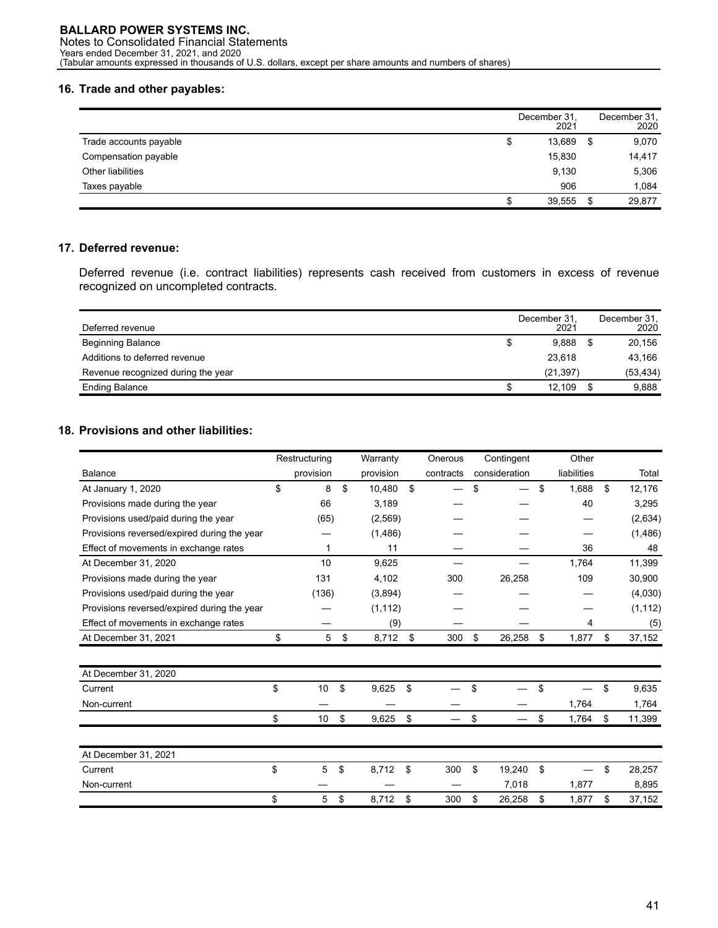#### **16. Trade and other payables:**

|                        | December 31.<br>2021 |      | December 31,<br>2020 |
|------------------------|----------------------|------|----------------------|
| Trade accounts payable | \$<br>13.689         | - \$ | 9,070                |
| Compensation payable   | 15,830               |      | 14,417               |
| Other liabilities      | 9,130                |      | 5,306                |
| Taxes payable          | 906                  |      | 1.084                |
|                        | 39.555               | S    | 29.877               |

## **17. Deferred revenue:**

Deferred revenue (i.e. contract liabilities) represents cash received from customers in excess of revenue recognized on uncompleted contracts.

| Deferred revenue                   | December 31.<br>2021 | December 31,<br>2020 |
|------------------------------------|----------------------|----------------------|
| <b>Beginning Balance</b>           | 9.888                | 20,156               |
| Additions to deferred revenue      | 23.618               | 43.166               |
| Revenue recognized during the year | (21, 397)            | (53, 434)            |
| <b>Ending Balance</b>              | 12.109               | 9.888                |

# **18. Provisions and other liabilities:**

|                                             | Restructuring         | Warranty     | Onerous   | Contingent    | Other       |              |
|---------------------------------------------|-----------------------|--------------|-----------|---------------|-------------|--------------|
| Balance                                     | provision             | provision    | contracts | consideration | liabilities | Total        |
| At January 1, 2020                          | \$<br>8               | \$<br>10,480 | \$        | \$            | \$<br>1,688 | \$<br>12,176 |
| Provisions made during the year             | 66                    | 3,189        |           |               | 40          | 3,295        |
| Provisions used/paid during the year        | (65)                  | (2, 569)     |           |               |             | (2,634)      |
| Provisions reversed/expired during the year |                       | (1,486)      |           |               |             | (1,486)      |
| Effect of movements in exchange rates       |                       | 11           |           |               | 36          | 48           |
| At December 31, 2020                        | 10                    | 9.625        |           |               | 1,764       | 11,399       |
| Provisions made during the year             | 131                   | 4,102        | 300       | 26,258        | 109         | 30,900       |
| Provisions used/paid during the year        | (136)                 | (3,894)      |           |               |             | (4,030)      |
| Provisions reversed/expired during the year |                       | (1, 112)     |           |               |             | (1, 112)     |
| Effect of movements in exchange rates       |                       | (9)          |           |               | 4           | (5)          |
| At December 31, 2021                        | \$<br>5               | \$<br>8,712  | \$<br>300 | \$<br>26,258  | \$<br>1,877 | \$<br>37,152 |
| At December 31, 2020                        |                       |              |           |               |             |              |
| Current                                     | \$<br>10              | \$<br>9,625  | \$        | \$            | \$          | \$<br>9,635  |
| Non-current                                 |                       |              |           |               | 1,764       | 1,764        |
|                                             | \$<br>10 <sup>°</sup> | \$<br>9,625  | \$        | \$            | \$<br>1,764 | \$<br>11,399 |
| At December 31, 2021                        |                       |              |           |               |             |              |
| Current                                     | \$<br>5               | \$<br>8,712  | \$<br>300 | \$<br>19,240  | \$          | \$<br>28,257 |
| Non-current                                 |                       |              |           | 7,018         | 1,877       | 8,895        |
|                                             | \$<br>5               | \$<br>8,712  | \$<br>300 | \$<br>26,258  | \$<br>1,877 | \$<br>37,152 |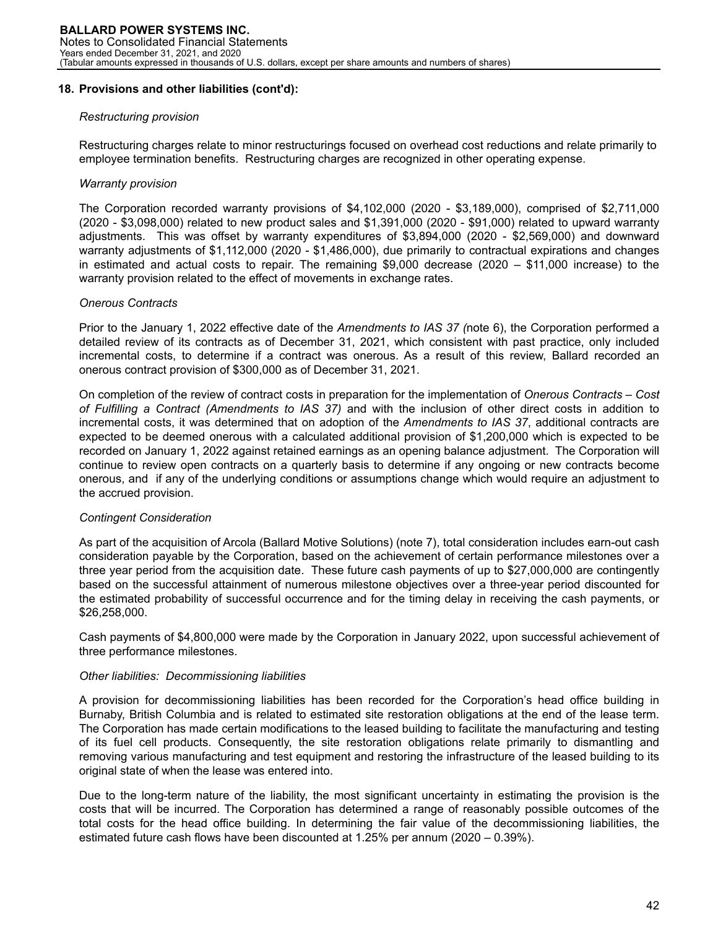## **18. Provisions and other liabilities (cont'd):**

#### *Restructuring provision*

Restructuring charges relate to minor restructurings focused on overhead cost reductions and relate primarily to employee termination benefits. Restructuring charges are recognized in other operating expense.

#### *Warranty provision*

The Corporation recorded warranty provisions of \$4,102,000 (2020 - \$3,189,000), comprised of \$2,711,000 (2020 - \$3,098,000) related to new product sales and \$1,391,000 (2020 - \$91,000) related to upward warranty adjustments. This was offset by warranty expenditures of \$3,894,000 (2020 - \$2,569,000) and downward warranty adjustments of \$1,112,000 (2020 - \$1,486,000), due primarily to contractual expirations and changes in estimated and actual costs to repair. The remaining \$9,000 decrease (2020 – \$11,000 increase) to the warranty provision related to the effect of movements in exchange rates.

#### *Onerous Contracts*

Prior to the January 1, 2022 effective date of the *Amendments to IAS 37 (*note 6), the Corporation performed a detailed review of its contracts as of December 31, 2021, which consistent with past practice, only included incremental costs, to determine if a contract was onerous. As a result of this review, Ballard recorded an onerous contract provision of \$300,000 as of December 31, 2021.

On completion of the review of contract costs in preparation for the implementation of *Onerous Contracts – Cost of Fulfilling a Contract (Amendments to IAS 37)* and with the inclusion of other direct costs in addition to incremental costs, it was determined that on adoption of the *Amendments to IAS 37*, additional contracts are expected to be deemed onerous with a calculated additional provision of \$1,200,000 which is expected to be recorded on January 1, 2022 against retained earnings as an opening balance adjustment. The Corporation will continue to review open contracts on a quarterly basis to determine if any ongoing or new contracts become onerous, and if any of the underlying conditions or assumptions change which would require an adjustment to the accrued provision.

#### *Contingent Consideration*

As part of the acquisition of Arcola (Ballard Motive Solutions) (note 7), total consideration includes earn-out cash consideration payable by the Corporation, based on the achievement of certain performance milestones over a three year period from the acquisition date. These future cash payments of up to \$27,000,000 are contingently based on the successful attainment of numerous milestone objectives over a three-year period discounted for the estimated probability of successful occurrence and for the timing delay in receiving the cash payments, or \$26,258,000.

Cash payments of \$4,800,000 were made by the Corporation in January 2022, upon successful achievement of three performance milestones.

#### *Other liabilities: Decommissioning liabilities*

A provision for decommissioning liabilities has been recorded for the Corporation's head office building in Burnaby, British Columbia and is related to estimated site restoration obligations at the end of the lease term. The Corporation has made certain modifications to the leased building to facilitate the manufacturing and testing of its fuel cell products. Consequently, the site restoration obligations relate primarily to dismantling and removing various manufacturing and test equipment and restoring the infrastructure of the leased building to its original state of when the lease was entered into.

Due to the long-term nature of the liability, the most significant uncertainty in estimating the provision is the costs that will be incurred. The Corporation has determined a range of reasonably possible outcomes of the total costs for the head office building. In determining the fair value of the decommissioning liabilities, the estimated future cash flows have been discounted at 1.25% per annum (2020 – 0.39%).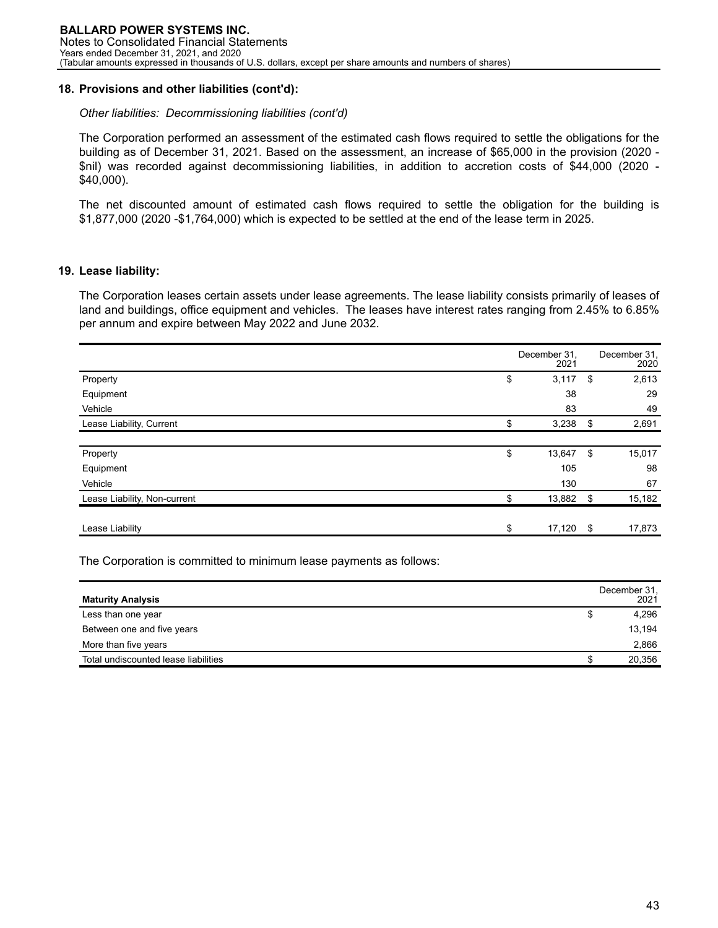#### **18. Provisions and other liabilities (cont'd):**

#### *Other liabilities: Decommissioning liabilities (cont'd)*

The Corporation performed an assessment of the estimated cash flows required to settle the obligations for the building as of December 31, 2021. Based on the assessment, an increase of \$65,000 in the provision (2020 - \$nil) was recorded against decommissioning liabilities, in addition to accretion costs of \$44,000 (2020 - \$40,000).

The net discounted amount of estimated cash flows required to settle the obligation for the building is \$1,877,000 (2020 -\$1,764,000) which is expected to be settled at the end of the lease term in 2025.

#### **19. Lease liability:**

The Corporation leases certain assets under lease agreements. The lease liability consists primarily of leases of land and buildings, office equipment and vehicles. The leases have interest rates ranging from 2.45% to 6.85% per annum and expire between May 2022 and June 2032.

|                              | December 31,<br>2021 |      | December 31,<br>2020 |
|------------------------------|----------------------|------|----------------------|
| Property                     | \$<br>3,117          | \$   | 2,613                |
| Equipment                    | 38                   |      | 29                   |
| Vehicle                      | 83                   |      | 49                   |
| Lease Liability, Current     | \$<br>3,238          | \$   | 2,691                |
|                              |                      |      |                      |
| Property                     | \$<br>13,647         | - \$ | 15,017               |
| Equipment                    | 105                  |      | 98                   |
| Vehicle                      | 130                  |      | 67                   |
| Lease Liability, Non-current | \$<br>13,882         | - \$ | 15,182               |
|                              |                      |      |                      |
| Lease Liability              | \$<br>17,120         | - \$ | 17,873               |

The Corporation is committed to minimum lease payments as follows:

| <b>Maturity Analysis</b>             |    | December 31,<br>2021 |
|--------------------------------------|----|----------------------|
| Less than one year                   | \$ | 4,296                |
| Between one and five years           |    | 13.194               |
| More than five years                 |    | 2,866                |
| Total undiscounted lease liabilities | S  | 20.356               |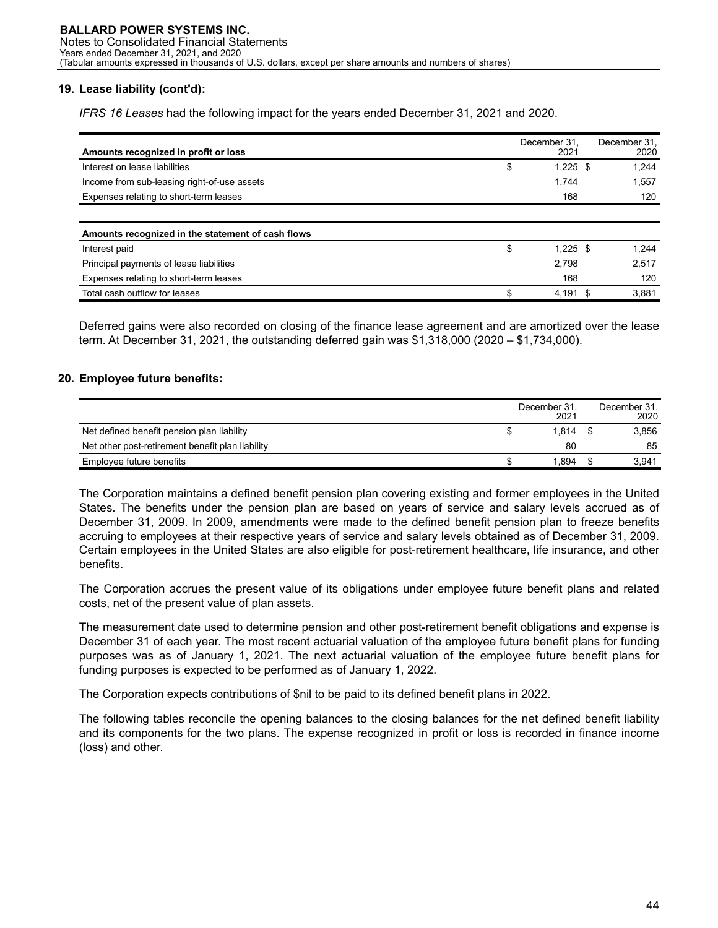## **19. Lease liability (cont'd):**

*IFRS 16 Leases* had the following impact for the years ended December 31, 2021 and 2020.

| Amounts recognized in profit or loss              | December 31.<br>2021 | December 31,<br>2020 |
|---------------------------------------------------|----------------------|----------------------|
| Interest on lease liabilities                     | \$<br>$1.225$ \$     | 1.244                |
| Income from sub-leasing right-of-use assets       | 1,744                | 1,557                |
| Expenses relating to short-term leases            | 168                  | 120                  |
|                                                   |                      |                      |
| Amounts recognized in the statement of cash flows |                      |                      |
| Interest paid                                     | \$<br>$1,225$ \$     | 1.244                |
| Principal payments of lease liabilities           | 2,798                | 2,517                |
| Expenses relating to short-term leases            | 168                  | 120                  |
| Total cash outflow for leases                     | 4.191 \$             | 3,881                |

Deferred gains were also recorded on closing of the finance lease agreement and are amortized over the lease term. At December 31, 2021, the outstanding deferred gain was \$1,318,000 (2020 – \$1,734,000).

#### **20. Employee future benefits:**

|                                                  | December 31<br>2021 | December 31,<br>2020 |
|--------------------------------------------------|---------------------|----------------------|
| Net defined benefit pension plan liability       | 1.814               | 3.856                |
| Net other post-retirement benefit plan liability | 80                  | 85                   |
| Employee future benefits                         | .894                | 3.941                |

The Corporation maintains a defined benefit pension plan covering existing and former employees in the United States. The benefits under the pension plan are based on years of service and salary levels accrued as of December 31, 2009. In 2009, amendments were made to the defined benefit pension plan to freeze benefits accruing to employees at their respective years of service and salary levels obtained as of December 31, 2009. Certain employees in the United States are also eligible for post-retirement healthcare, life insurance, and other benefits.

The Corporation accrues the present value of its obligations under employee future benefit plans and related costs, net of the present value of plan assets.

The measurement date used to determine pension and other post-retirement benefit obligations and expense is December 31 of each year. The most recent actuarial valuation of the employee future benefit plans for funding purposes was as of January 1, 2021. The next actuarial valuation of the employee future benefit plans for funding purposes is expected to be performed as of January 1, 2022.

The Corporation expects contributions of \$nil to be paid to its defined benefit plans in 2022.

The following tables reconcile the opening balances to the closing balances for the net defined benefit liability and its components for the two plans. The expense recognized in profit or loss is recorded in finance income (loss) and other.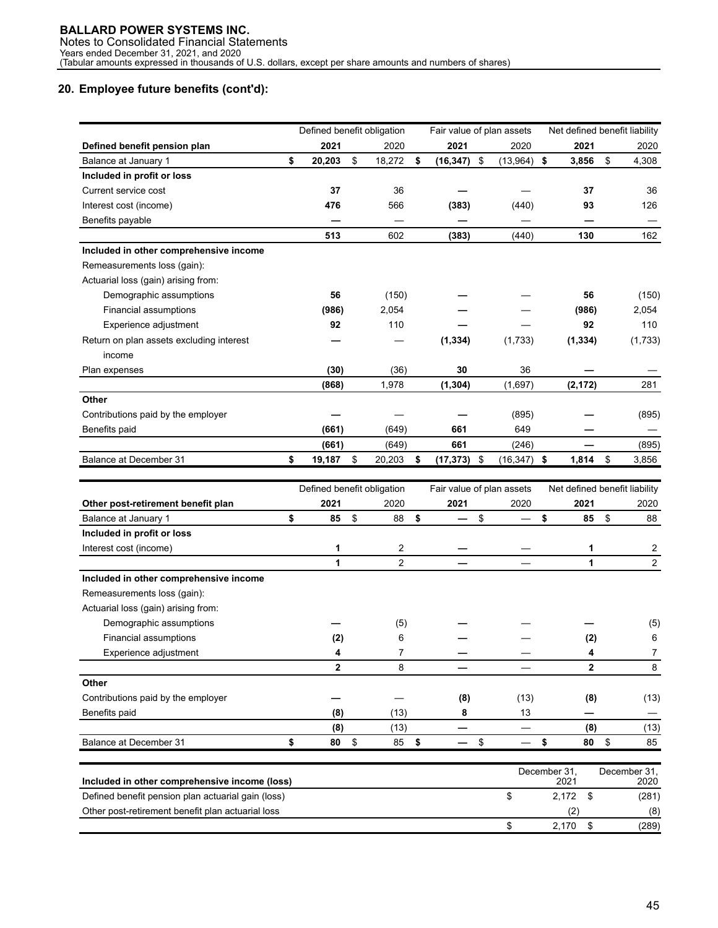# **20. Employee future benefits (cont'd):**

|                                                    | Defined benefit obligation |                | Fair value of plan assets |               |              |                   | Net defined benefit liability                |
|----------------------------------------------------|----------------------------|----------------|---------------------------|---------------|--------------|-------------------|----------------------------------------------|
| Defined benefit pension plan                       | 2021                       | 2020           | 2021                      | 2020          |              | 2021              | 2020                                         |
| Balance at January 1                               | \$<br>20,203               | \$<br>18,272   | \$<br>\$<br>(16, 347)     | $(13,964)$ \$ |              | 3,856             | \$<br>4,308                                  |
| Included in profit or loss                         |                            |                |                           |               |              |                   |                                              |
| Current service cost                               | 37                         | 36             |                           |               |              | 37                | 36                                           |
| Interest cost (income)                             | 476                        | 566            | (383)                     | (440)         |              | 93                | 126                                          |
| Benefits payable                                   |                            |                |                           |               |              |                   |                                              |
|                                                    | 513                        | 602            | (383)                     | (440)         |              | 130               | 162                                          |
| Included in other comprehensive income             |                            |                |                           |               |              |                   |                                              |
| Remeasurements loss (gain):                        |                            |                |                           |               |              |                   |                                              |
| Actuarial loss (gain) arising from:                |                            |                |                           |               |              |                   |                                              |
| Demographic assumptions                            | 56                         | (150)          |                           |               |              | 56                | (150)                                        |
| <b>Financial assumptions</b>                       | (986)                      | 2,054          |                           |               |              | (986)             | 2,054                                        |
| Experience adjustment                              | 92                         | 110            |                           |               |              | 92                | 110                                          |
| Return on plan assets excluding interest           |                            |                | (1, 334)                  | (1,733)       | (1, 334)     |                   | (1,733)                                      |
| income                                             |                            |                |                           |               |              |                   |                                              |
| Plan expenses                                      | (30)                       | (36)           | 30                        | 36            |              |                   |                                              |
|                                                    | (868)                      | 1,978          | (1, 304)                  | (1,697)       | (2, 172)     |                   | 281                                          |
| Other                                              |                            |                |                           |               |              |                   |                                              |
| Contributions paid by the employer                 |                            |                |                           | (895)         |              |                   | (895)                                        |
| Benefits paid                                      | (661)                      | (649)          | 661                       | 649           |              |                   |                                              |
|                                                    | (661)                      | (649)          | 661                       | (246)         |              |                   | (895)                                        |
| Balance at December 31                             | \$<br>19,187               | \$<br>20,203   | \$<br>(17, 373)<br>\$     | (16, 347)     | \$           | 1,814             | \$<br>3,856                                  |
|                                                    |                            |                |                           |               |              |                   |                                              |
|                                                    | Defined benefit obligation |                | Fair value of plan assets |               |              |                   | Net defined benefit liability                |
| Other post-retirement benefit plan                 | 2021                       | 2020           | 2021                      | 2020          |              | 2021              | 2020                                         |
| Balance at January 1                               | \$<br>85                   | \$<br>88       | \$<br>\$                  |               | \$           | 85                | \$<br>88                                     |
|                                                    |                            |                |                           |               |              |                   |                                              |
|                                                    |                            |                |                           |               |              |                   |                                              |
| Included in profit or loss                         | 1                          | 2              |                           |               |              | 1                 |                                              |
| Interest cost (income)                             | 1                          | $\overline{c}$ |                           |               |              | 1                 | 2<br>$\boldsymbol{2}$                        |
|                                                    |                            |                |                           |               |              |                   |                                              |
| Included in other comprehensive income             |                            |                |                           |               |              |                   |                                              |
| Remeasurements loss (gain):                        |                            |                |                           |               |              |                   |                                              |
| Actuarial loss (gain) arising from:                |                            |                |                           |               |              |                   |                                              |
| Demographic assumptions                            |                            | (5)<br>6       |                           |               |              |                   | 6                                            |
| <b>Financial assumptions</b>                       | (2)                        | 7              |                           |               |              | (2)               |                                              |
| Experience adjustment                              | 4<br>$\overline{2}$        | 8              |                           |               |              | 4<br>$\mathbf{2}$ | $\overline{7}$                               |
|                                                    |                            |                |                           |               |              |                   | 8                                            |
| Other                                              |                            |                |                           |               |              |                   |                                              |
| Contributions paid by the employer                 |                            |                | (8)                       | (13)          |              | (8)               |                                              |
| Benefits paid                                      | (8)                        | (13)           | 8                         | 13            |              |                   |                                              |
|                                                    | \$<br>(8)<br>80            | (13)           |                           |               | \$           | (8)<br>80         | \$                                           |
| Balance at December 31                             |                            | \$<br>85       | \$<br>\$                  |               |              |                   |                                              |
|                                                    |                            |                |                           |               | December 31, |                   | 85<br>December 31,                           |
| Included in other comprehensive income (loss)      |                            |                |                           |               | 2021         |                   | 2020                                         |
| Defined benefit pension plan actuarial gain (loss) |                            |                |                           | \$            | 2,172        | \$                |                                              |
| Other post-retirement benefit plan actuarial loss  |                            |                |                           | \$            | (2)<br>2,170 | $\,$              | (5)<br>(13)<br>(13)<br>(281)<br>(8)<br>(289) |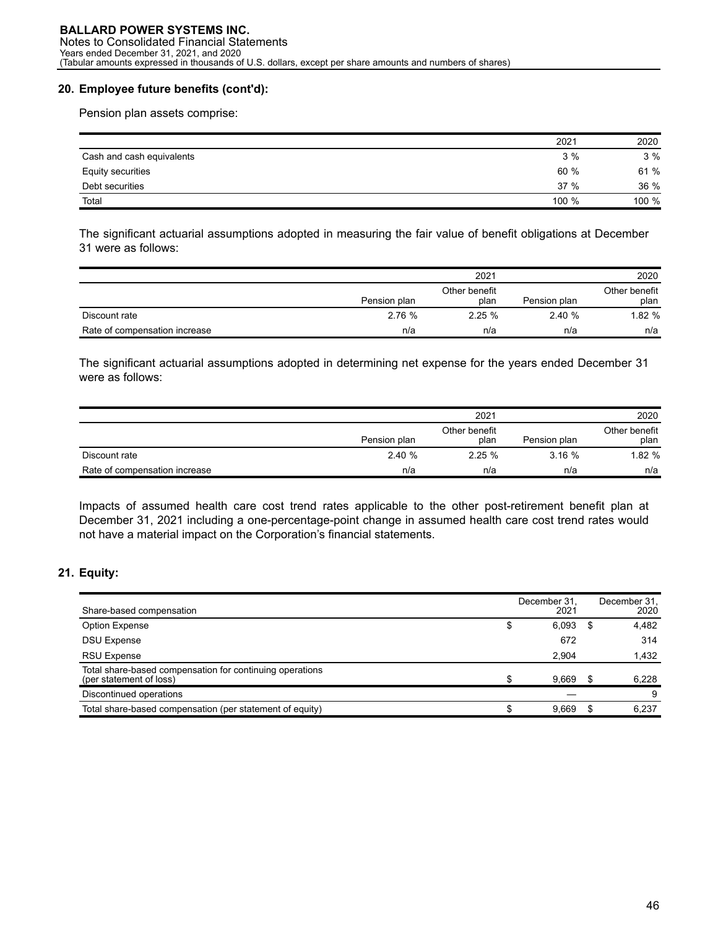## **20. Employee future benefits (cont'd):**

Pension plan assets comprise:

|                           | 2021  | 2020  |
|---------------------------|-------|-------|
| Cash and cash equivalents | 3%    | 3%    |
| Equity securities         | 60 %  | 61 %  |
| Debt securities           | 37%   | 36 %  |
| Total                     | 100 % | 100 % |

The significant actuarial assumptions adopted in measuring the fair value of benefit obligations at December 31 were as follows:

|                               |              | 2021                  |              | 2020                  |
|-------------------------------|--------------|-----------------------|--------------|-----------------------|
|                               | Pension plan | Other benefit<br>plan | Pension plan | Other benefit<br>plan |
| Discount rate                 | 2.76%        | 2.25%                 | 2.40%        | 1.82 %                |
| Rate of compensation increase | n/a          | n/a                   | n/a          | n/a                   |

The significant actuarial assumptions adopted in determining net expense for the years ended December 31 were as follows:

|                               |              | 2021          |              | 2020          |
|-------------------------------|--------------|---------------|--------------|---------------|
|                               |              | Other benefit |              | Other benefit |
|                               | Pension plan | plan          | Pension plan | plan          |
| Discount rate                 | 2.40%        | 2.25%         | 3.16%        | 1.82%         |
| Rate of compensation increase | n/a          | n/a           | n/a          | n/a           |

Impacts of assumed health care cost trend rates applicable to the other post-retirement benefit plan at December 31, 2021 including a one-percentage-point change in assumed health care cost trend rates would not have a material impact on the Corporation's financial statements.

# **21. Equity:**

| Share-based compensation                                                            |   | December 31.<br>2021 |     | December 31,<br>2020 |
|-------------------------------------------------------------------------------------|---|----------------------|-----|----------------------|
| Option Expense                                                                      |   | 6.093                | S   | 4,482                |
| <b>DSU Expense</b>                                                                  |   | 672                  |     | 314                  |
| <b>RSU Expense</b>                                                                  |   | 2.904                |     | 1,432                |
| Total share-based compensation for continuing operations<br>(per statement of loss) | σ | 9.669                | \$. | 6,228                |
| Discontinued operations                                                             |   |                      |     | 9                    |
| Total share-based compensation (per statement of equity)                            |   | 9.669                |     | 6,237                |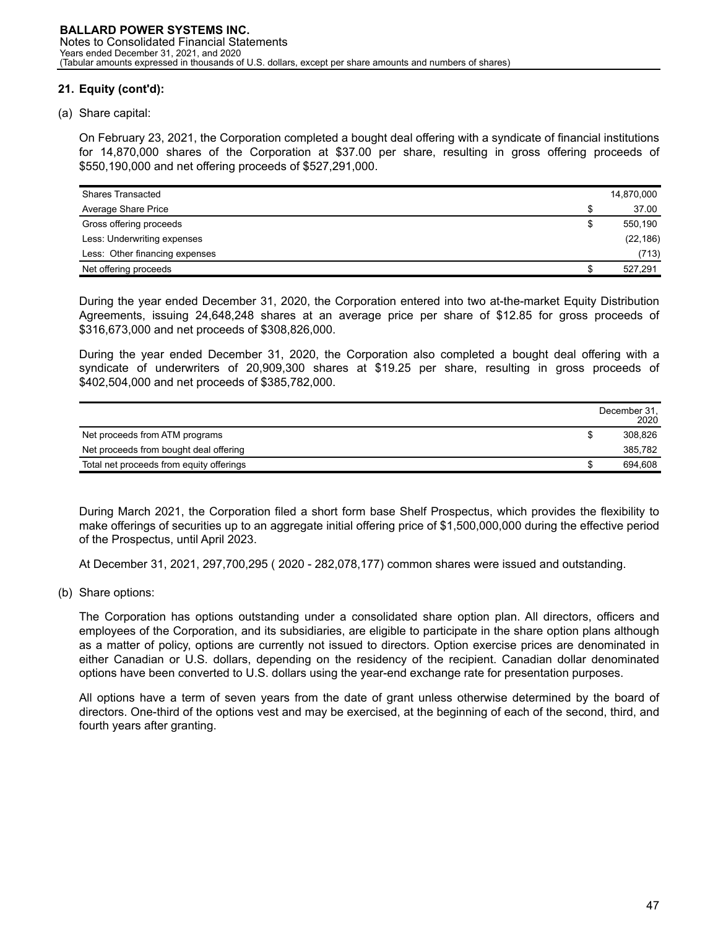(a) Share capital:

On February 23, 2021, the Corporation completed a bought deal offering with a syndicate of financial institutions for 14,870,000 shares of the Corporation at \$37.00 per share, resulting in gross offering proceeds of \$550,190,000 and net offering proceeds of \$527,291,000.

| <b>Shares Transacted</b>       |    | 14,870,000 |
|--------------------------------|----|------------|
| Average Share Price            | ۰ъ | 37.00      |
| Gross offering proceeds        | Œ  | 550,190    |
| Less: Underwriting expenses    |    | (22, 186)  |
| Less: Other financing expenses |    | (713)      |
| Net offering proceeds          |    | 527.291    |

During the year ended December 31, 2020, the Corporation entered into two at-the-market Equity Distribution Agreements, issuing 24,648,248 shares at an average price per share of \$12.85 for gross proceeds of \$316,673,000 and net proceeds of \$308,826,000.

During the year ended December 31, 2020, the Corporation also completed a bought deal offering with a syndicate of underwriters of 20,909,300 shares at \$19.25 per share, resulting in gross proceeds of \$402,504,000 and net proceeds of \$385,782,000.

|                                          | December 31,<br>2020 |
|------------------------------------------|----------------------|
| Net proceeds from ATM programs           | 308.826              |
| Net proceeds from bought deal offering   | 385.782              |
| Total net proceeds from equity offerings | 694.608              |

During March 2021, the Corporation filed a short form base Shelf Prospectus, which provides the flexibility to make offerings of securities up to an aggregate initial offering price of \$1,500,000,000 during the effective period of the Prospectus, until April 2023.

At December 31, 2021, 297,700,295 ( 2020 - 282,078,177) common shares were issued and outstanding.

(b) Share options:

The Corporation has options outstanding under a consolidated share option plan. All directors, officers and employees of the Corporation, and its subsidiaries, are eligible to participate in the share option plans although as a matter of policy, options are currently not issued to directors. Option exercise prices are denominated in either Canadian or U.S. dollars, depending on the residency of the recipient. Canadian dollar denominated options have been converted to U.S. dollars using the year-end exchange rate for presentation purposes.

All options have a term of seven years from the date of grant unless otherwise determined by the board of directors. One-third of the options vest and may be exercised, at the beginning of each of the second, third, and fourth years after granting.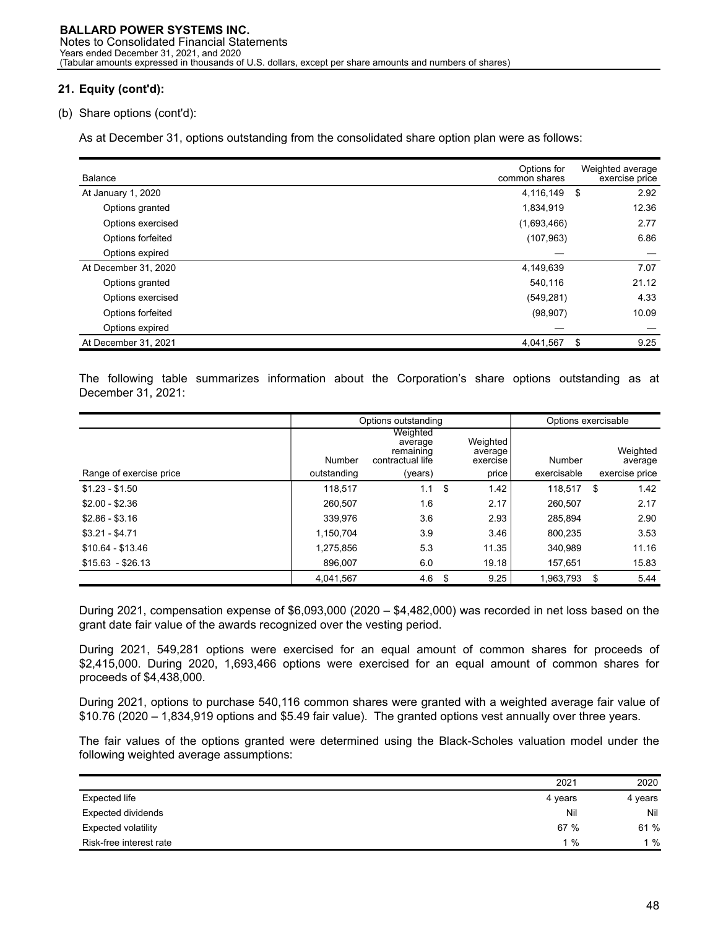(b) Share options (cont'd):

As at December 31, options outstanding from the consolidated share option plan were as follows:

| <b>Balance</b>       | Options for<br>common shares | Weighted average<br>exercise price |
|----------------------|------------------------------|------------------------------------|
| At January 1, 2020   | 4,116,149 \$                 | 2.92                               |
| Options granted      | 1,834,919                    | 12.36                              |
| Options exercised    | (1,693,466)                  | 2.77                               |
| Options forfeited    | (107, 963)                   | 6.86                               |
| Options expired      |                              |                                    |
| At December 31, 2020 | 4,149,639                    | 7.07                               |
| Options granted      | 540,116                      | 21.12                              |
| Options exercised    | (549, 281)                   | 4.33                               |
| Options forfeited    | (98, 907)                    | 10.09                              |
| Options expired      |                              |                                    |
| At December 31, 2021 | 4,041,567                    | 9.25<br>S                          |

The following table summarizes information about the Corporation's share options outstanding as at December 31, 2021:

|                         |             | Options outstanding                                  |                                 |             | Options exercisable |
|-------------------------|-------------|------------------------------------------------------|---------------------------------|-------------|---------------------|
|                         | Number      | Weighted<br>average<br>remaining<br>contractual life | Weighted<br>average<br>exercise | Number      | Weighted<br>average |
| Range of exercise price | outstanding | (years)                                              | price                           | exercisable | exercise price      |
| $$1.23 - $1.50$         | 118.517     | 1.1                                                  | \$<br>1.42                      | 118.517     | 1.42<br>\$          |
| $$2.00 - $2.36$         | 260.507     | 1.6                                                  | 2.17                            | 260.507     | 2.17                |
| $$2.86 - $3.16$         | 339.976     | 3.6                                                  | 2.93                            | 285.894     | 2.90                |
| $$3.21 - $4.71$         | 1,150,704   | 3.9                                                  | 3.46                            | 800.235     | 3.53                |
| $$10.64 - $13.46$       | 1,275,856   | 5.3                                                  | 11.35                           | 340,989     | 11.16               |
| $$15.63 - $26.13$       | 896.007     | 6.0                                                  | 19.18                           | 157.651     | 15.83               |
|                         | 4.041.567   | 4.6                                                  | 9.25<br>\$                      | 1,963,793   | 5.44<br>S           |

During 2021, compensation expense of \$6,093,000 (2020 – \$4,482,000) was recorded in net loss based on the grant date fair value of the awards recognized over the vesting period.

During 2021, 549,281 options were exercised for an equal amount of common shares for proceeds of \$2,415,000. During 2020, 1,693,466 options were exercised for an equal amount of common shares for proceeds of \$4,438,000.

During 2021, options to purchase 540,116 common shares were granted with a weighted average fair value of \$10.76 (2020 – 1,834,919 options and \$5.49 fair value). The granted options vest annually over three years.

The fair values of the options granted were determined using the Black-Scholes valuation model under the following weighted average assumptions:

|                         | 2021    | 2020    |
|-------------------------|---------|---------|
| Expected life           | 4 years | 4 years |
| Expected dividends      | Nil     | Nil     |
| Expected volatility     | 67 %    | 61 %    |
| Risk-free interest rate | $\%$    | 1%      |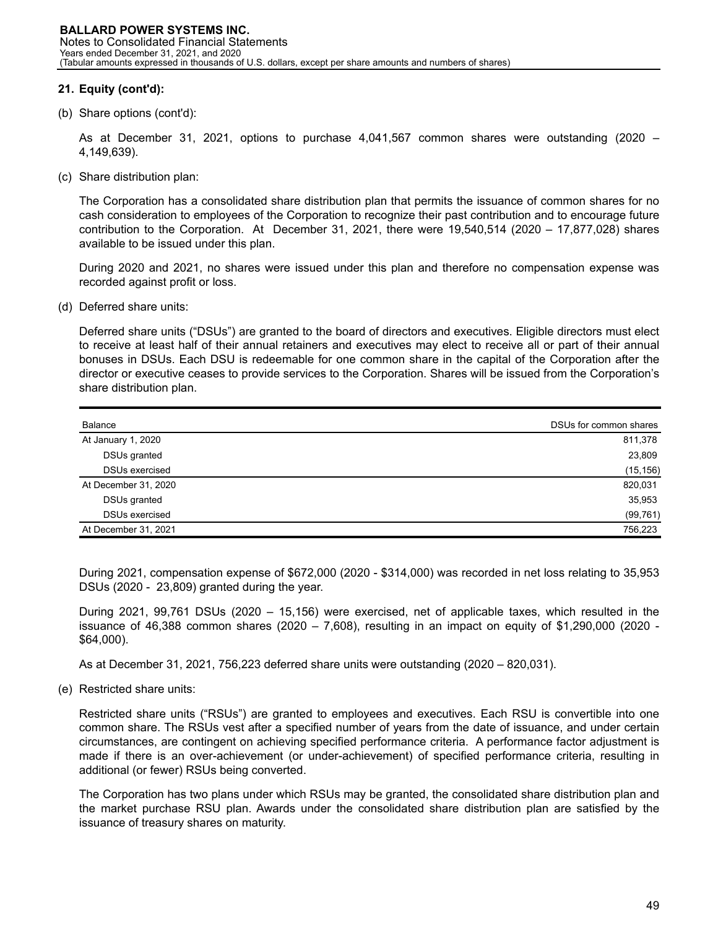(b) Share options (cont'd):

As at December 31, 2021, options to purchase 4,041,567 common shares were outstanding (2020 – 4,149,639).

(c) Share distribution plan:

The Corporation has a consolidated share distribution plan that permits the issuance of common shares for no cash consideration to employees of the Corporation to recognize their past contribution and to encourage future contribution to the Corporation. At December 31, 2021, there were 19,540,514 (2020 – 17,877,028) shares available to be issued under this plan.

During 2020 and 2021, no shares were issued under this plan and therefore no compensation expense was recorded against profit or loss.

(d) Deferred share units:

Deferred share units ("DSUs") are granted to the board of directors and executives. Eligible directors must elect to receive at least half of their annual retainers and executives may elect to receive all or part of their annual bonuses in DSUs. Each DSU is redeemable for one common share in the capital of the Corporation after the director or executive ceases to provide services to the Corporation. Shares will be issued from the Corporation's share distribution plan.

| <b>Balance</b>        | DSUs for common shares |
|-----------------------|------------------------|
| At January 1, 2020    | 811,378                |
| DSUs granted          | 23,809                 |
| <b>DSUs exercised</b> | (15, 156)              |
| At December 31, 2020  | 820,031                |
| DSUs granted          | 35,953                 |
| <b>DSUs exercised</b> | (99, 761)              |
| At December 31, 2021  | 756,223                |

During 2021, compensation expense of \$672,000 (2020 - \$314,000) was recorded in net loss relating to 35,953 DSUs (2020 - 23,809) granted during the year.

During 2021, 99,761 DSUs (2020 – 15,156) were exercised, net of applicable taxes, which resulted in the issuance of 46,388 common shares (2020 – 7,608), resulting in an impact on equity of \$1,290,000 (2020 - \$64,000).

As at December 31, 2021, 756,223 deferred share units were outstanding (2020 – 820,031).

(e) Restricted share units:

Restricted share units ("RSUs") are granted to employees and executives. Each RSU is convertible into one common share. The RSUs vest after a specified number of years from the date of issuance, and under certain circumstances, are contingent on achieving specified performance criteria. A performance factor adjustment is made if there is an over-achievement (or under-achievement) of specified performance criteria, resulting in additional (or fewer) RSUs being converted.

The Corporation has two plans under which RSUs may be granted, the consolidated share distribution plan and the market purchase RSU plan. Awards under the consolidated share distribution plan are satisfied by the issuance of treasury shares on maturity.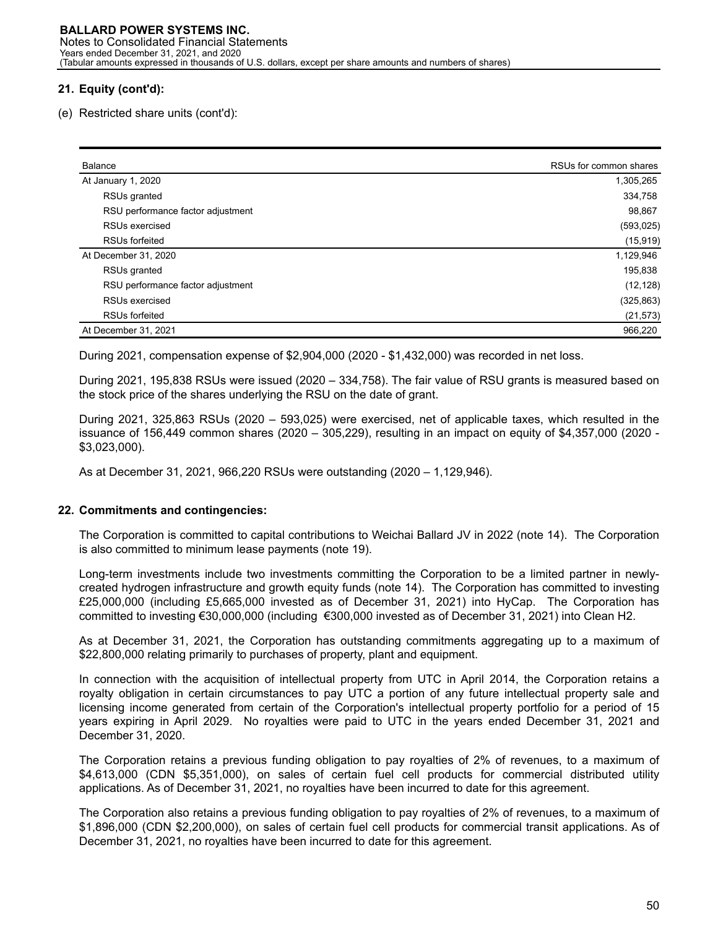(e) Restricted share units (cont'd):

| Balance                           | RSUs for common shares |
|-----------------------------------|------------------------|
| At January 1, 2020                | 1,305,265              |
| RSU <sub>s</sub> granted          | 334,758                |
| RSU performance factor adjustment | 98,867                 |
| RSUs exercised                    | (593, 025)             |
| <b>RSUs forfeited</b>             | (15, 919)              |
| At December 31, 2020              | 1,129,946              |
| RSUs granted                      | 195,838                |
| RSU performance factor adjustment | (12, 128)              |
| RSUs exercised                    | (325, 863)             |
| <b>RSUs forfeited</b>             | (21, 573)              |
| At December 31, 2021              | 966,220                |

During 2021, compensation expense of \$2,904,000 (2020 - \$1,432,000) was recorded in net loss.

During 2021, 195,838 RSUs were issued (2020 – 334,758). The fair value of RSU grants is measured based on the stock price of the shares underlying the RSU on the date of grant.

During 2021, 325,863 RSUs (2020 – 593,025) were exercised, net of applicable taxes, which resulted in the issuance of 156,449 common shares (2020 – 305,229), resulting in an impact on equity of \$4,357,000 (2020 - \$3,023,000).

As at December 31, 2021, 966,220 RSUs were outstanding (2020 – 1,129,946).

#### **22. Commitments and contingencies:**

The Corporation is committed to capital contributions to Weichai Ballard JV in 2022 (note 14). The Corporation is also committed to minimum lease payments (note 19).

Long-term investments include two investments committing the Corporation to be a limited partner in newlycreated hydrogen infrastructure and growth equity funds (note 14). The Corporation has committed to investing £25,000,000 (including £5,665,000 invested as of December 31, 2021) into HyCap. The Corporation has committed to investing €30,000,000 (including €300,000 invested as of December 31, 2021) into Clean H2.

As at December 31, 2021, the Corporation has outstanding commitments aggregating up to a maximum of \$22,800,000 relating primarily to purchases of property, plant and equipment.

In connection with the acquisition of intellectual property from UTC in April 2014, the Corporation retains a royalty obligation in certain circumstances to pay UTC a portion of any future intellectual property sale and licensing income generated from certain of the Corporation's intellectual property portfolio for a period of 15 years expiring in April 2029. No royalties were paid to UTC in the years ended December 31, 2021 and December 31, 2020.

The Corporation retains a previous funding obligation to pay royalties of 2% of revenues, to a maximum of \$4,613,000 (CDN \$5,351,000), on sales of certain fuel cell products for commercial distributed utility applications. As of December 31, 2021, no royalties have been incurred to date for this agreement.

The Corporation also retains a previous funding obligation to pay royalties of 2% of revenues, to a maximum of \$1,896,000 (CDN \$2,200,000), on sales of certain fuel cell products for commercial transit applications. As of December 31, 2021, no royalties have been incurred to date for this agreement.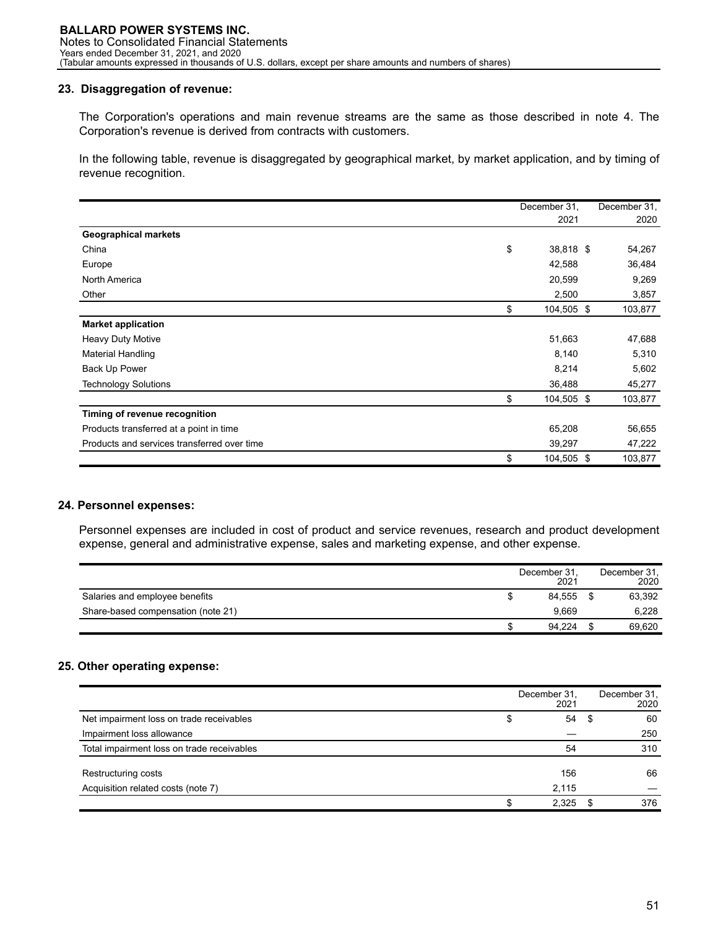## **23. Disaggregation of revenue:**

The Corporation's operations and main revenue streams are the same as those described in note 4. The Corporation's revenue is derived from contracts with customers.

In the following table, revenue is disaggregated by geographical market, by market application, and by timing of revenue recognition.

|                                             | December 31,     | December 31, |
|---------------------------------------------|------------------|--------------|
|                                             | 2021             | 2020         |
| <b>Geographical markets</b>                 |                  |              |
| China                                       | \$<br>38,818 \$  | 54,267       |
| Europe                                      | 42,588           | 36,484       |
| North America                               | 20,599           | 9,269        |
| Other                                       | 2,500            | 3,857        |
|                                             | \$<br>104,505 \$ | 103,877      |
| <b>Market application</b>                   |                  |              |
| <b>Heavy Duty Motive</b>                    | 51,663           | 47,688       |
| <b>Material Handling</b>                    | 8,140            | 5,310        |
| Back Up Power                               | 8,214            | 5,602        |
| <b>Technology Solutions</b>                 | 36,488           | 45,277       |
|                                             | \$<br>104,505 \$ | 103,877      |
| Timing of revenue recognition               |                  |              |
| Products transferred at a point in time     | 65,208           | 56,655       |
| Products and services transferred over time | 39,297           | 47,222       |
|                                             | \$<br>104,505 \$ | 103,877      |

#### **24. Personnel expenses:**

Personnel expenses are included in cost of product and service revenues, research and product development expense, general and administrative expense, sales and marketing expense, and other expense.

|                                    | December 31.<br>2021 | December 31,<br>2020 |
|------------------------------------|----------------------|----------------------|
| Salaries and employee benefits     | 84.555               | 63,392               |
| Share-based compensation (note 21) | 9.669                | 6,228                |
|                                    | 94.224               | 69.620               |

#### **25. Other operating expense:**

|                                                           | December 31.<br>2021 |      | December 31,<br>2020 |
|-----------------------------------------------------------|----------------------|------|----------------------|
| Net impairment loss on trade receivables                  | 54                   | - \$ | 60                   |
| Impairment loss allowance                                 |                      |      | 250                  |
| Total impairment loss on trade receivables                | 54                   |      | 310                  |
| Restructuring costs<br>Acquisition related costs (note 7) | 156<br>2,115         |      | 66                   |
|                                                           | 2.325                |      | 376                  |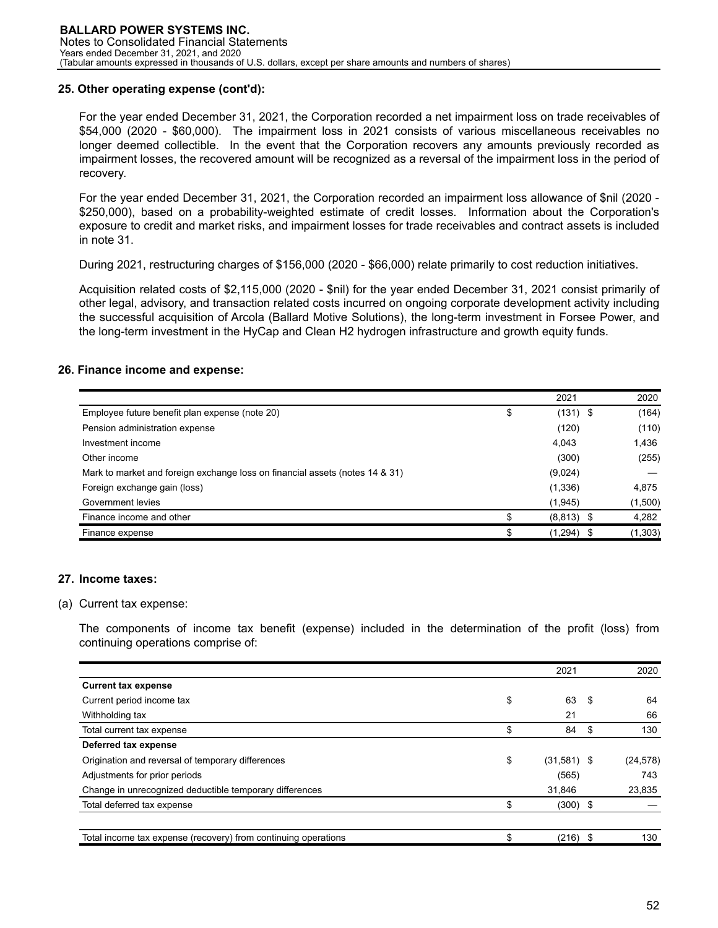#### **25. Other operating expense (cont'd):**

For the year ended December 31, 2021, the Corporation recorded a net impairment loss on trade receivables of \$54,000 (2020 - \$60,000). The impairment loss in 2021 consists of various miscellaneous receivables no longer deemed collectible. In the event that the Corporation recovers any amounts previously recorded as impairment losses, the recovered amount will be recognized as a reversal of the impairment loss in the period of recovery.

For the year ended December 31, 2021, the Corporation recorded an impairment loss allowance of \$nil (2020 - \$250,000), based on a probability-weighted estimate of credit losses. Information about the Corporation's exposure to credit and market risks, and impairment losses for trade receivables and contract assets is included in note 31.

During 2021, restructuring charges of \$156,000 (2020 - \$66,000) relate primarily to cost reduction initiatives.

Acquisition related costs of \$2,115,000 (2020 - \$nil) for the year ended December 31, 2021 consist primarily of other legal, advisory, and transaction related costs incurred on ongoing corporate development activity including the successful acquisition of Arcola (Ballard Motive Solutions), the long-term investment in Forsee Power, and the long-term investment in the HyCap and Clean H2 hydrogen infrastructure and growth equity funds.

## **26. Finance income and expense:**

|                                                                              | 2021             | 2020     |
|------------------------------------------------------------------------------|------------------|----------|
| Employee future benefit plan expense (note 20)                               | \$<br>$(131)$ \$ | (164)    |
| Pension administration expense                                               | (120)            | (110)    |
| Investment income                                                            | 4,043            | 1,436    |
| Other income                                                                 | (300)            | (255)    |
| Mark to market and foreign exchange loss on financial assets (notes 14 & 31) | (9,024)          |          |
| Foreign exchange gain (loss)                                                 | (1,336)          | 4,875    |
| Government levies                                                            | (1,945)          | (1,500)  |
| Finance income and other                                                     | $(8,813)$ \$     | 4,282    |
| Finance expense                                                              | (1,294)<br>-S    | (1, 303) |

#### **27. Income taxes:**

#### (a) Current tax expense:

The components of income tax benefit (expense) included in the determination of the profit (loss) from continuing operations comprise of:

|                                                                | 2021                |    | 2020      |
|----------------------------------------------------------------|---------------------|----|-----------|
| <b>Current tax expense</b>                                     |                     |    |           |
| Current period income tax                                      | \$<br>63            | S  | 64        |
| Withholding tax                                                | 21                  |    | 66        |
| Total current tax expense                                      | 84                  | \$ | 130       |
| Deferred tax expense                                           |                     |    |           |
| Origination and reversal of temporary differences              | \$<br>$(31,581)$ \$ |    | (24, 578) |
| Adjustments for prior periods                                  | (565)               |    | 743       |
| Change in unrecognized deductible temporary differences        | 31,846              |    | 23,835    |
| Total deferred tax expense                                     | $(300)$ \$          |    |           |
|                                                                |                     |    |           |
| Total income tax expense (recovery) from continuing operations | \$<br>(216) \$      |    | 130       |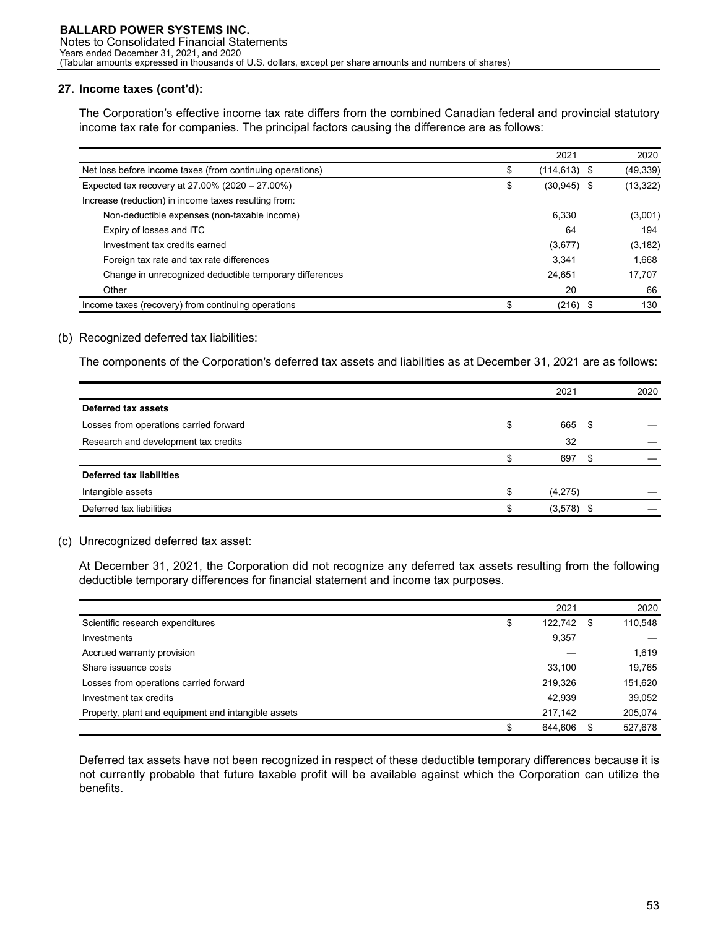## **27. Income taxes (cont'd):**

The Corporation's effective income tax rate differs from the combined Canadian federal and provincial statutory income tax rate for companies. The principal factors causing the difference are as follows:

|                                                           | 2021                 | 2020      |
|-----------------------------------------------------------|----------------------|-----------|
| Net loss before income taxes (from continuing operations) | $(114, 613)$ \$      | (49, 339) |
| Expected tax recovery at 27.00% (2020 – 27.00%)           | \$<br>$(30, 945)$ \$ | (13, 322) |
| Increase (reduction) in income taxes resulting from:      |                      |           |
| Non-deductible expenses (non-taxable income)              | 6.330                | (3,001)   |
| Expiry of losses and ITC                                  | 64                   | 194       |
| Investment tax credits earned                             | (3,677)              | (3, 182)  |
| Foreign tax rate and tax rate differences                 | 3.341                | 1.668     |
| Change in unrecognized deductible temporary differences   | 24.651               | 17.707    |
| Other                                                     | 20                   | 66        |
| Income taxes (recovery) from continuing operations        | (216) \$             | 130       |

#### (b) Recognized deferred tax liabilities:

The components of the Corporation's deferred tax assets and liabilities as at December 31, 2021 are as follows:

|                                        | 2021              | 2020 |
|----------------------------------------|-------------------|------|
| <b>Deferred tax assets</b>             |                   |      |
| Losses from operations carried forward | \$<br>665<br>- \$ |      |
| Research and development tax credits   | 32                |      |
|                                        | 697               |      |
| <b>Deferred tax liabilities</b>        |                   |      |
| Intangible assets                      | (4,275)           |      |
| Deferred tax liabilities               | $(3,578)$ \$      |      |
|                                        |                   |      |

#### (c) Unrecognized deferred tax asset:

At December 31, 2021, the Corporation did not recognize any deferred tax assets resulting from the following deductible temporary differences for financial statement and income tax purposes.

|                                                     | 2021          |     | 2020    |
|-----------------------------------------------------|---------------|-----|---------|
| Scientific research expenditures                    | \$<br>122,742 | - 5 | 110,548 |
| Investments                                         | 9,357         |     |         |
| Accrued warranty provision                          |               |     | 1,619   |
| Share issuance costs                                | 33.100        |     | 19,765  |
| Losses from operations carried forward              | 219,326       |     | 151,620 |
| Investment tax credits                              | 42,939        |     | 39,052  |
| Property, plant and equipment and intangible assets | 217.142       |     | 205,074 |
|                                                     | 644.606       |     | 527.678 |

Deferred tax assets have not been recognized in respect of these deductible temporary differences because it is not currently probable that future taxable profit will be available against which the Corporation can utilize the benefits.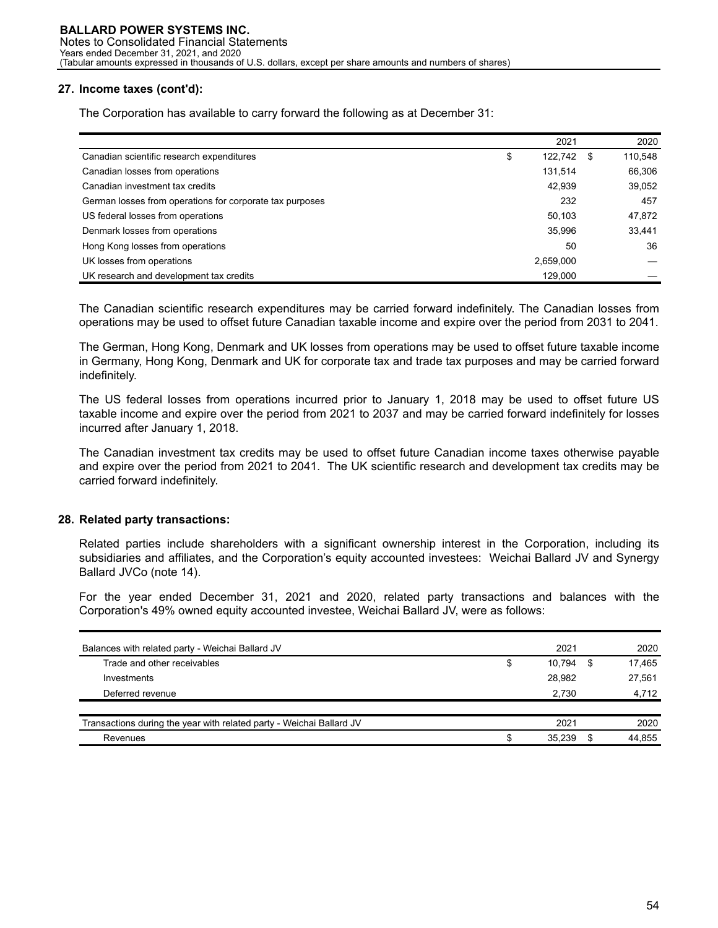## **27. Income taxes (cont'd):**

The Corporation has available to carry forward the following as at December 31:

|                                                          | 2021          |      | 2020    |
|----------------------------------------------------------|---------------|------|---------|
| Canadian scientific research expenditures                | \$<br>122,742 | - \$ | 110,548 |
| Canadian losses from operations                          | 131,514       |      | 66,306  |
| Canadian investment tax credits                          | 42,939        |      | 39,052  |
| German losses from operations for corporate tax purposes | 232           |      | 457     |
| US federal losses from operations                        | 50.103        |      | 47,872  |
| Denmark losses from operations                           | 35,996        |      | 33,441  |
| Hong Kong losses from operations                         | 50            |      | 36      |
| UK losses from operations                                | 2,659,000     |      |         |
| UK research and development tax credits                  | 129.000       |      |         |

The Canadian scientific research expenditures may be carried forward indefinitely. The Canadian losses from operations may be used to offset future Canadian taxable income and expire over the period from 2031 to 2041.

The German, Hong Kong, Denmark and UK losses from operations may be used to offset future taxable income in Germany, Hong Kong, Denmark and UK for corporate tax and trade tax purposes and may be carried forward indefinitely.

The US federal losses from operations incurred prior to January 1, 2018 may be used to offset future US taxable income and expire over the period from 2021 to 2037 and may be carried forward indefinitely for losses incurred after January 1, 2018.

The Canadian investment tax credits may be used to offset future Canadian income taxes otherwise payable and expire over the period from 2021 to 2041. The UK scientific research and development tax credits may be carried forward indefinitely.

#### **28. Related party transactions:**

Related parties include shareholders with a significant ownership interest in the Corporation, including its subsidiaries and affiliates, and the Corporation's equity accounted investees: Weichai Ballard JV and Synergy Ballard JVCo (note 14).

For the year ended December 31, 2021 and 2020, related party transactions and balances with the Corporation's 49% owned equity accounted investee, Weichai Ballard JV, were as follows:

| Balances with related party - Weichai Ballard JV                     |   | 2021   |      | 2020   |
|----------------------------------------------------------------------|---|--------|------|--------|
| Trade and other receivables                                          | S | 10.794 | - \$ | 17.465 |
| Investments                                                          |   | 28.982 |      | 27,561 |
| Deferred revenue                                                     |   | 2.730  |      | 4,712  |
|                                                                      |   |        |      |        |
| Transactions during the year with related party - Weichai Ballard JV |   | 2021   |      | 2020   |
| Revenues                                                             |   | 35.239 |      | 44.855 |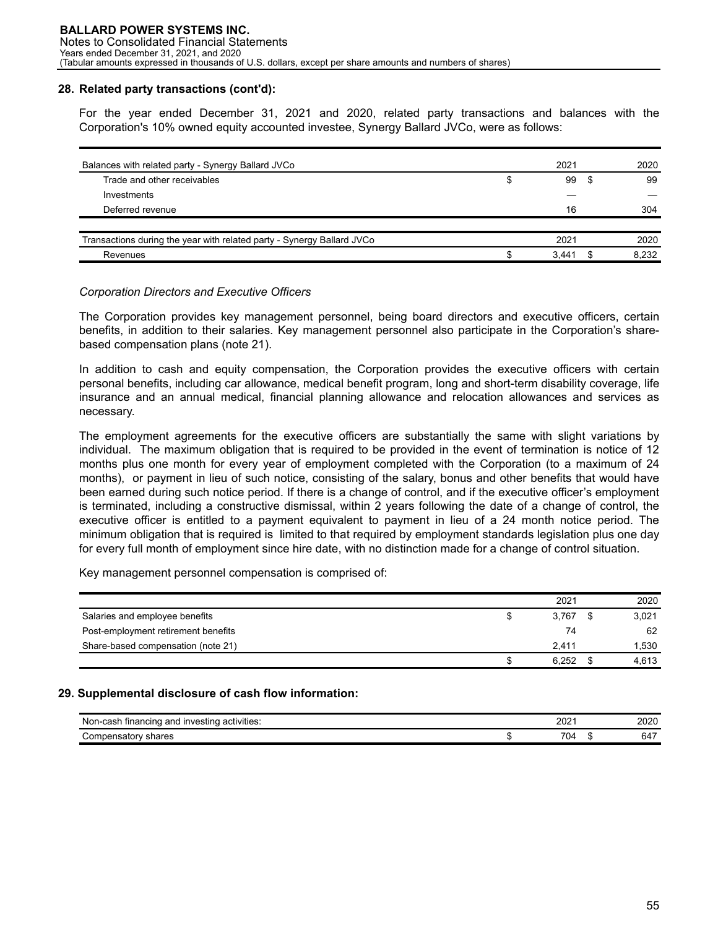## **28. Related party transactions (cont'd):**

For the year ended December 31, 2021 and 2020, related party transactions and balances with the Corporation's 10% owned equity accounted investee, Synergy Ballard JVCo, were as follows:

| Balances with related party - Synergy Ballard JVCo                     | 2021  |      | 2020  |
|------------------------------------------------------------------------|-------|------|-------|
| Trade and other receivables                                            | 99    | - \$ | 99    |
| Investments                                                            |       |      |       |
| Deferred revenue                                                       | 16    |      | 304   |
|                                                                        |       |      |       |
| Transactions during the year with related party - Synergy Ballard JVCo | 2021  |      | 2020  |
| Revenues                                                               | 3.441 |      | 8,232 |

## *Corporation Directors and Executive Officers*

The Corporation provides key management personnel, being board directors and executive officers, certain benefits, in addition to their salaries. Key management personnel also participate in the Corporation's sharebased compensation plans (note 21).

In addition to cash and equity compensation, the Corporation provides the executive officers with certain personal benefits, including car allowance, medical benefit program, long and short-term disability coverage, life insurance and an annual medical, financial planning allowance and relocation allowances and services as necessary.

The employment agreements for the executive officers are substantially the same with slight variations by individual. The maximum obligation that is required to be provided in the event of termination is notice of 12 months plus one month for every year of employment completed with the Corporation (to a maximum of 24 months), or payment in lieu of such notice, consisting of the salary, bonus and other benefits that would have been earned during such notice period. If there is a change of control, and if the executive officer's employment is terminated, including a constructive dismissal, within 2 years following the date of a change of control, the executive officer is entitled to a payment equivalent to payment in lieu of a 24 month notice period. The minimum obligation that is required is limited to that required by employment standards legislation plus one day for every full month of employment since hire date, with no distinction made for a change of control situation.

Key management personnel compensation is comprised of:

|                                     | 2021  | 2020  |
|-------------------------------------|-------|-------|
| Salaries and employee benefits      | 3.767 | 3,021 |
| Post-employment retirement benefits | 74    | 62    |
| Share-based compensation (note 21)  | 2.411 | 1,530 |
|                                     | 6.252 | 4,613 |

# **29. Supplemental disclosure of cash flow information:**

| .<br>and<br>activities:<br>tinancing<br>u investina.<br>N∩r<br>cash | າ∩າາ<br>20Z                  | 2020<br>$\sim$ $\sim$ |
|---------------------------------------------------------------------|------------------------------|-----------------------|
| ensator<br>shares<br>Compei                                         | 70 <sub>4</sub><br>- 12<br>v | 647                   |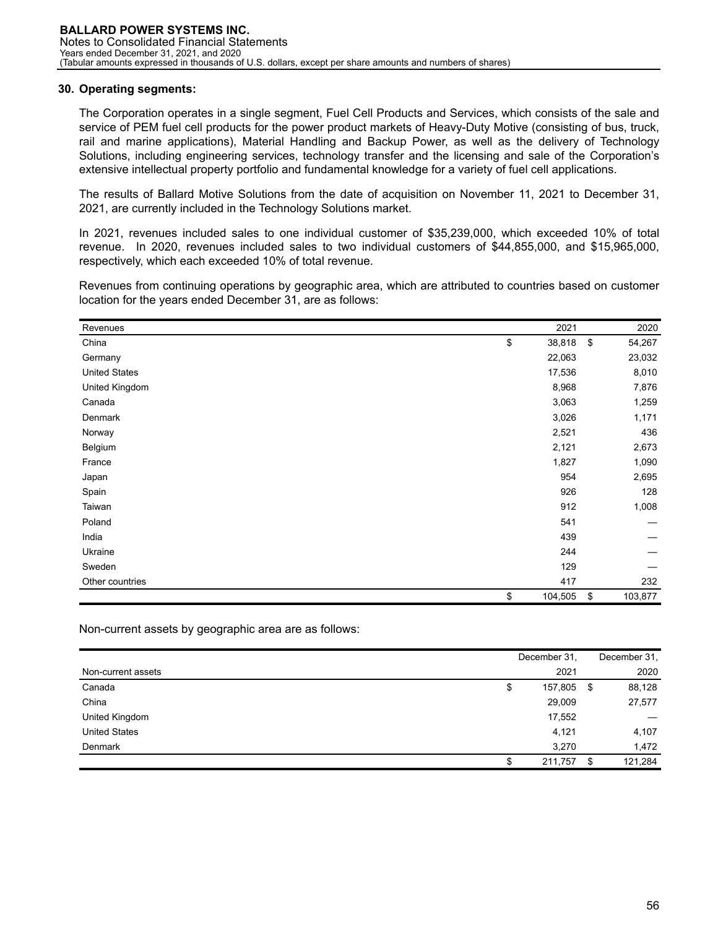## **30. Operating segments:**

The Corporation operates in a single segment, Fuel Cell Products and Services, which consists of the sale and service of PEM fuel cell products for the power product markets of Heavy-Duty Motive (consisting of bus, truck, rail and marine applications), Material Handling and Backup Power, as well as the delivery of Technology Solutions, including engineering services, technology transfer and the licensing and sale of the Corporation's extensive intellectual property portfolio and fundamental knowledge for a variety of fuel cell applications.

The results of Ballard Motive Solutions from the date of acquisition on November 11, 2021 to December 31, 2021, are currently included in the Technology Solutions market.

In 2021, revenues included sales to one individual customer of \$35,239,000, which exceeded 10% of total revenue. In 2020, revenues included sales to two individual customers of \$44,855,000, and \$15,965,000, respectively, which each exceeded 10% of total revenue.

Revenues from continuing operations by geographic area, which are attributed to countries based on customer location for the years ended December 31, are as follows:

| Revenues             | 2021          | 2020          |
|----------------------|---------------|---------------|
| China                | \$<br>38,818  | \$<br>54,267  |
| Germany              | 22,063        | 23,032        |
| <b>United States</b> | 17,536        | 8,010         |
| United Kingdom       | 8,968         | 7,876         |
| Canada               | 3,063         | 1,259         |
| Denmark              | 3,026         | 1,171         |
| Norway               | 2,521         | 436           |
| Belgium              | 2,121         | 2,673         |
| France               | 1,827         | 1,090         |
| Japan                | 954           | 2,695         |
| Spain                | 926           | 128           |
| Taiwan               | 912           | 1,008         |
| Poland               | 541           |               |
| India                | 439           |               |
| Ukraine              | 244           |               |
| Sweden               | 129           |               |
| Other countries      | 417           | 232           |
|                      | \$<br>104,505 | \$<br>103,877 |

Non-current assets by geographic area are as follows:

|                      |    | December 31, |     | December 31, |
|----------------------|----|--------------|-----|--------------|
| Non-current assets   |    | 2021         |     | 2020         |
| Canada               | \$ | 157,805      | -\$ | 88,128       |
| China                |    | 29,009       |     | 27,577       |
| United Kingdom       |    | 17,552       |     |              |
| <b>United States</b> |    | 4,121        |     | 4,107        |
| Denmark              |    | 3,270        |     | 1,472        |
|                      | σ  | 211,757      | \$. | 121,284      |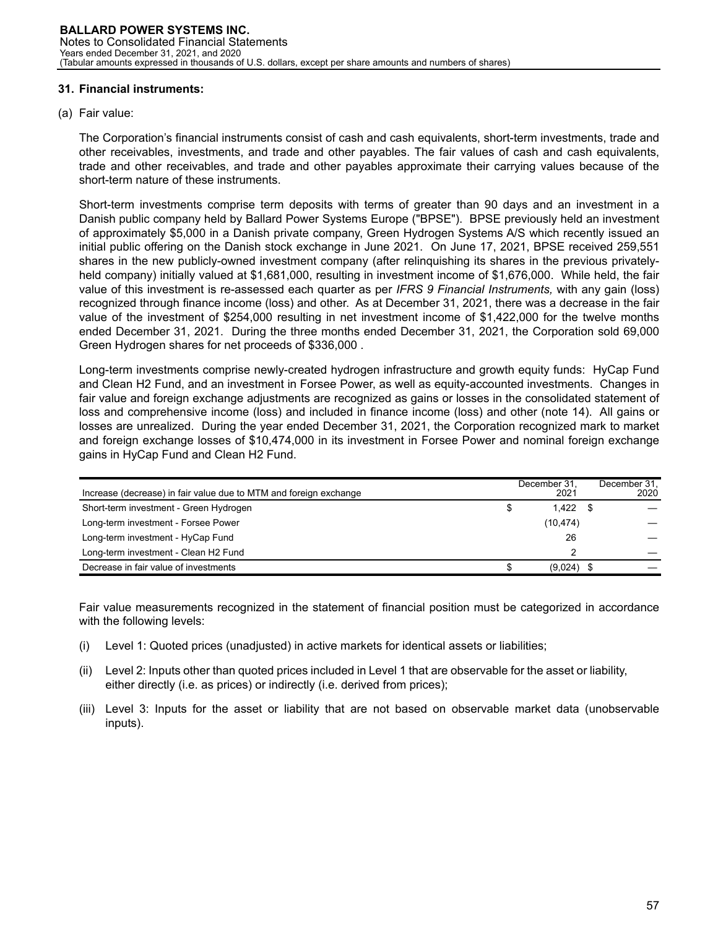## **31. Financial instruments:**

## (a) Fair value:

The Corporation's financial instruments consist of cash and cash equivalents, short-term investments, trade and other receivables, investments, and trade and other payables. The fair values of cash and cash equivalents, trade and other receivables, and trade and other payables approximate their carrying values because of the short-term nature of these instruments.

Short-term investments comprise term deposits with terms of greater than 90 days and an investment in a Danish public company held by Ballard Power Systems Europe ("BPSE"). BPSE previously held an investment of approximately \$5,000 in a Danish private company, Green Hydrogen Systems A/S which recently issued an initial public offering on the Danish stock exchange in June 2021. On June 17, 2021, BPSE received 259,551 shares in the new publicly-owned investment company (after relinquishing its shares in the previous privatelyheld company) initially valued at \$1,681,000, resulting in investment income of \$1,676,000. While held, the fair value of this investment is re-assessed each quarter as per *IFRS 9 Financial Instruments,* with any gain (loss) recognized through finance income (loss) and other. As at December 31, 2021, there was a decrease in the fair value of the investment of \$254,000 resulting in net investment income of \$1,422,000 for the twelve months ended December 31, 2021. During the three months ended December 31, 2021, the Corporation sold 69,000 Green Hydrogen shares for net proceeds of \$336,000 .

Long-term investments comprise newly-created hydrogen infrastructure and growth equity funds: HyCap Fund and Clean H2 Fund, and an investment in Forsee Power, as well as equity-accounted investments. Changes in fair value and foreign exchange adjustments are recognized as gains or losses in the consolidated statement of loss and comprehensive income (loss) and included in finance income (loss) and other (note 14). All gains or losses are unrealized. During the year ended December 31, 2021, the Corporation recognized mark to market and foreign exchange losses of \$10,474,000 in its investment in Forsee Power and nominal foreign exchange gains in HyCap Fund and Clean H2 Fund.

| Increase (decrease) in fair value due to MTM and foreign exchange |   | December 31.<br>2021 | December 31,<br>2020 |
|-------------------------------------------------------------------|---|----------------------|----------------------|
| Short-term investment - Green Hydrogen                            | S | 1.422                |                      |
| Long-term investment - Forsee Power                               |   | (10, 474)            |                      |
| Long-term investment - HyCap Fund                                 |   | 26                   |                      |
| Long-term investment - Clean H2 Fund                              |   |                      |                      |
| Decrease in fair value of investments                             |   | (9,024)              |                      |

Fair value measurements recognized in the statement of financial position must be categorized in accordance with the following levels:

- (i) Level 1: Quoted prices (unadjusted) in active markets for identical assets or liabilities;
- (ii) Level 2: Inputs other than quoted prices included in Level 1 that are observable for the asset or liability, either directly (i.e. as prices) or indirectly (i.e. derived from prices);
- (iii) Level 3: Inputs for the asset or liability that are not based on observable market data (unobservable inputs).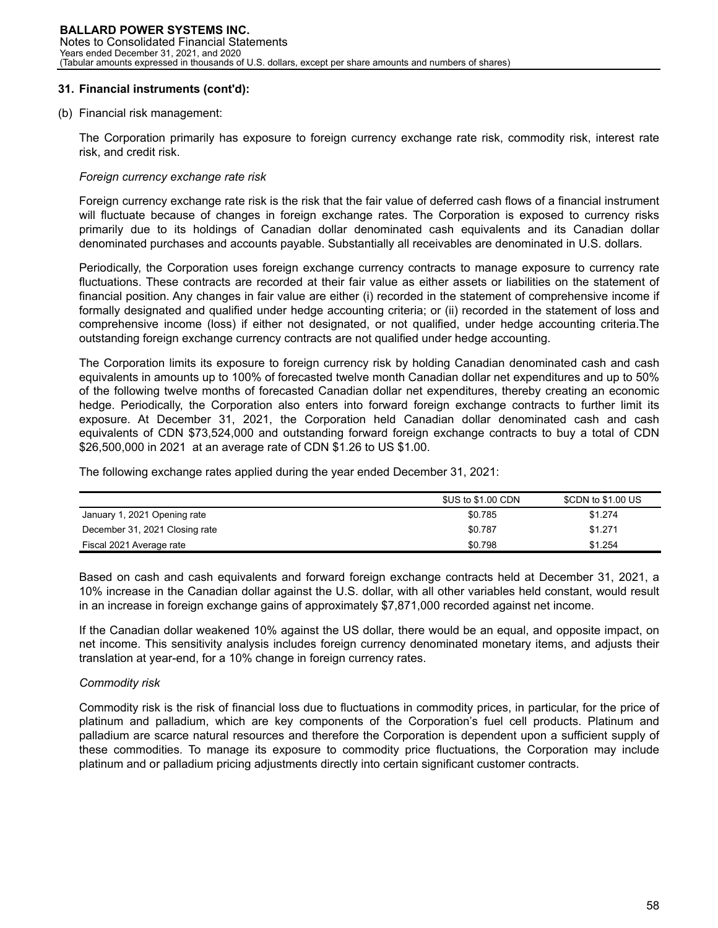## **31. Financial instruments (cont'd):**

#### (b) Financial risk management:

The Corporation primarily has exposure to foreign currency exchange rate risk, commodity risk, interest rate risk, and credit risk.

## *Foreign currency exchange rate risk*

Foreign currency exchange rate risk is the risk that the fair value of deferred cash flows of a financial instrument will fluctuate because of changes in foreign exchange rates. The Corporation is exposed to currency risks primarily due to its holdings of Canadian dollar denominated cash equivalents and its Canadian dollar denominated purchases and accounts payable. Substantially all receivables are denominated in U.S. dollars.

Periodically, the Corporation uses foreign exchange currency contracts to manage exposure to currency rate fluctuations. These contracts are recorded at their fair value as either assets or liabilities on the statement of financial position. Any changes in fair value are either (i) recorded in the statement of comprehensive income if formally designated and qualified under hedge accounting criteria; or (ii) recorded in the statement of loss and comprehensive income (loss) if either not designated, or not qualified, under hedge accounting criteria.The outstanding foreign exchange currency contracts are not qualified under hedge accounting.

The Corporation limits its exposure to foreign currency risk by holding Canadian denominated cash and cash equivalents in amounts up to 100% of forecasted twelve month Canadian dollar net expenditures and up to 50% of the following twelve months of forecasted Canadian dollar net expenditures, thereby creating an economic hedge. Periodically, the Corporation also enters into forward foreign exchange contracts to further limit its exposure. At December 31, 2021, the Corporation held Canadian dollar denominated cash and cash equivalents of CDN \$73,524,000 and outstanding forward foreign exchange contracts to buy a total of CDN \$26,500,000 in 2021 at an average rate of CDN \$1.26 to US \$1.00.

The following exchange rates applied during the year ended December 31, 2021:

|                                | \$US to \$1.00 CDN | \$CDN to \$1.00 US |
|--------------------------------|--------------------|--------------------|
| January 1, 2021 Opening rate   | \$0.785            | \$1.274            |
| December 31, 2021 Closing rate | \$0.787            | \$1.271            |
| Fiscal 2021 Average rate       | \$0.798            | \$1.254            |

Based on cash and cash equivalents and forward foreign exchange contracts held at December 31, 2021, a 10% increase in the Canadian dollar against the U.S. dollar, with all other variables held constant, would result in an increase in foreign exchange gains of approximately \$7,871,000 recorded against net income.

If the Canadian dollar weakened 10% against the US dollar, there would be an equal, and opposite impact, on net income. This sensitivity analysis includes foreign currency denominated monetary items, and adjusts their translation at year-end, for a 10% change in foreign currency rates.

#### *Commodity risk*

Commodity risk is the risk of financial loss due to fluctuations in commodity prices, in particular, for the price of platinum and palladium, which are key components of the Corporation's fuel cell products. Platinum and palladium are scarce natural resources and therefore the Corporation is dependent upon a sufficient supply of these commodities. To manage its exposure to commodity price fluctuations, the Corporation may include platinum and or palladium pricing adjustments directly into certain significant customer contracts.